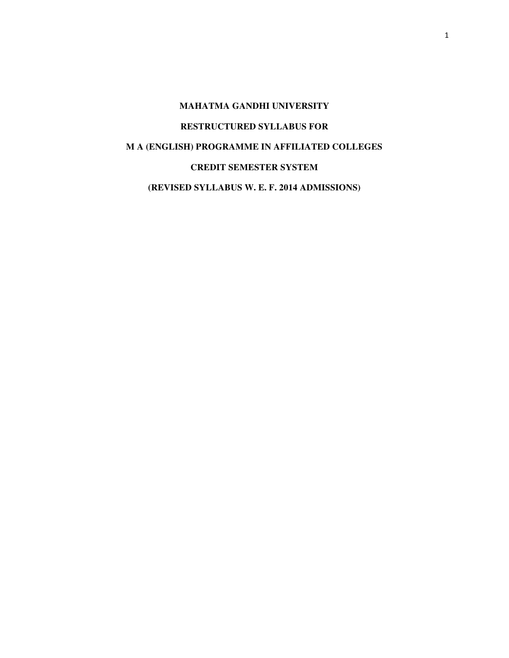# **MAHATMA GANDHI UNIVERSITY RESTRUCTURED SYLLABUS FOR M A (ENGLISH) PROGRAMME IN AFFILIATED COLLEGES CREDIT SEMESTER SYSTEM (REVISED SYLLABUS W. E. F. 2014 ADMISSIONS)**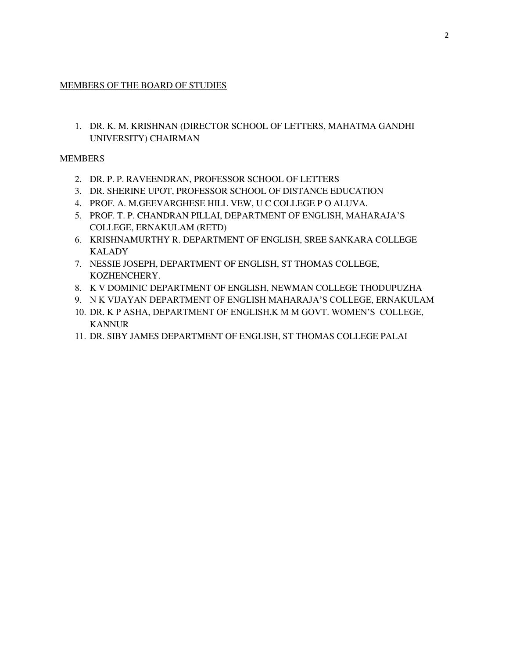### MEMBERS OF THE BOARD OF STUDIES

1. DR. K. M. KRISHNAN (DIRECTOR SCHOOL OF LETTERS, MAHATMA GANDHI UNIVERSITY) CHAIRMAN

### **MEMBERS**

- 2. DR. P. P. RAVEENDRAN, PROFESSOR SCHOOL OF LETTERS
- 3. DR. SHERINE UPOT, PROFESSOR SCHOOL OF DISTANCE EDUCATION
- 4. PROF. A. M.GEEVARGHESE HILL VEW, U C COLLEGE P O ALUVA.
- 5. PROF. T. P. CHANDRAN PILLAI, DEPARTMENT OF ENGLISH, MAHARAJA'S COLLEGE, ERNAKULAM (RETD)
- 6. KRISHNAMURTHY R. DEPARTMENT OF ENGLISH, SREE SANKARA COLLEGE KALADY
- 7. NESSIE JOSEPH, DEPARTMENT OF ENGLISH, ST THOMAS COLLEGE, KOZHENCHERY.
- 8. K V DOMINIC DEPARTMENT OF ENGLISH, NEWMAN COLLEGE THODUPUZHA
- 9. N K VIJAYAN DEPARTMENT OF ENGLISH MAHARAJA'S COLLEGE, ERNAKULAM
- 10. DR. K P ASHA, DEPARTMENT OF ENGLISH,K M M GOVT. WOMEN'S COLLEGE, KANNUR
- 11. DR. SIBY JAMES DEPARTMENT OF ENGLISH, ST THOMAS COLLEGE PALAI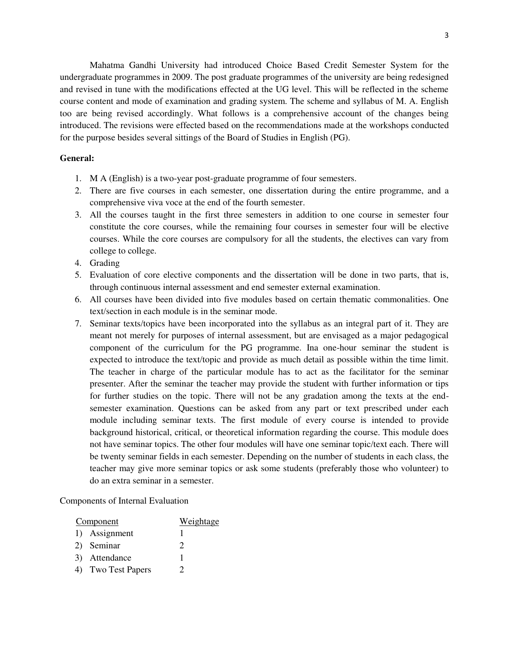Mahatma Gandhi University had introduced Choice Based Credit Semester System for the undergraduate programmes in 2009. The post graduate programmes of the university are being redesigned and revised in tune with the modifications effected at the UG level. This will be reflected in the scheme course content and mode of examination and grading system. The scheme and syllabus of M. A. English too are being revised accordingly. What follows is a comprehensive account of the changes being introduced. The revisions were effected based on the recommendations made at the workshops conducted for the purpose besides several sittings of the Board of Studies in English (PG).

#### **General:**

- 1. M A (English) is a two-year post-graduate programme of four semesters.
- 2. There are five courses in each semester, one dissertation during the entire programme, and a comprehensive viva voce at the end of the fourth semester.
- 3. All the courses taught in the first three semesters in addition to one course in semester four constitute the core courses, while the remaining four courses in semester four will be elective courses. While the core courses are compulsory for all the students, the electives can vary from college to college.
- 4. Grading
- 5. Evaluation of core elective components and the dissertation will be done in two parts, that is, through continuous internal assessment and end semester external examination.
- 6. All courses have been divided into five modules based on certain thematic commonalities. One text/section in each module is in the seminar mode.
- 7. Seminar texts/topics have been incorporated into the syllabus as an integral part of it. They are meant not merely for purposes of internal assessment, but are envisaged as a major pedagogical component of the curriculum for the PG programme. Ina one-hour seminar the student is expected to introduce the text/topic and provide as much detail as possible within the time limit. The teacher in charge of the particular module has to act as the facilitator for the seminar presenter. After the seminar the teacher may provide the student with further information or tips for further studies on the topic. There will not be any gradation among the texts at the endsemester examination. Questions can be asked from any part or text prescribed under each module including seminar texts. The first module of every course is intended to provide background historical, critical, or theoretical information regarding the course. This module does not have seminar topics. The other four modules will have one seminar topic/text each. There will be twenty seminar fields in each semester. Depending on the number of students in each class, the teacher may give more seminar topics or ask some students (preferably those who volunteer) to do an extra seminar in a semester.

Components of Internal Evaluation

| Component          | Weightage |
|--------------------|-----------|
| 1) Assignment      |           |
| 2) Seminar         | 2         |
| 3) Attendance      |           |
| 4) Two Test Papers | 7         |
|                    |           |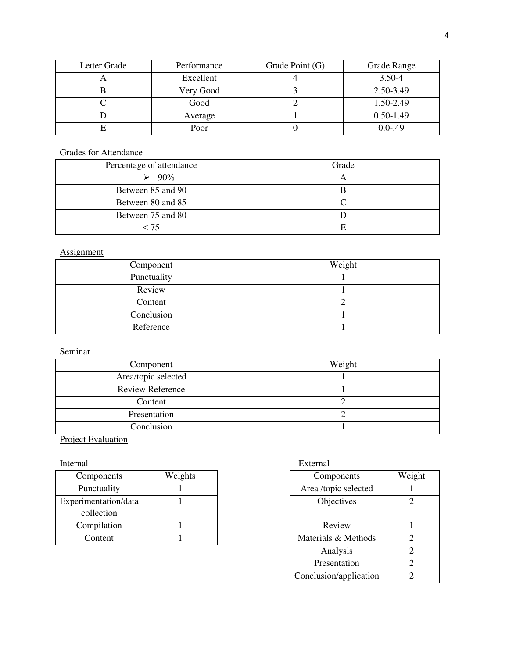| Letter Grade | Performance | Grade Point (G) | Grade Range   |
|--------------|-------------|-----------------|---------------|
|              | Excellent   |                 | 3.50-4        |
|              | Very Good   |                 | 2.50-3.49     |
|              | Good        |                 | 1.50-2.49     |
|              | Average     |                 | $0.50 - 1.49$ |
|              | Poor        |                 | $0.0 - .49$   |

# Grades for Attendance

| Percentage of attendance | Grade |
|--------------------------|-------|
| $90\%$                   |       |
| Between 85 and 90        |       |
| Between 80 and 85        |       |
| Between 75 and 80        |       |
| - 75                     |       |

# **Assignment**

| Component   | Weight |
|-------------|--------|
| Punctuality |        |
| Review      |        |
| Content     |        |
| Conclusion  |        |
| Reference   |        |

# Seminar

| Component               | Weight |
|-------------------------|--------|
| Area/topic selected     |        |
| <b>Review Reference</b> |        |
| Content                 |        |
| Presentation            |        |
| Conclusion              |        |

# **Project Evaluation**

# Internal External

| Components           | Weights | Components           |                     | Weight |
|----------------------|---------|----------------------|---------------------|--------|
| Punctuality          |         | Area /topic selected |                     |        |
| Experimentation/data |         | Objectives           |                     |        |
| collection           |         |                      |                     |        |
| Compilation          |         |                      | Review              |        |
| Content              |         |                      | Materials & Methods |        |

| ights |                     | Components             | Weight                      |
|-------|---------------------|------------------------|-----------------------------|
|       |                     | Area /topic selected   |                             |
|       |                     | Objectives             | 2                           |
|       |                     |                        |                             |
|       |                     | Review                 |                             |
|       | Materials & Methods |                        | $\mathcal{D}$               |
|       |                     | Analysis               | $\mathcal{D}_{\mathcal{L}}$ |
|       |                     | Presentation           | ာ                           |
|       |                     | Conclusion/application | ി                           |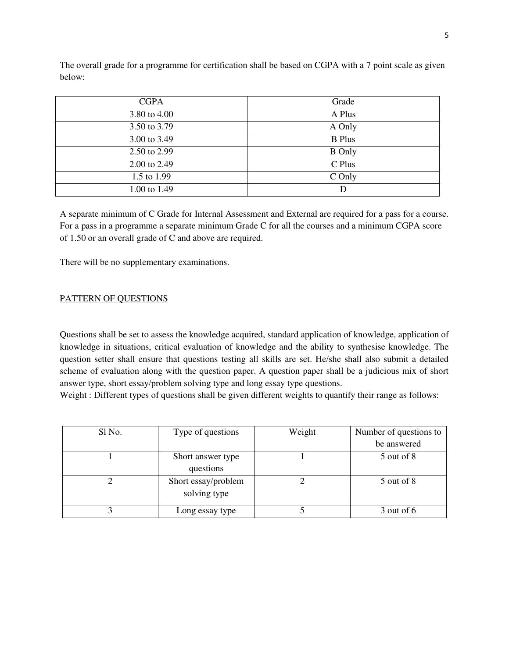The overall grade for a programme for certification shall be based on CGPA with a 7 point scale as given below:

| <b>CGPA</b>  | Grade         |
|--------------|---------------|
| 3.80 to 4.00 | A Plus        |
| 3.50 to 3.79 | A Only        |
| 3.00 to 3.49 | <b>B</b> Plus |
| 2.50 to 2.99 | <b>B</b> Only |
| 2.00 to 2.49 | C Plus        |
| 1.5 to 1.99  | C Only        |
| 1.00 to 1.49 | D             |

A separate minimum of C Grade for Internal Assessment and External are required for a pass for a course. For a pass in a programme a separate minimum Grade C for all the courses and a minimum CGPA score of 1.50 or an overall grade of C and above are required.

There will be no supplementary examinations.

# PATTERN OF QUESTIONS

Questions shall be set to assess the knowledge acquired, standard application of knowledge, application of knowledge in situations, critical evaluation of knowledge and the ability to synthesise knowledge. The question setter shall ensure that questions testing all skills are set. He/she shall also submit a detailed scheme of evaluation along with the question paper. A question paper shall be a judicious mix of short answer type, short essay/problem solving type and long essay type questions.

Weight : Different types of questions shall be given different weights to quantify their range as follows:

| Sl No. | Type of questions   | Weight | Number of questions to |
|--------|---------------------|--------|------------------------|
|        |                     |        | be answered            |
|        | Short answer type   |        | 5 out of 8             |
|        | questions           |        |                        |
|        | Short essay/problem |        | 5 out of 8             |
|        | solving type        |        |                        |
|        | Long essay type     |        | $3$ out of 6           |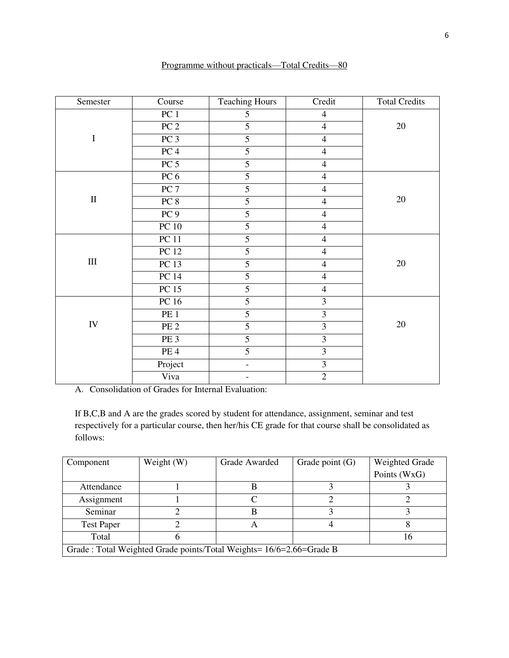| Semester   | Course          | <b>Teaching Hours</b>    | Credit                  | <b>Total Credits</b> |
|------------|-----------------|--------------------------|-------------------------|----------------------|
|            | PC <sub>1</sub> | 5                        | $\overline{4}$          |                      |
|            | PC <sub>2</sub> | $\overline{5}$           | $\overline{4}$          | $20\,$               |
| $\bf I$    | PC <sub>3</sub> | 5                        | $\overline{4}$          |                      |
|            | PC <sub>4</sub> | $\overline{5}$           | $\overline{4}$          |                      |
|            | PC <sub>5</sub> | $\overline{5}$           | $\overline{4}$          |                      |
|            | PC 6            | $\overline{5}$           | $\overline{4}$          |                      |
|            | PC <sub>7</sub> | $\overline{5}$           | $\overline{4}$          |                      |
| $\rm II$   | PC 8            | $\overline{5}$           | $\overline{4}$          | $20\,$               |
|            | PC <sub>9</sub> | $\overline{5}$           | $\overline{4}$          |                      |
|            | PC10            | $\overline{5}$           | $\overline{4}$          |                      |
|            | PC11            | $\overline{5}$           | $\overline{4}$          |                      |
|            | <b>PC</b> 12    | $\overline{5}$           | $\overline{4}$          |                      |
| $\rm III$  | <b>PC</b> 13    | $\overline{5}$           | $\overline{4}$          | 20                   |
|            | <b>PC</b> 14    | $\overline{5}$           | $\overline{4}$          |                      |
|            | PC15            | $\overline{5}$           | $\overline{4}$          |                      |
|            | PC 16           | $\overline{5}$           | $\overline{\mathbf{3}}$ |                      |
|            | PE <sub>1</sub> | $\overline{5}$           | $\overline{3}$          |                      |
| ${\rm IV}$ | PE <sub>2</sub> | $\overline{5}$           | $\overline{3}$          | 20                   |
|            | PE <sub>3</sub> | $\overline{5}$           | $\overline{\mathbf{3}}$ |                      |
|            | PE <sub>4</sub> | $\overline{5}$           | $\overline{3}$          |                      |
|            | Project         | $\overline{\phantom{a}}$ | $\overline{\mathbf{3}}$ |                      |
|            | Viva            |                          | $\overline{2}$          |                      |

Programme without practicals—Total Credits—80

A. Consolidation of Grades for Internal Evaluation:

If B,C,B and A are the grades scored by student for attendance, assignment, seminar and test respectively for a particular course, then her/his CE grade for that course shall be consolidated as follows:

| Component                                                           | Weight $(W)$ | Grade Awarded | Grade point $(G)$ | Weighted Grade |  |
|---------------------------------------------------------------------|--------------|---------------|-------------------|----------------|--|
|                                                                     |              |               |                   | Points (WxG)   |  |
| Attendance                                                          |              |               |                   |                |  |
| Assignment                                                          |              |               |                   |                |  |
| Seminar                                                             |              |               |                   |                |  |
| <b>Test Paper</b>                                                   |              |               |                   |                |  |
| Total                                                               |              |               |                   |                |  |
| Grade: Total Weighted Grade points/Total Weights= 16/6=2.66=Grade B |              |               |                   |                |  |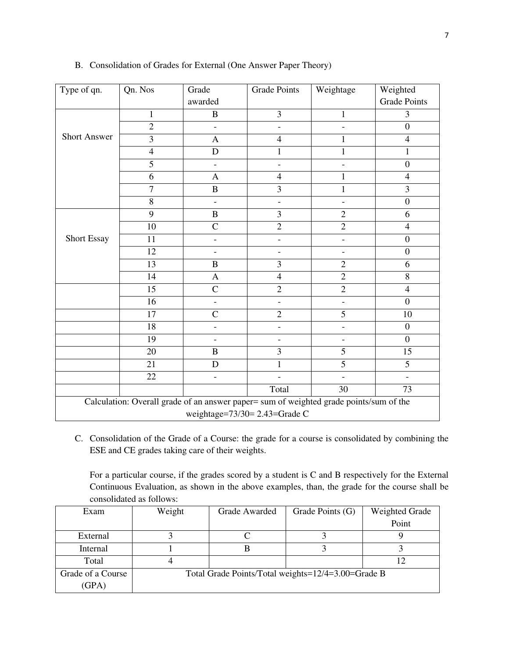| Type of qn.                                                                            | Qn. Nos                       | Grade                    | <b>Grade Points</b>      | Weightage                | Weighted            |  |
|----------------------------------------------------------------------------------------|-------------------------------|--------------------------|--------------------------|--------------------------|---------------------|--|
|                                                                                        |                               | awarded                  |                          |                          | <b>Grade Points</b> |  |
|                                                                                        | $\mathbf{1}$                  | $\bf{B}$                 | $\overline{3}$           | 1                        | 3                   |  |
|                                                                                        | $\overline{2}$                | $\overline{a}$           | $\overline{a}$           |                          | $\boldsymbol{0}$    |  |
| <b>Short Answer</b>                                                                    | 3                             | $\mathbf{A}$             | $\overline{4}$           | $\mathbf{1}$             | $\overline{4}$      |  |
|                                                                                        | $\overline{4}$                | $\mathbf D$              | 1                        | 1                        | 1                   |  |
|                                                                                        | 5                             | $\overline{a}$           | ÷,                       | $\qquad \qquad -$        | $\boldsymbol{0}$    |  |
|                                                                                        | 6                             | $\mathbf{A}$             | $\overline{4}$           | 1                        | $\overline{4}$      |  |
|                                                                                        | $\overline{7}$                | $\, {\bf B}$             | 3                        | $\mathbf{1}$             | 3                   |  |
|                                                                                        | 8                             | $\overline{a}$           | $\overline{a}$           | $\overline{\phantom{a}}$ | $\boldsymbol{0}$    |  |
|                                                                                        | 9                             | $\, {\bf B}$             | 3                        | $\overline{2}$           | 6                   |  |
|                                                                                        | 10                            | $\overline{C}$           | $\overline{2}$           | $\overline{2}$           | $\overline{4}$      |  |
| Short Essay                                                                            | 11                            | $\overline{\phantom{0}}$ |                          |                          | $\boldsymbol{0}$    |  |
|                                                                                        | 12                            | $\overline{\phantom{0}}$ |                          |                          | $\boldsymbol{0}$    |  |
|                                                                                        | 13                            | $\, {\bf B}$             | $\overline{3}$           | $\overline{2}$           | 6                   |  |
|                                                                                        | 14                            | $\mathbf{A}$             | $\overline{4}$           | $\overline{2}$           | 8                   |  |
|                                                                                        | 15                            | $\mathcal{C}$            | $\overline{2}$           | $\overline{2}$           | $\overline{4}$      |  |
|                                                                                        | 16                            | $\overline{\phantom{0}}$ | $\overline{\phantom{0}}$ |                          | $\overline{0}$      |  |
|                                                                                        | 17                            | $\mathcal{C}$            | $\overline{c}$           | 5                        | 10                  |  |
|                                                                                        | 18                            | $\overline{\phantom{0}}$ | $\overline{a}$           |                          | $\boldsymbol{0}$    |  |
|                                                                                        | 19                            |                          |                          |                          | $\boldsymbol{0}$    |  |
|                                                                                        | 20                            | $\bf{B}$                 | 3                        | 5                        | 15                  |  |
|                                                                                        | 21                            | D                        | 1                        | $\overline{5}$           | 5                   |  |
|                                                                                        | 22                            | $\overline{\phantom{0}}$ |                          |                          |                     |  |
|                                                                                        |                               |                          | Total                    | 30                       | $\overline{73}$     |  |
| Calculation: Overall grade of an answer paper= sum of weighted grade points/sum of the |                               |                          |                          |                          |                     |  |
|                                                                                        | weightage=73/30= 2.43=Grade C |                          |                          |                          |                     |  |

# B. Consolidation of Grades for External (One Answer Paper Theory)

C. Consolidation of the Grade of a Course: the grade for a course is consolidated by combining the ESE and CE grades taking care of their weights.

For a particular course, if the grades scored by a student is C and B respectively for the External Continuous Evaluation, as shown in the above examples, than, the grade for the course shall be consolidated as follows:

| Exam              | Weight | Grade Awarded | Grade Points (G)                                   | Weighted Grade |
|-------------------|--------|---------------|----------------------------------------------------|----------------|
|                   |        |               |                                                    | Point          |
| External          |        |               |                                                    |                |
| Internal          |        |               |                                                    |                |
| Total             |        |               |                                                    |                |
| Grade of a Course |        |               | Total Grade Points/Total weights=12/4=3.00=Grade B |                |
| (GPA)             |        |               |                                                    |                |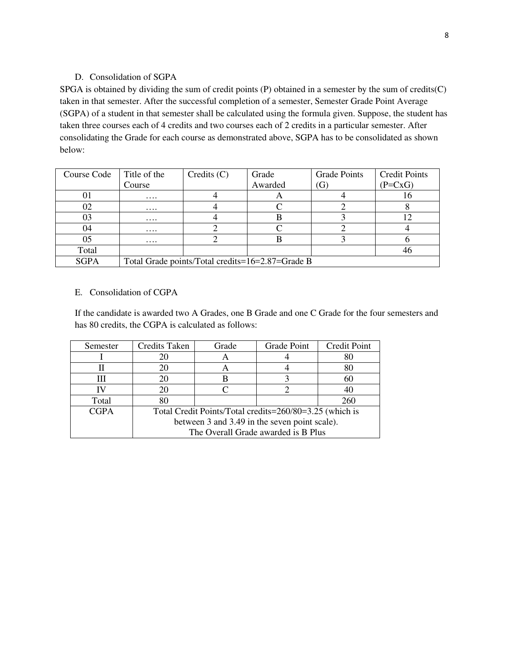# D. Consolidation of SGPA

SPGA is obtained by dividing the sum of credit points (P) obtained in a semester by the sum of credits(C) taken in that semester. After the successful completion of a semester, Semester Grade Point Average (SGPA) of a student in that semester shall be calculated using the formula given. Suppose, the student has taken three courses each of 4 credits and two courses each of 2 credits in a particular semester. After consolidating the Grade for each course as demonstrated above, SGPA has to be consolidated as shown below:

| Course Code | Title of the | $C$ redits $(C)$                                 | Grade   | <b>Grade Points</b> | <b>Credit Points</b> |
|-------------|--------------|--------------------------------------------------|---------|---------------------|----------------------|
|             | Course       |                                                  | Awarded | G)                  | $(P=C\times G)$      |
| 01          | $\cdots$     |                                                  |         |                     | 10                   |
| 02          | $\cdots$     |                                                  |         |                     |                      |
| 03          | $\cdots$     |                                                  |         |                     |                      |
| 04          | $\cdots$     |                                                  |         |                     |                      |
| 05          | $\cdots$     |                                                  |         |                     |                      |
| Total       |              |                                                  |         |                     | 46                   |
| <b>SGPA</b> |              | Total Grade points/Total credits=16=2.87=Grade B |         |                     |                      |

# E. Consolidation of CGPA

If the candidate is awarded two A Grades, one B Grade and one C Grade for the four semesters and has 80 credits, the CGPA is calculated as follows:

| Semester    | <b>Credits Taken</b>                | Grade | Grade Point                                             | <b>Credit Point</b> |
|-------------|-------------------------------------|-------|---------------------------------------------------------|---------------------|
|             | 20                                  |       |                                                         |                     |
|             | 20                                  |       |                                                         |                     |
| Ш           | 20                                  |       |                                                         | 60                  |
|             | 20                                  |       |                                                         |                     |
| Total       | 80                                  |       |                                                         | 260                 |
| <b>CGPA</b> |                                     |       | Total Credit Points/Total credits=260/80=3.25 (which is |                     |
|             |                                     |       | between 3 and 3.49 in the seven point scale).           |                     |
|             | The Overall Grade awarded is B Plus |       |                                                         |                     |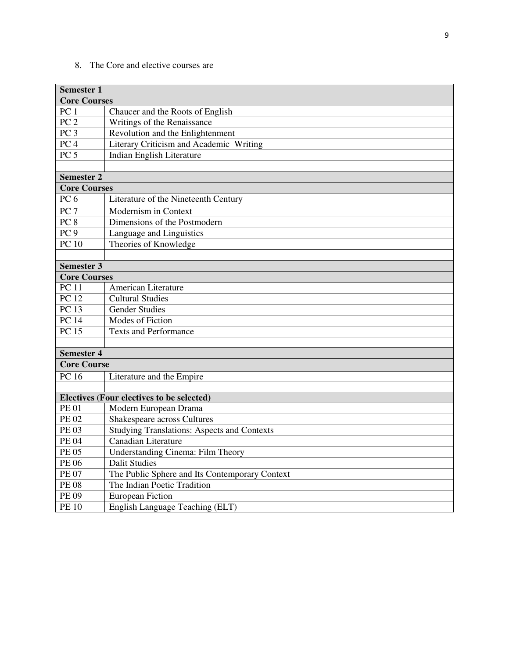8. The Core and elective courses are

| <b>Semester 1</b>   |                                                    |
|---------------------|----------------------------------------------------|
| <b>Core Courses</b> |                                                    |
| PC <sub>1</sub>     | Chaucer and the Roots of English                   |
| PC <sub>2</sub>     | Writings of the Renaissance                        |
| PC <sub>3</sub>     | Revolution and the Enlightenment                   |
| PC <sub>4</sub>     | Literary Criticism and Academic Writing            |
| PC <sub>5</sub>     | Indian English Literature                          |
|                     |                                                    |
| <b>Semester 2</b>   |                                                    |
| <b>Core Courses</b> |                                                    |
| PC <sub>6</sub>     | Literature of the Nineteenth Century               |
| PC <sub>7</sub>     | Modernism in Context                               |
| PC 8                | Dimensions of the Postmodern                       |
| PC <sub>9</sub>     | Language and Linguistics                           |
| PC10                | Theories of Knowledge                              |
|                     |                                                    |
| <b>Semester 3</b>   |                                                    |
| <b>Core Courses</b> |                                                    |
| <b>PC</b> 11        | American Literature                                |
| <b>PC</b> 12        | <b>Cultural Studies</b>                            |
| PC13                | <b>Gender Studies</b>                              |
| <b>PC 14</b>        | Modes of Fiction                                   |
| <b>PC 15</b>        | <b>Texts and Performance</b>                       |
|                     |                                                    |
| <b>Semester 4</b>   |                                                    |
| <b>Core Course</b>  |                                                    |
| <b>PC</b> 16        | Literature and the Empire                          |
|                     |                                                    |
|                     | Electives (Four electives to be selected)          |
| <b>PE01</b>         | Modern European Drama                              |
| <b>PE 02</b>        | Shakespeare across Cultures                        |
| <b>PE03</b>         | <b>Studying Translations: Aspects and Contexts</b> |
| <b>PE 04</b>        | Canadian Literature                                |
| <b>PE 05</b>        | <b>Understanding Cinema: Film Theory</b>           |
| <b>PE 06</b>        | <b>Dalit Studies</b>                               |
| <b>PE 07</b>        | The Public Sphere and Its Contemporary Context     |
| <b>PE 08</b>        | The Indian Poetic Tradition                        |
| <b>PE 09</b>        | <b>European Fiction</b>                            |
| <b>PE 10</b>        | English Language Teaching (ELT)                    |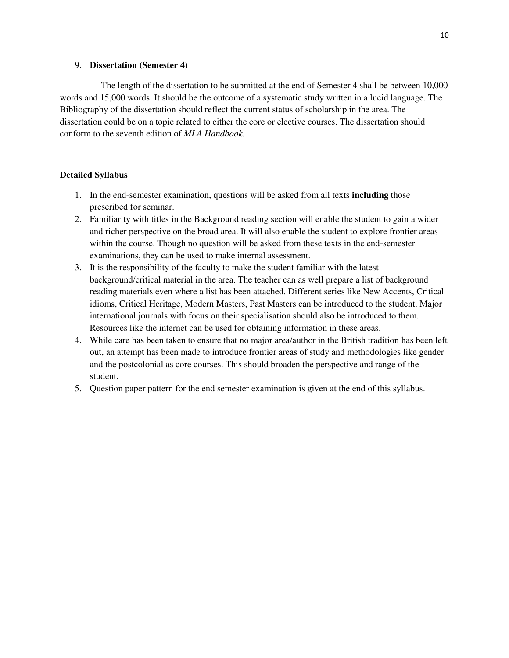#### 9. **Dissertation (Semester 4)**

 The length of the dissertation to be submitted at the end of Semester 4 shall be between 10,000 words and 15,000 words. It should be the outcome of a systematic study written in a lucid language. The Bibliography of the dissertation should reflect the current status of scholarship in the area. The dissertation could be on a topic related to either the core or elective courses. The dissertation should conform to the seventh edition of *MLA Handbook.*

#### **Detailed Syllabus**

- 1. In the end-semester examination, questions will be asked from all texts **including** those prescribed for seminar.
- 2. Familiarity with titles in the Background reading section will enable the student to gain a wider and richer perspective on the broad area. It will also enable the student to explore frontier areas within the course. Though no question will be asked from these texts in the end-semester examinations, they can be used to make internal assessment.
- 3. It is the responsibility of the faculty to make the student familiar with the latest background/critical material in the area. The teacher can as well prepare a list of background reading materials even where a list has been attached. Different series like New Accents, Critical idioms, Critical Heritage, Modern Masters, Past Masters can be introduced to the student. Major international journals with focus on their specialisation should also be introduced to them. Resources like the internet can be used for obtaining information in these areas.
- 4. While care has been taken to ensure that no major area/author in the British tradition has been left out, an attempt has been made to introduce frontier areas of study and methodologies like gender and the postcolonial as core courses. This should broaden the perspective and range of the student.
- 5. Question paper pattern for the end semester examination is given at the end of this syllabus.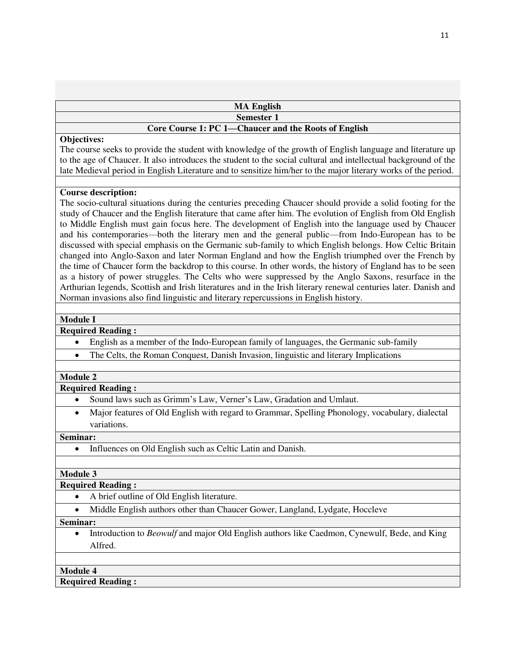| <b>MA English</b> |  |
|-------------------|--|
| <b>Semester 1</b> |  |

# **Core Course 1: PC 1—Chaucer and the Roots of English**

#### **Objectives:**

The course seeks to provide the student with knowledge of the growth of English language and literature up to the age of Chaucer. It also introduces the student to the social cultural and intellectual background of the late Medieval period in English Literature and to sensitize him/her to the major literary works of the period.

#### **Course description:**

The socio-cultural situations during the centuries preceding Chaucer should provide a solid footing for the study of Chaucer and the English literature that came after him. The evolution of English from Old English to Middle English must gain focus here. The development of English into the language used by Chaucer and his contemporaries—both the literary men and the general public—from Indo-European has to be discussed with special emphasis on the Germanic sub-family to which English belongs. How Celtic Britain changed into Anglo-Saxon and later Norman England and how the English triumphed over the French by the time of Chaucer form the backdrop to this course. In other words, the history of England has to be seen as a history of power struggles. The Celts who were suppressed by the Anglo Saxons, resurface in the Arthurian legends, Scottish and Irish literatures and in the Irish literary renewal centuries later. Danish and Norman invasions also find linguistic and literary repercussions in English history.

#### **Module I**

#### **Required Reading :**

- English as a member of the Indo-European family of languages, the Germanic sub-family
- The Celts, the Roman Conquest, Danish Invasion, linguistic and literary Implications

#### **Module 2**

#### **Required Reading :**

- Sound laws such as Grimm's Law, Verner's Law, Gradation and Umlaut.
- Major features of Old English with regard to Grammar, Spelling Phonology, vocabulary, dialectal variations.

#### **Seminar:**

• Influences on Old English such as Celtic Latin and Danish.

#### **Module 3**

#### **Required Reading :**

- A brief outline of Old English literature.
- Middle English authors other than Chaucer Gower, Langland, Lydgate, Hoccleve

#### **Seminar:**

• Introduction to *Beowulf* and major Old English authors like Caedmon, Cynewulf, Bede, and King Alfred.

#### **Module 4**

# **Required Reading :**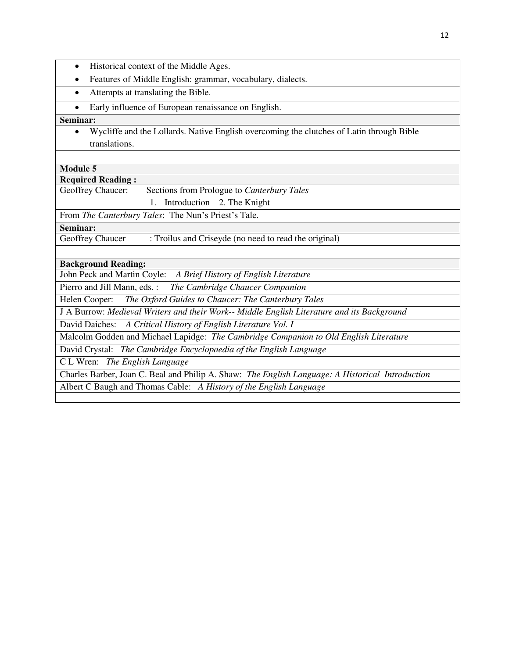| Historical context of the Middle Ages.<br>$\bullet$                                              |
|--------------------------------------------------------------------------------------------------|
| Features of Middle English: grammar, vocabulary, dialects.<br>$\bullet$                          |
| Attempts at translating the Bible.<br>$\bullet$                                                  |
| Early influence of European renaissance on English.                                              |
| Seminar:                                                                                         |
| Wycliffe and the Lollards. Native English overcoming the clutches of Latin through Bible         |
| translations.                                                                                    |
|                                                                                                  |
| <b>Module 5</b>                                                                                  |
| <b>Required Reading:</b>                                                                         |
| Sections from Prologue to Canterbury Tales<br>Geoffrey Chaucer:                                  |
| Introduction 2. The Knight<br>$1_{\cdot}$                                                        |
| From The Canterbury Tales: The Nun's Priest's Tale.                                              |
| Seminar:                                                                                         |
| : Troilus and Criseyde (no need to read the original)<br>Geoffrey Chaucer                        |
|                                                                                                  |
| <b>Background Reading:</b>                                                                       |
| John Peck and Martin Coyle: A Brief History of English Literature                                |
| The Cambridge Chaucer Companion<br>Pierro and Jill Mann, eds. :                                  |
| The Oxford Guides to Chaucer: The Canterbury Tales<br>Helen Cooper:                              |
| J A Burrow: Medieval Writers and their Work-- Middle English Literature and its Background       |
| David Daiches: A Critical History of English Literature Vol. I                                   |
| Malcolm Godden and Michael Lapidge: The Cambridge Companion to Old English Literature            |
| David Crystal: The Cambridge Encyclopaedia of the English Language                               |
| C L Wren: The English Language                                                                   |
| Charles Barber, Joan C. Beal and Philip A. Shaw: The English Language: A Historical Introduction |
| Albert C Baugh and Thomas Cable: A History of the English Language                               |
|                                                                                                  |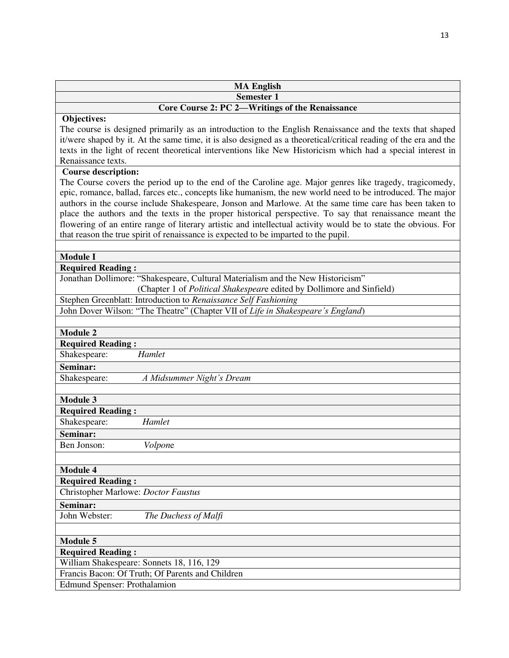| <b>MA English</b>                                                                                                                                                                                                                                                                                                                                                                                                                                                                                                                                                                                                                                                                 |
|-----------------------------------------------------------------------------------------------------------------------------------------------------------------------------------------------------------------------------------------------------------------------------------------------------------------------------------------------------------------------------------------------------------------------------------------------------------------------------------------------------------------------------------------------------------------------------------------------------------------------------------------------------------------------------------|
| <b>Semester 1</b>                                                                                                                                                                                                                                                                                                                                                                                                                                                                                                                                                                                                                                                                 |
| Core Course 2: PC 2-Writings of the Renaissance                                                                                                                                                                                                                                                                                                                                                                                                                                                                                                                                                                                                                                   |
| Objectives:<br>The course is designed primarily as an introduction to the English Renaissance and the texts that shaped<br>it/were shaped by it. At the same time, it is also designed as a theoretical/critical reading of the era and the<br>texts in the light of recent theoretical interventions like New Historicism which had a special interest in<br>Renaissance texts.                                                                                                                                                                                                                                                                                                  |
| <b>Course description:</b><br>The Course covers the period up to the end of the Caroline age. Major genres like tragedy, tragicomedy,<br>epic, romance, ballad, farces etc., concepts like humanism, the new world need to be introduced. The major<br>authors in the course include Shakespeare, Jonson and Marlowe. At the same time care has been taken to<br>place the authors and the texts in the proper historical perspective. To say that renaissance meant the<br>flowering of an entire range of literary artistic and intellectual activity would be to state the obvious. For<br>that reason the true spirit of renaissance is expected to be imparted to the pupil. |
|                                                                                                                                                                                                                                                                                                                                                                                                                                                                                                                                                                                                                                                                                   |
| <b>Module I</b><br><b>Required Reading:</b>                                                                                                                                                                                                                                                                                                                                                                                                                                                                                                                                                                                                                                       |
| Jonathan Dollimore: "Shakespeare, Cultural Materialism and the New Historicism"<br>(Chapter 1 of Political Shakespeare edited by Dollimore and Sinfield)                                                                                                                                                                                                                                                                                                                                                                                                                                                                                                                          |
| Stephen Greenblatt: Introduction to Renaissance Self Fashioning                                                                                                                                                                                                                                                                                                                                                                                                                                                                                                                                                                                                                   |
| John Dover Wilson: "The Theatre" (Chapter VII of Life in Shakespeare's England)                                                                                                                                                                                                                                                                                                                                                                                                                                                                                                                                                                                                   |
| <b>Module 2</b>                                                                                                                                                                                                                                                                                                                                                                                                                                                                                                                                                                                                                                                                   |
| <b>Required Reading:</b>                                                                                                                                                                                                                                                                                                                                                                                                                                                                                                                                                                                                                                                          |
| Shakespeare:<br>Hamlet                                                                                                                                                                                                                                                                                                                                                                                                                                                                                                                                                                                                                                                            |
| Seminar:                                                                                                                                                                                                                                                                                                                                                                                                                                                                                                                                                                                                                                                                          |
| Shakespeare:<br>A Midsummer Night's Dream                                                                                                                                                                                                                                                                                                                                                                                                                                                                                                                                                                                                                                         |
|                                                                                                                                                                                                                                                                                                                                                                                                                                                                                                                                                                                                                                                                                   |
| <b>Module 3</b>                                                                                                                                                                                                                                                                                                                                                                                                                                                                                                                                                                                                                                                                   |
| <b>Required Reading:</b>                                                                                                                                                                                                                                                                                                                                                                                                                                                                                                                                                                                                                                                          |
| Hamlet<br>Shakespeare:                                                                                                                                                                                                                                                                                                                                                                                                                                                                                                                                                                                                                                                            |
| Seminar:                                                                                                                                                                                                                                                                                                                                                                                                                                                                                                                                                                                                                                                                          |
| Ben Jonson:<br>Volpone                                                                                                                                                                                                                                                                                                                                                                                                                                                                                                                                                                                                                                                            |
|                                                                                                                                                                                                                                                                                                                                                                                                                                                                                                                                                                                                                                                                                   |
| <b>Module 4</b>                                                                                                                                                                                                                                                                                                                                                                                                                                                                                                                                                                                                                                                                   |
| <b>Required Reading:</b>                                                                                                                                                                                                                                                                                                                                                                                                                                                                                                                                                                                                                                                          |
| Christopher Marlowe: Doctor Faustus                                                                                                                                                                                                                                                                                                                                                                                                                                                                                                                                                                                                                                               |
| Seminar:                                                                                                                                                                                                                                                                                                                                                                                                                                                                                                                                                                                                                                                                          |
| John Webster:<br>The Duchess of Malfi                                                                                                                                                                                                                                                                                                                                                                                                                                                                                                                                                                                                                                             |
|                                                                                                                                                                                                                                                                                                                                                                                                                                                                                                                                                                                                                                                                                   |
| <b>Module 5</b>                                                                                                                                                                                                                                                                                                                                                                                                                                                                                                                                                                                                                                                                   |
| <b>Required Reading:</b>                                                                                                                                                                                                                                                                                                                                                                                                                                                                                                                                                                                                                                                          |
| William Shakespeare: Sonnets 18, 116, 129                                                                                                                                                                                                                                                                                                                                                                                                                                                                                                                                                                                                                                         |
| Francis Bacon: Of Truth; Of Parents and Children                                                                                                                                                                                                                                                                                                                                                                                                                                                                                                                                                                                                                                  |
| <b>Edmund Spenser: Prothalamion</b>                                                                                                                                                                                                                                                                                                                                                                                                                                                                                                                                                                                                                                               |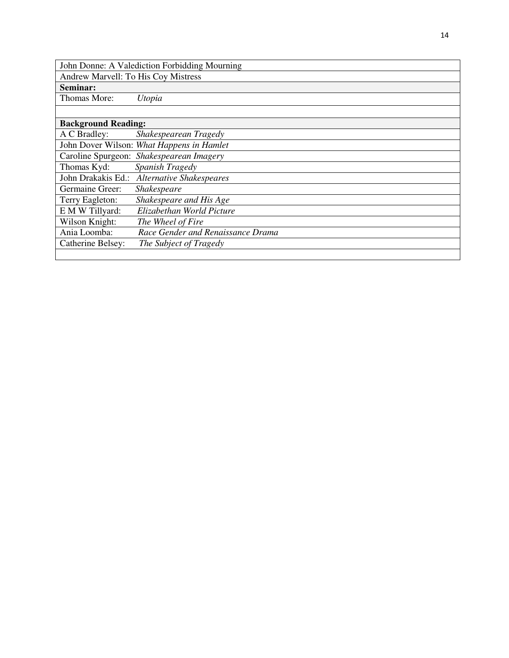| John Donne: A Valediction Forbidding Mourning |                                             |  |
|-----------------------------------------------|---------------------------------------------|--|
| Andrew Marvell: To His Coy Mistress           |                                             |  |
| Seminar:                                      |                                             |  |
| Thomas More:                                  | Utopia                                      |  |
|                                               |                                             |  |
| <b>Background Reading:</b>                    |                                             |  |
| A C Bradley:                                  | Shakespearean Tragedy                       |  |
|                                               | John Dover Wilson: What Happens in Hamlet   |  |
|                                               | Caroline Spurgeon: Shakespearean Imagery    |  |
| Thomas Kyd:                                   | Spanish Tragedy                             |  |
|                                               | John Drakakis Ed.: Alternative Shakespeares |  |
| Germaine Greer:                               | <b>Shakespeare</b>                          |  |
| Terry Eagleton:                               | Shakespeare and His Age                     |  |
| E M W Tillyard:                               | Elizabethan World Picture                   |  |
| Wilson Knight:                                | The Wheel of Fire                           |  |
| Ania Loomba:                                  | Race Gender and Renaissance Drama           |  |
| Catherine Belsey:                             | The Subject of Tragedy                      |  |
|                                               |                                             |  |

a l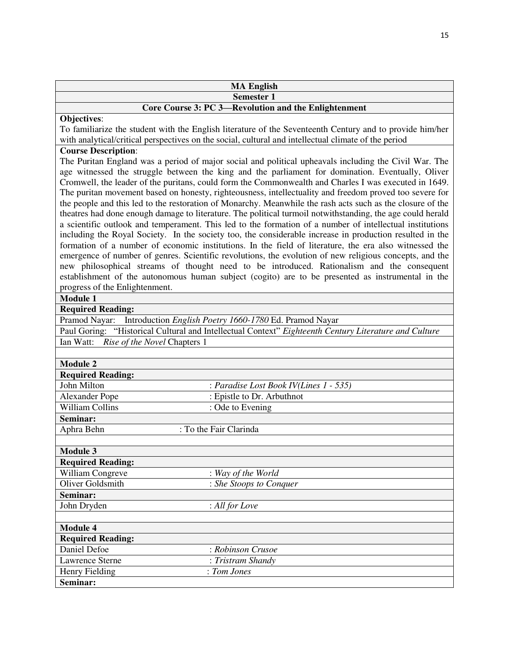|                                        | <b>MA English</b>                                                                                                                                                                                                                                                                                                                                                                                                                                                                                                                                                                                                                                                                                                                                                                                                                                                                                                                                                                              |
|----------------------------------------|------------------------------------------------------------------------------------------------------------------------------------------------------------------------------------------------------------------------------------------------------------------------------------------------------------------------------------------------------------------------------------------------------------------------------------------------------------------------------------------------------------------------------------------------------------------------------------------------------------------------------------------------------------------------------------------------------------------------------------------------------------------------------------------------------------------------------------------------------------------------------------------------------------------------------------------------------------------------------------------------|
|                                        | <b>Semester 1</b>                                                                                                                                                                                                                                                                                                                                                                                                                                                                                                                                                                                                                                                                                                                                                                                                                                                                                                                                                                              |
|                                        | Core Course 3: PC 3-Revolution and the Enlightenment                                                                                                                                                                                                                                                                                                                                                                                                                                                                                                                                                                                                                                                                                                                                                                                                                                                                                                                                           |
| Objectives:                            |                                                                                                                                                                                                                                                                                                                                                                                                                                                                                                                                                                                                                                                                                                                                                                                                                                                                                                                                                                                                |
|                                        | To familiarize the student with the English literature of the Seventeenth Century and to provide him/her<br>with analytical/critical perspectives on the social, cultural and intellectual climate of the period                                                                                                                                                                                                                                                                                                                                                                                                                                                                                                                                                                                                                                                                                                                                                                               |
| <b>Course Description:</b>             | The Puritan England was a period of major social and political upheavals including the Civil War. The                                                                                                                                                                                                                                                                                                                                                                                                                                                                                                                                                                                                                                                                                                                                                                                                                                                                                          |
|                                        | age witnessed the struggle between the king and the parliament for domination. Eventually, Oliver<br>Cromwell, the leader of the puritans, could form the Commonwealth and Charles I was executed in 1649.<br>The puritan movement based on honesty, righteousness, intellectuality and freedom proved too severe for<br>the people and this led to the restoration of Monarchy. Meanwhile the rash acts such as the closure of the<br>theatres had done enough damage to literature. The political turmoil notwithstanding, the age could herald<br>a scientific outlook and temperament. This led to the formation of a number of intellectual institutions<br>including the Royal Society. In the society too, the considerable increase in production resulted in the<br>formation of a number of economic institutions. In the field of literature, the era also witnessed the<br>emergence of number of genres. Scientific revolutions, the evolution of new religious concepts, and the |
|                                        | new philosophical streams of thought need to be introduced. Rationalism and the consequent<br>establishment of the autonomous human subject (cogito) are to be presented as instrumental in the                                                                                                                                                                                                                                                                                                                                                                                                                                                                                                                                                                                                                                                                                                                                                                                                |
| progress of the Enlightenment.         |                                                                                                                                                                                                                                                                                                                                                                                                                                                                                                                                                                                                                                                                                                                                                                                                                                                                                                                                                                                                |
| <b>Module 1</b>                        |                                                                                                                                                                                                                                                                                                                                                                                                                                                                                                                                                                                                                                                                                                                                                                                                                                                                                                                                                                                                |
| <b>Required Reading:</b>               |                                                                                                                                                                                                                                                                                                                                                                                                                                                                                                                                                                                                                                                                                                                                                                                                                                                                                                                                                                                                |
| Pramod Nayar:                          | Introduction English Poetry 1660-1780 Ed. Pramod Nayar                                                                                                                                                                                                                                                                                                                                                                                                                                                                                                                                                                                                                                                                                                                                                                                                                                                                                                                                         |
|                                        | Paul Goring: "Historical Cultural and Intellectual Context" Eighteenth Century Literature and Culture                                                                                                                                                                                                                                                                                                                                                                                                                                                                                                                                                                                                                                                                                                                                                                                                                                                                                          |
| Ian Watt: Rise of the Novel Chapters 1 |                                                                                                                                                                                                                                                                                                                                                                                                                                                                                                                                                                                                                                                                                                                                                                                                                                                                                                                                                                                                |
| <b>Module 2</b>                        |                                                                                                                                                                                                                                                                                                                                                                                                                                                                                                                                                                                                                                                                                                                                                                                                                                                                                                                                                                                                |
| <b>Required Reading:</b>               |                                                                                                                                                                                                                                                                                                                                                                                                                                                                                                                                                                                                                                                                                                                                                                                                                                                                                                                                                                                                |
| John Milton                            | : Paradise Lost Book IV(Lines 1 - 535)                                                                                                                                                                                                                                                                                                                                                                                                                                                                                                                                                                                                                                                                                                                                                                                                                                                                                                                                                         |
| <b>Alexander Pope</b>                  | : Epistle to Dr. Arbuthnot                                                                                                                                                                                                                                                                                                                                                                                                                                                                                                                                                                                                                                                                                                                                                                                                                                                                                                                                                                     |
| <b>William Collins</b>                 | : Ode to Evening                                                                                                                                                                                                                                                                                                                                                                                                                                                                                                                                                                                                                                                                                                                                                                                                                                                                                                                                                                               |
| Seminar:                               |                                                                                                                                                                                                                                                                                                                                                                                                                                                                                                                                                                                                                                                                                                                                                                                                                                                                                                                                                                                                |
| Aphra Behn                             | : To the Fair Clarinda                                                                                                                                                                                                                                                                                                                                                                                                                                                                                                                                                                                                                                                                                                                                                                                                                                                                                                                                                                         |
| Module 3                               |                                                                                                                                                                                                                                                                                                                                                                                                                                                                                                                                                                                                                                                                                                                                                                                                                                                                                                                                                                                                |
| <b>Required Reading:</b>               |                                                                                                                                                                                                                                                                                                                                                                                                                                                                                                                                                                                                                                                                                                                                                                                                                                                                                                                                                                                                |
| William Congreve                       | : Way of the World                                                                                                                                                                                                                                                                                                                                                                                                                                                                                                                                                                                                                                                                                                                                                                                                                                                                                                                                                                             |
| Oliver Goldsmith                       | : She Stoops to Conquer                                                                                                                                                                                                                                                                                                                                                                                                                                                                                                                                                                                                                                                                                                                                                                                                                                                                                                                                                                        |
| Seminar:                               |                                                                                                                                                                                                                                                                                                                                                                                                                                                                                                                                                                                                                                                                                                                                                                                                                                                                                                                                                                                                |
| John Dryden                            | : All for Love                                                                                                                                                                                                                                                                                                                                                                                                                                                                                                                                                                                                                                                                                                                                                                                                                                                                                                                                                                                 |
|                                        |                                                                                                                                                                                                                                                                                                                                                                                                                                                                                                                                                                                                                                                                                                                                                                                                                                                                                                                                                                                                |
| <b>Module 4</b>                        |                                                                                                                                                                                                                                                                                                                                                                                                                                                                                                                                                                                                                                                                                                                                                                                                                                                                                                                                                                                                |
| <b>Required Reading:</b>               |                                                                                                                                                                                                                                                                                                                                                                                                                                                                                                                                                                                                                                                                                                                                                                                                                                                                                                                                                                                                |
| Daniel Defoe                           | : Robinson Crusoe                                                                                                                                                                                                                                                                                                                                                                                                                                                                                                                                                                                                                                                                                                                                                                                                                                                                                                                                                                              |
| <b>Lawrence Sterne</b>                 | : Tristram Shandy                                                                                                                                                                                                                                                                                                                                                                                                                                                                                                                                                                                                                                                                                                                                                                                                                                                                                                                                                                              |
| Henry Fielding                         | : Tom Jones                                                                                                                                                                                                                                                                                                                                                                                                                                                                                                                                                                                                                                                                                                                                                                                                                                                                                                                                                                                    |
| Seminar:                               |                                                                                                                                                                                                                                                                                                                                                                                                                                                                                                                                                                                                                                                                                                                                                                                                                                                                                                                                                                                                |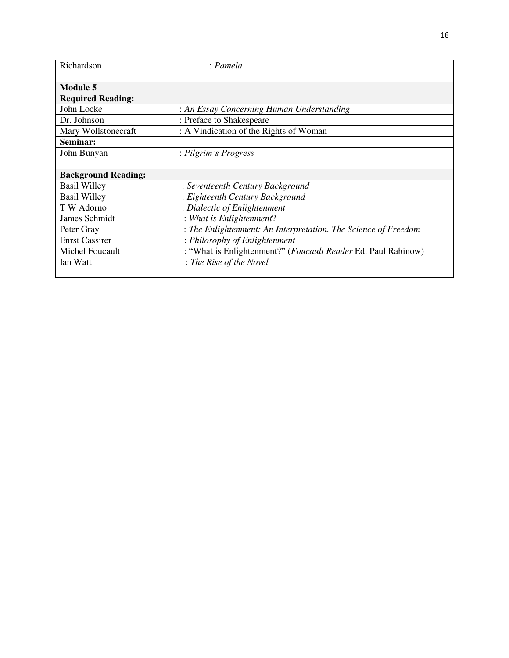| Richardson                 | : Pamela                                                       |
|----------------------------|----------------------------------------------------------------|
|                            |                                                                |
| <b>Module 5</b>            |                                                                |
| <b>Required Reading:</b>   |                                                                |
| John Locke                 | : An Essay Concerning Human Understanding                      |
| Dr. Johnson                | : Preface to Shakespeare                                       |
| Mary Wollstonecraft        | : A Vindication of the Rights of Woman                         |
| Seminar:                   |                                                                |
| John Bunyan                | : Pilgrim's Progress                                           |
|                            |                                                                |
| <b>Background Reading:</b> |                                                                |
| <b>Basil Willey</b>        | : Seventeenth Century Background                               |
| <b>Basil Willey</b>        | : Eighteenth Century Background                                |
| T W Adorno                 | : Dialectic of Enlightenment                                   |
| James Schmidt              | : What is Enlightenment?                                       |
| Peter Gray                 | : The Enlightenment: An Interpretation. The Science of Freedom |
| <b>Enrst Cassirer</b>      | : Philosophy of Enlightenment                                  |
| Michel Foucault            | : "What is Enlightenment?" (Foucault Reader Ed. Paul Rabinow)  |
| Ian Watt                   | : The Rise of the Novel                                        |
|                            |                                                                |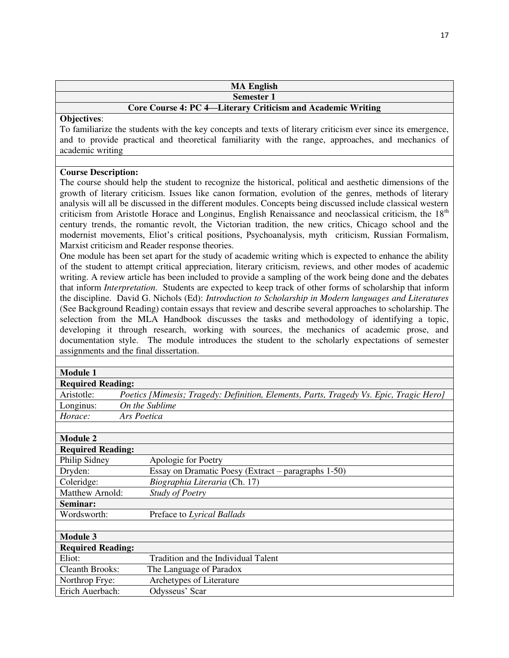| <b>MA English</b>                                           |
|-------------------------------------------------------------|
| Semester 1                                                  |
| Core Course 4: PC 4—Literary Criticism and Academic Writing |

To familiarize the students with the key concepts and texts of literary criticism ever since its emergence, and to provide practical and theoretical familiarity with the range, approaches, and mechanics of academic writing

# **Course Description:**

The course should help the student to recognize the historical, political and aesthetic dimensions of the growth of literary criticism. Issues like canon formation, evolution of the genres, methods of literary analysis will all be discussed in the different modules. Concepts being discussed include classical western criticism from Aristotle Horace and Longinus, English Renaissance and neoclassical criticism, the 18<sup>th</sup> century trends, the romantic revolt, the Victorian tradition, the new critics, Chicago school and the modernist movements, Eliot's critical positions, Psychoanalysis, myth criticism, Russian Formalism, Marxist criticism and Reader response theories.

One module has been set apart for the study of academic writing which is expected to enhance the ability of the student to attempt critical appreciation, literary criticism, reviews, and other modes of academic writing. A review article has been included to provide a sampling of the work being done and the debates that inform *Interpretation*. Students are expected to keep track of other forms of scholarship that inform the discipline. David G. Nichols (Ed): *Introduction to Scholarship in Modern languages and Literatures* (See Background Reading) contain essays that review and describe several approaches to scholarship. The selection from the MLA Handbook discusses the tasks and methodology of identifying a topic, developing it through research, working with sources, the mechanics of academic prose, and documentation style. The module introduces the student to the scholarly expectations of semester assignments and the final dissertation.

| <b>Module 1</b>          |                                                                                        |
|--------------------------|----------------------------------------------------------------------------------------|
| <b>Required Reading:</b> |                                                                                        |
| Aristotle:               | Poetics [Mimesis; Tragedy: Definition, Elements, Parts, Tragedy Vs. Epic, Tragic Hero] |
| Longinus:                | On the Sublime                                                                         |
| Horace:                  | Ars Poetica                                                                            |
|                          |                                                                                        |
| <b>Module 2</b>          |                                                                                        |
| <b>Required Reading:</b> |                                                                                        |
| Philip Sidney            | Apologie for Poetry                                                                    |
| Dryden:                  | Essay on Dramatic Poesy (Extract – paragraphs 1-50)                                    |
| Coleridge:               | Biographia Literaria (Ch. 17)                                                          |
| Matthew Arnold:          | <b>Study of Poetry</b>                                                                 |
| Seminar:                 |                                                                                        |
| Wordsworth:              | Preface to Lyrical Ballads                                                             |
|                          |                                                                                        |
| <b>Module 3</b>          |                                                                                        |
| <b>Required Reading:</b> |                                                                                        |
| Eliot:                   | Tradition and the Individual Talent                                                    |
| <b>Cleanth Brooks:</b>   | The Language of Paradox                                                                |
| Northrop Frye:           | Archetypes of Literature                                                               |
| Erich Auerbach:          | Odysseus' Scar                                                                         |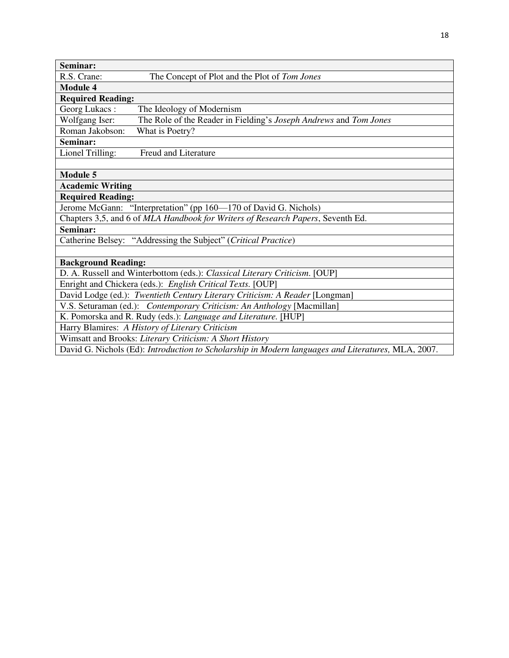| Seminar:                                                                   |                                                                                 |
|----------------------------------------------------------------------------|---------------------------------------------------------------------------------|
| R.S. Crane:                                                                | The Concept of Plot and the Plot of Tom Jones                                   |
| <b>Module 4</b>                                                            |                                                                                 |
| <b>Required Reading:</b>                                                   |                                                                                 |
| Georg Lukacs:<br>The Ideology of Modernism                                 |                                                                                 |
| Wolfgang Iser:                                                             | The Role of the Reader in Fielding's Joseph Andrews and Tom Jones               |
| Roman Jakobson:<br>What is Poetry?                                         |                                                                                 |
| Seminar:                                                                   |                                                                                 |
| Lionel Trilling:<br><b>Freud and Literature</b>                            |                                                                                 |
|                                                                            |                                                                                 |
| <b>Module 5</b>                                                            |                                                                                 |
| <b>Academic Writing</b>                                                    |                                                                                 |
| <b>Required Reading:</b>                                                   |                                                                                 |
| Jerome McGann: "Interpretation" (pp 160—170 of David G. Nichols)           |                                                                                 |
|                                                                            | Chapters 3,5, and 6 of MLA Handbook for Writers of Research Papers, Seventh Ed. |
| Seminar:                                                                   |                                                                                 |
| Catherine Belsey: "Addressing the Subject" (Critical Practice)             |                                                                                 |
|                                                                            |                                                                                 |
| <b>Background Reading:</b>                                                 |                                                                                 |
| D. A. Russell and Winterbottom (eds.): Classical Literary Criticism. [OUP] |                                                                                 |
| Enright and Chickera (eds.): English Critical Texts. [OUP]                 |                                                                                 |
|                                                                            | David Lodge (ed.): Twentieth Century Literary Criticism: A Reader [Longman]     |
| V.S. Seturaman (ed.): Contemporary Criticism: An Anthology [Macmillan]     |                                                                                 |
| K. Pomorska and R. Rudy (eds.): Language and Literature. [HUP]             |                                                                                 |
| Harry Blamires: A History of Literary Criticism                            |                                                                                 |
| Wimsatt and Brooks: Literary Criticism: A Short History                    |                                                                                 |

David G. Nichols (Ed): *Introduction to Scholarship in Modern languages and Literatures,* MLA, 2007.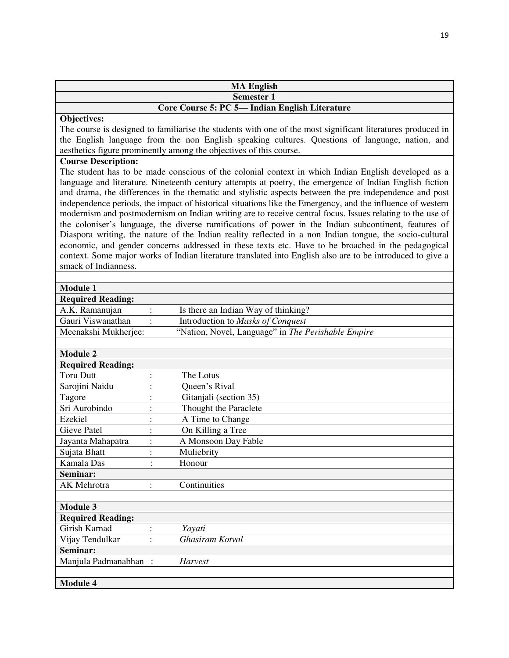|                                    |                | <b>MA English</b>                                                                                                                                                                                                |
|------------------------------------|----------------|------------------------------------------------------------------------------------------------------------------------------------------------------------------------------------------------------------------|
|                                    |                | <b>Semester 1</b>                                                                                                                                                                                                |
|                                    |                | Core Course 5: PC 5- Indian English Literature                                                                                                                                                                   |
| Objectives:                        |                |                                                                                                                                                                                                                  |
|                                    |                | The course is designed to familiarise the students with one of the most significant literatures produced in<br>the English language from the non English speaking cultures. Questions of language, nation, and   |
|                                    |                | aesthetics figure prominently among the objectives of this course.                                                                                                                                               |
| <b>Course Description:</b>         |                |                                                                                                                                                                                                                  |
|                                    |                | The student has to be made conscious of the colonial context in which Indian English developed as a                                                                                                              |
|                                    |                | language and literature. Nineteenth century attempts at poetry, the emergence of Indian English fiction                                                                                                          |
|                                    |                | and drama, the differences in the thematic and stylistic aspects between the pre independence and post                                                                                                           |
|                                    |                | independence periods, the impact of historical situations like the Emergency, and the influence of western                                                                                                       |
|                                    |                | modernism and postmodernism on Indian writing are to receive central focus. Issues relating to the use of                                                                                                        |
|                                    |                | the coloniser's language, the diverse ramifications of power in the Indian subcontinent, features of                                                                                                             |
|                                    |                | Diaspora writing, the nature of the Indian reality reflected in a non Indian tongue, the socio-cultural                                                                                                          |
|                                    |                | economic, and gender concerns addressed in these texts etc. Have to be broached in the pedagogical<br>context. Some major works of Indian literature translated into English also are to be introduced to give a |
| smack of Indianness.               |                |                                                                                                                                                                                                                  |
|                                    |                |                                                                                                                                                                                                                  |
| <b>Module 1</b>                    |                |                                                                                                                                                                                                                  |
| <b>Required Reading:</b>           |                |                                                                                                                                                                                                                  |
| A.K. Ramanujan                     |                | Is there an Indian Way of thinking?                                                                                                                                                                              |
| Gauri Viswanathan                  |                | Introduction to Masks of Conquest                                                                                                                                                                                |
| Meenakshi Mukherjee:               |                | "Nation, Novel, Language" in The Perishable Empire                                                                                                                                                               |
|                                    |                |                                                                                                                                                                                                                  |
| Module <sub>2</sub>                |                |                                                                                                                                                                                                                  |
| <b>Required Reading:</b>           |                |                                                                                                                                                                                                                  |
| <b>Toru Dutt</b><br>Sarojini Naidu |                | The Lotus<br>Queen's Rival                                                                                                                                                                                       |
| Tagore                             | $\ddot{\cdot}$ | Gitanjali (section 35)                                                                                                                                                                                           |
| Sri Aurobindo                      | $\vdots$       | Thought the Paraclete                                                                                                                                                                                            |
| Ezekiel                            |                | A Time to Change                                                                                                                                                                                                 |
| <b>Gieve Patel</b>                 | ÷              | On Killing a Tree                                                                                                                                                                                                |
| Jayanta Mahapatra                  |                | A Monsoon Day Fable                                                                                                                                                                                              |
| Sujata Bhatt                       | $\ddot{\cdot}$ | Muliebrity                                                                                                                                                                                                       |
| Kamala Das                         | $\ddot{\cdot}$ | Honour                                                                                                                                                                                                           |
| Seminar:                           |                |                                                                                                                                                                                                                  |
| AK Mehrotra                        | $\vdots$       | Continuities                                                                                                                                                                                                     |
|                                    |                |                                                                                                                                                                                                                  |
| <b>Module 3</b>                    |                |                                                                                                                                                                                                                  |
| <b>Required Reading:</b>           |                |                                                                                                                                                                                                                  |
| Girish Karnad                      | $\ddot{\cdot}$ | Yayati                                                                                                                                                                                                           |
| Vijay Tendulkar                    | $\vdots$       | Ghasiram Kotval                                                                                                                                                                                                  |
| Seminar:                           |                |                                                                                                                                                                                                                  |
| Manjula Padmanabhan                |                | <b>Harvest</b>                                                                                                                                                                                                   |
| <b>Module 4</b>                    |                |                                                                                                                                                                                                                  |
|                                    |                |                                                                                                                                                                                                                  |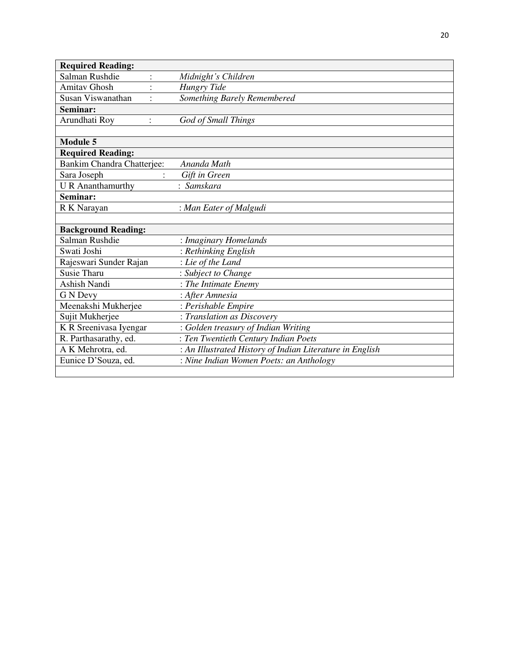| <b>Required Reading:</b>        |                                                          |
|---------------------------------|----------------------------------------------------------|
| Salman Rushdie                  | Midnight's Children                                      |
| <b>Amitav Ghosh</b>             | <b>Hungry Tide</b>                                       |
| Susan Viswanathan               | Something Barely Remembered                              |
| Seminar:                        |                                                          |
| Arundhati Roy<br>$\ddot{\cdot}$ | God of Small Things                                      |
|                                 |                                                          |
| <b>Module 5</b>                 |                                                          |
| <b>Required Reading:</b>        |                                                          |
| Bankim Chandra Chatterjee:      | Ananda Math                                              |
| Sara Joseph                     | Gift in Green                                            |
| <b>U</b> R Ananthamurthy        | : Samskara                                               |
| Seminar:                        |                                                          |
| R K Narayan                     | : Man Eater of Malgudi                                   |
|                                 |                                                          |
| <b>Background Reading:</b>      |                                                          |
| Salman Rushdie                  | : Imaginary Homelands                                    |
| Swati Joshi                     | : Rethinking English                                     |
| Rajeswari Sunder Rajan          | : Lie of the Land                                        |
| <b>Susie Tharu</b>              | : Subject to Change                                      |
| <b>Ashish Nandi</b>             | : The Intimate Enemy                                     |
| G N Devy                        | : After Amnesia                                          |
| Meenakshi Mukherjee             | : Perishable Empire                                      |
| Sujit Mukherjee                 | : Translation as Discovery                               |
| K R Sreenivasa Iyengar          | : Golden treasury of Indian Writing                      |
| R. Parthasarathy, ed.           | : Ten Twentieth Century Indian Poets                     |
| A K Mehrotra, ed.               | : An Illustrated History of Indian Literature in English |
| Eunice D'Souza, ed.             | : Nine Indian Women Poets: an Anthology                  |
|                                 |                                                          |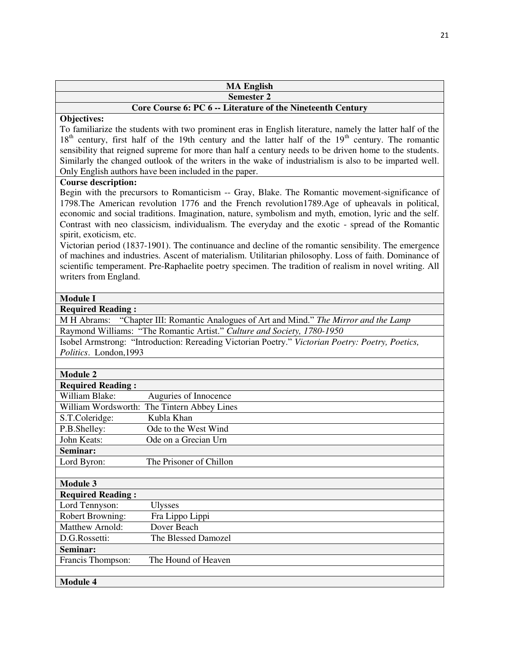| <b>MA English</b>                                           |
|-------------------------------------------------------------|
| <b>Semester 2</b>                                           |
| Core Course 6: PC 6 -- Literature of the Nineteenth Century |

To familiarize the students with two prominent eras in English literature, namely the latter half of the  $18<sup>th</sup>$  century, first half of the 19th century and the latter half of the 19<sup>th</sup> century. The romantic sensibility that reigned supreme for more than half a century needs to be driven home to the students. Similarly the changed outlook of the writers in the wake of industrialism is also to be imparted well. Only English authors have been included in the paper.

#### **Course description:**

Begin with the precursors to Romanticism -- Gray, Blake. The Romantic movement-significance of 1798.The American revolution 1776 and the French revolution1789.Age of upheavals in political, economic and social traditions. Imagination, nature, symbolism and myth, emotion, lyric and the self. Contrast with neo classicism, individualism. The everyday and the exotic - spread of the Romantic spirit, exoticism, etc.

Victorian period (1837-1901). The continuance and decline of the romantic sensibility. The emergence of machines and industries. Ascent of materialism. Utilitarian philosophy. Loss of faith. Dominance of scientific temperament. Pre-Raphaelite poetry specimen. The tradition of realism in novel writing. All writers from England.

#### **Module I**

**Required Reading :** 

M H Abrams: "Chapter III: Romantic Analogues of Art and Mind." *The Mirror and the Lamp* Raymond Williams: "The Romantic Artist." *Culture and Society, 1780-1950*

Isobel Armstrong: "Introduction: Rereading Victorian Poetry." *Victorian Poetry: Poetry, Poetics, Politics*. London,1993

| <b>Module 2</b>          |                                             |
|--------------------------|---------------------------------------------|
| <b>Required Reading:</b> |                                             |
| William Blake:           | Auguries of Innocence                       |
|                          | William Wordsworth: The Tintern Abbey Lines |
| S.T.Coleridge:           | Kubla Khan                                  |
| P.B.Shelley:             | Ode to the West Wind                        |
| John Keats:              | Ode on a Grecian Urn                        |
| Seminar:                 |                                             |
| Lord Byron:              | The Prisoner of Chillon                     |
|                          |                                             |
| <b>Module 3</b>          |                                             |
| <b>Required Reading:</b> |                                             |
| Lord Tennyson:           | <b>Ulysses</b>                              |
| <b>Robert Browning:</b>  | Fra Lippo Lippi                             |
| Matthew Arnold:          | Dover Beach                                 |
| D.G.Rossetti:            | The Blessed Damozel                         |
| Seminar:                 |                                             |
| Francis Thompson:        | The Hound of Heaven                         |
|                          |                                             |
| <b>Module 4</b>          |                                             |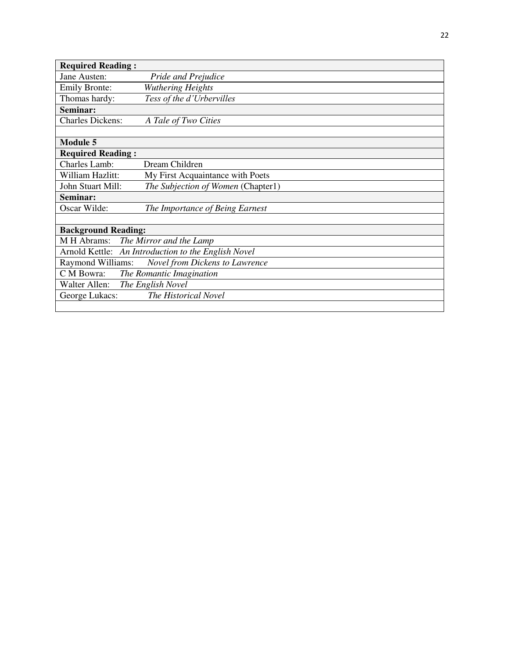| <b>Required Reading:</b>               |                                                     |  |
|----------------------------------------|-----------------------------------------------------|--|
| Jane Austen:                           | Pride and Prejudice                                 |  |
| <b>Emily Bronte:</b>                   | <b>Wuthering Heights</b>                            |  |
| Thomas hardy:                          | Tess of the d'Urbervilles                           |  |
| Seminar:                               |                                                     |  |
| <b>Charles Dickens:</b>                | A Tale of Two Cities                                |  |
|                                        |                                                     |  |
| <b>Module 5</b>                        |                                                     |  |
| <b>Required Reading:</b>               |                                                     |  |
| <b>Charles Lamb:</b>                   | Dream Children                                      |  |
| William Hazlitt:                       | My First Acquaintance with Poets                    |  |
| John Stuart Mill:                      | The Subjection of Women (Chapter1)                  |  |
| Seminar:                               |                                                     |  |
| Oscar Wilde:                           | The Importance of Being Earnest                     |  |
|                                        |                                                     |  |
| <b>Background Reading:</b>             |                                                     |  |
| M H Abrams:                            | The Mirror and the Lamp                             |  |
|                                        | Arnold Kettle: An Introduction to the English Novel |  |
| Raymond Williams:                      | Novel from Dickens to Lawrence                      |  |
| C M Bowra:                             | The Romantic Imagination                            |  |
| Walter Allen: The English Novel        |                                                     |  |
| The Historical Novel<br>George Lukacs: |                                                     |  |
|                                        |                                                     |  |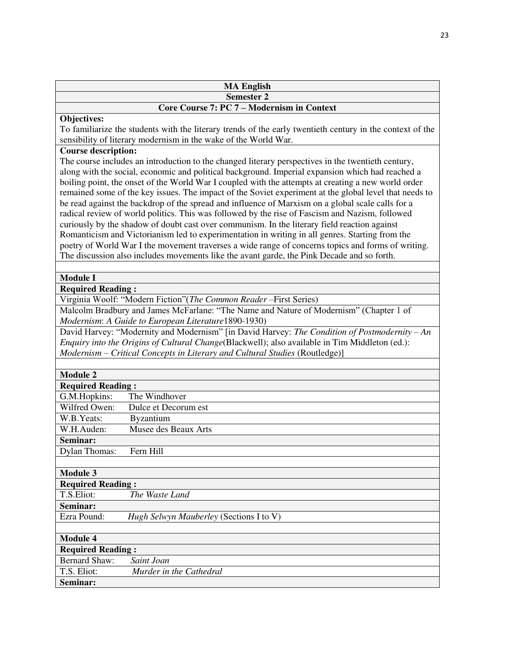| <b>MA English</b>                          |
|--------------------------------------------|
| <b>Semester 2</b>                          |
| Core Course 7: PC 7 – Modernism in Context |

To familiarize the students with the literary trends of the early twentieth century in the context of the sensibility of literary modernism in the wake of the World War.

### **Course description:**

The course includes an introduction to the changed literary perspectives in the twentieth century, along with the social, economic and political background. Imperial expansion which had reached a boiling point, the onset of the World War I coupled with the attempts at creating a new world order remained some of the key issues. The impact of the Soviet experiment at the global level that needs to be read against the backdrop of the spread and influence of Marxism on a global scale calls for a radical review of world politics. This was followed by the rise of Fascism and Nazism, followed curiously by the shadow of doubt cast over communism. In the literary field reaction against Romanticism and Victorianism led to experimentation in writing in all genres. Starting from the poetry of World War I the movement traverses a wide range of concerns topics and forms of writing. The discussion also includes movements like the avant garde, the Pink Decade and so forth.

#### **Module I**

**Required Reading :** 

Virginia Woolf: "Modern Fiction"(*The Common Reader* –First Series)

Malcolm Bradbury and James McFarlane: "The Name and Nature of Modernism" (Chapter 1 of *Modernism*: *A Guide to European Literature*1890-1930)

David Harvey: "Modernity and Modernism" [in David Harvey: *The Condition of Postmodernity – An Enquiry into the Origins of Cultural Change*(Blackwell); also available in Tim Middleton (ed.): *Modernism – Critical Concepts in Literary and Cultural Studies* (Routledge)]

#### **Module 2**

| iviouuit 2               |                                         |  |
|--------------------------|-----------------------------------------|--|
| <b>Required Reading:</b> |                                         |  |
| G.M.Hopkins:             | The Windhover                           |  |
| Wilfred Owen:            | Dulce et Decorum est                    |  |
| W.B.Yeats:               | <b>Byzantium</b>                        |  |
| W.H.Auden:               | Musee des Beaux Arts                    |  |
| Seminar:                 |                                         |  |
| <b>Dylan Thomas:</b>     | Fern Hill                               |  |
|                          |                                         |  |
| <b>Module 3</b>          |                                         |  |
| <b>Required Reading:</b> |                                         |  |
| T.S.Eliot:               | The Waste Land                          |  |
| Seminar:                 |                                         |  |
| Ezra Pound:              | Hugh Selwyn Mauberley (Sections I to V) |  |
|                          |                                         |  |
| <b>Module 4</b>          |                                         |  |
| <b>Required Reading:</b> |                                         |  |
| <b>Bernard Shaw:</b>     | Saint Joan                              |  |
| T.S. Eliot:              | Murder in the Cathedral                 |  |
| Seminar:                 |                                         |  |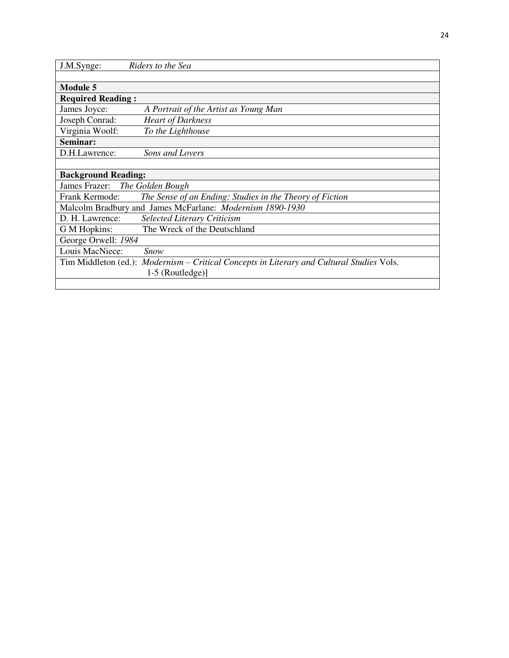| J.M.Synge:                                                | Riders to the Sea                                                                         |  |
|-----------------------------------------------------------|-------------------------------------------------------------------------------------------|--|
|                                                           |                                                                                           |  |
| <b>Module 5</b>                                           |                                                                                           |  |
| <b>Required Reading:</b>                                  |                                                                                           |  |
| James Joyce:                                              | A Portrait of the Artist as Young Man                                                     |  |
| Joseph Conrad:                                            | <b>Heart of Darkness</b>                                                                  |  |
| Virginia Woolf:                                           | To the Lighthouse                                                                         |  |
| Seminar:                                                  |                                                                                           |  |
| D.H.Lawrence:                                             | Sons and Lovers                                                                           |  |
|                                                           |                                                                                           |  |
| <b>Background Reading:</b>                                |                                                                                           |  |
|                                                           | James Frazer: The Golden Bough                                                            |  |
| Frank Kermode:                                            | The Sense of an Ending: Studies in the Theory of Fiction                                  |  |
| Malcolm Bradbury and James McFarlane: Modernism 1890-1930 |                                                                                           |  |
| D. H. Lawrence:                                           | <b>Selected Literary Criticism</b>                                                        |  |
| G M Hopkins:                                              | The Wreck of the Deutschland                                                              |  |
| George Orwell: 1984                                       |                                                                                           |  |
| Louis MacNiece:                                           | Snow                                                                                      |  |
|                                                           | Tim Middleton (ed.): Modernism – Critical Concepts in Literary and Cultural Studies Vols. |  |
|                                                           | $1-5$ (Routledge)]                                                                        |  |
|                                                           |                                                                                           |  |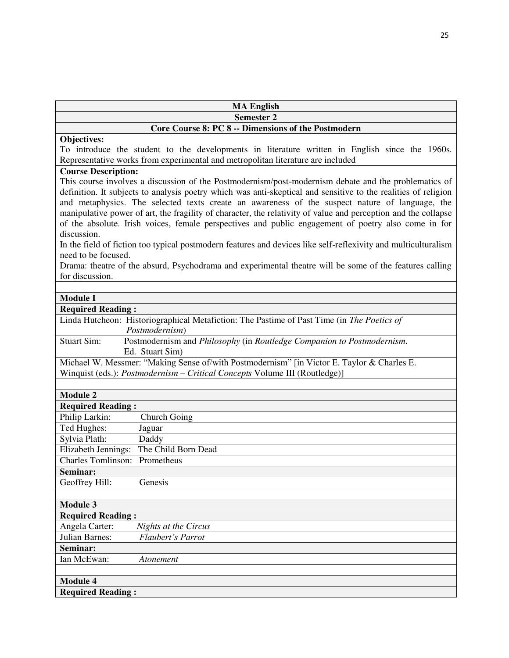| <b>MA English</b>                                                                                                                                                                                                                                                                                                                                                                                                                                                                                                                                                                                                                                                                  |
|------------------------------------------------------------------------------------------------------------------------------------------------------------------------------------------------------------------------------------------------------------------------------------------------------------------------------------------------------------------------------------------------------------------------------------------------------------------------------------------------------------------------------------------------------------------------------------------------------------------------------------------------------------------------------------|
| <b>Semester 2</b>                                                                                                                                                                                                                                                                                                                                                                                                                                                                                                                                                                                                                                                                  |
| Core Course 8: PC 8 -- Dimensions of the Postmodern                                                                                                                                                                                                                                                                                                                                                                                                                                                                                                                                                                                                                                |
| Objectives:                                                                                                                                                                                                                                                                                                                                                                                                                                                                                                                                                                                                                                                                        |
| To introduce the student to the developments in literature written in English since the 1960s.                                                                                                                                                                                                                                                                                                                                                                                                                                                                                                                                                                                     |
| Representative works from experimental and metropolitan literature are included                                                                                                                                                                                                                                                                                                                                                                                                                                                                                                                                                                                                    |
| <b>Course Description:</b>                                                                                                                                                                                                                                                                                                                                                                                                                                                                                                                                                                                                                                                         |
| This course involves a discussion of the Postmodernism/post-modernism debate and the problematics of<br>definition. It subjects to analysis poetry which was anti-skeptical and sensitive to the realities of religion<br>and metaphysics. The selected texts create an awareness of the suspect nature of language, the<br>manipulative power of art, the fragility of character, the relativity of value and perception and the collapse<br>of the absolute. Irish voices, female perspectives and public engagement of poetry also come in for<br>discussion.<br>In the field of fiction too typical postmodern features and devices like self-reflexivity and multiculturalism |
| need to be focused.                                                                                                                                                                                                                                                                                                                                                                                                                                                                                                                                                                                                                                                                |
| Drama: theatre of the absurd, Psychodrama and experimental theatre will be some of the features calling<br>for discussion.                                                                                                                                                                                                                                                                                                                                                                                                                                                                                                                                                         |
|                                                                                                                                                                                                                                                                                                                                                                                                                                                                                                                                                                                                                                                                                    |
| <b>Module I</b>                                                                                                                                                                                                                                                                                                                                                                                                                                                                                                                                                                                                                                                                    |
| <b>Required Reading:</b>                                                                                                                                                                                                                                                                                                                                                                                                                                                                                                                                                                                                                                                           |
| Linda Hutcheon: Historiographical Metafiction: The Pastime of Past Time (in The Poetics of<br>Postmodernism)                                                                                                                                                                                                                                                                                                                                                                                                                                                                                                                                                                       |
| Postmodernism and Philosophy (in Routledge Companion to Postmodernism.<br><b>Stuart Sim:</b>                                                                                                                                                                                                                                                                                                                                                                                                                                                                                                                                                                                       |
| Ed. Stuart Sim)                                                                                                                                                                                                                                                                                                                                                                                                                                                                                                                                                                                                                                                                    |
| Michael W. Messmer: "Making Sense of/with Postmodernism" [in Victor E. Taylor & Charles E.<br>Winquist (eds.): <i>Postmodernism – Critical Concepts</i> Volume III (Routledge)]                                                                                                                                                                                                                                                                                                                                                                                                                                                                                                    |
| <b>Module 2</b>                                                                                                                                                                                                                                                                                                                                                                                                                                                                                                                                                                                                                                                                    |
| <b>Required Reading:</b>                                                                                                                                                                                                                                                                                                                                                                                                                                                                                                                                                                                                                                                           |
| Philip Larkin:<br>Church Going                                                                                                                                                                                                                                                                                                                                                                                                                                                                                                                                                                                                                                                     |
| Ted Hughes:<br>Jaguar                                                                                                                                                                                                                                                                                                                                                                                                                                                                                                                                                                                                                                                              |
| Sylvia Plath:                                                                                                                                                                                                                                                                                                                                                                                                                                                                                                                                                                                                                                                                      |
| Daddy<br>Elizabeth Jennings: The Child Born Dead                                                                                                                                                                                                                                                                                                                                                                                                                                                                                                                                                                                                                                   |
|                                                                                                                                                                                                                                                                                                                                                                                                                                                                                                                                                                                                                                                                                    |
| Charles Tomlinson: Prometheus                                                                                                                                                                                                                                                                                                                                                                                                                                                                                                                                                                                                                                                      |
| Seminar:                                                                                                                                                                                                                                                                                                                                                                                                                                                                                                                                                                                                                                                                           |
| Genesis<br>Geoffrey Hill:                                                                                                                                                                                                                                                                                                                                                                                                                                                                                                                                                                                                                                                          |
| <b>Module 3</b>                                                                                                                                                                                                                                                                                                                                                                                                                                                                                                                                                                                                                                                                    |
| <b>Required Reading:</b>                                                                                                                                                                                                                                                                                                                                                                                                                                                                                                                                                                                                                                                           |
| Angela Carter:<br>Nights at the Circus                                                                                                                                                                                                                                                                                                                                                                                                                                                                                                                                                                                                                                             |
| Julian Barnes:<br>Flaubert's Parrot                                                                                                                                                                                                                                                                                                                                                                                                                                                                                                                                                                                                                                                |
| Seminar:                                                                                                                                                                                                                                                                                                                                                                                                                                                                                                                                                                                                                                                                           |
| Ian McEwan:<br>Atonement                                                                                                                                                                                                                                                                                                                                                                                                                                                                                                                                                                                                                                                           |
| <b>Module 4</b>                                                                                                                                                                                                                                                                                                                                                                                                                                                                                                                                                                                                                                                                    |
| <b>Required Reading:</b>                                                                                                                                                                                                                                                                                                                                                                                                                                                                                                                                                                                                                                                           |
|                                                                                                                                                                                                                                                                                                                                                                                                                                                                                                                                                                                                                                                                                    |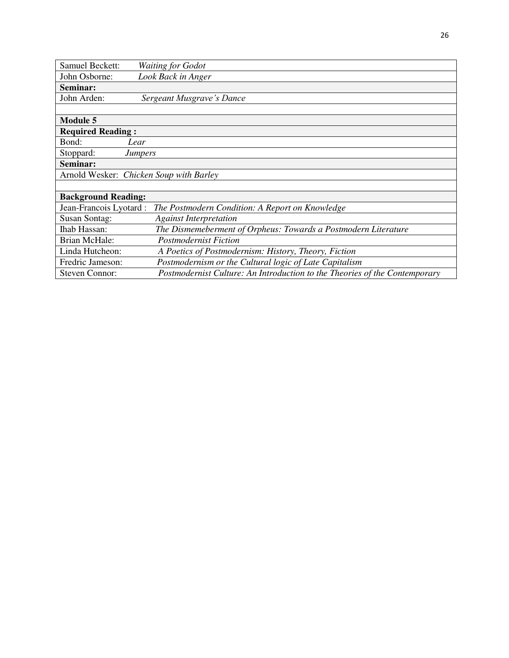| Samuel Beckett:            | <b>Waiting for Godot</b>                                                   |
|----------------------------|----------------------------------------------------------------------------|
| John Osborne:              | Look Back in Anger                                                         |
| Seminar:                   |                                                                            |
| John Arden:                | Sergeant Musgrave's Dance                                                  |
|                            |                                                                            |
| <b>Module 5</b>            |                                                                            |
| <b>Required Reading:</b>   |                                                                            |
| Bond:                      | Lear                                                                       |
| Stoppard:                  | <b>Jumpers</b>                                                             |
| Seminar:                   |                                                                            |
|                            | Arnold Wesker: Chicken Soup with Barley                                    |
|                            |                                                                            |
| <b>Background Reading:</b> |                                                                            |
| Jean-Francois Lyotard :    | The Postmodern Condition: A Report on Knowledge                            |
| <b>Susan Sontag:</b>       | <b>Against Interpretation</b>                                              |
| <b>Ihab Hassan:</b>        | The Dismemeberment of Orpheus: Towards a Postmodern Literature             |
| <b>Brian McHale:</b>       | <b>Postmodernist Fiction</b>                                               |
| Linda Hutcheon:            | A Poetics of Postmodernism: History, Theory, Fiction                       |
| Fredric Jameson:           | Postmodernism or the Cultural logic of Late Capitalism                     |
| Steven Connor:             | Postmodernist Culture: An Introduction to the Theories of the Contemporary |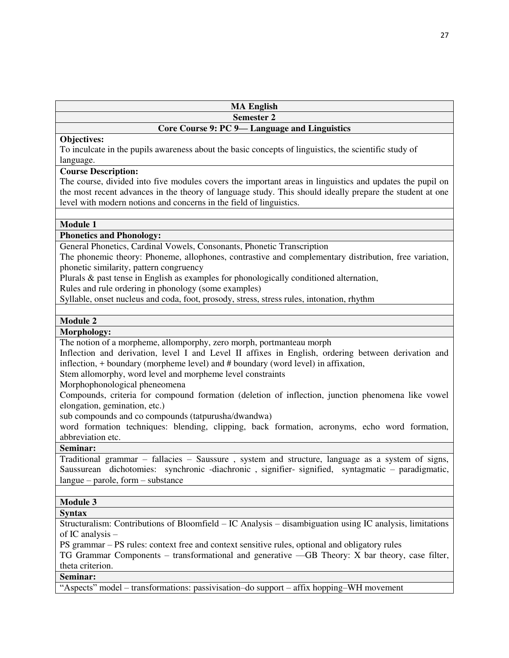| <b>MA English</b> |  |
|-------------------|--|
| <b>Semester 2</b> |  |

### **Core Course 9: PC 9— Language and Linguistics**

#### **Objectives:**

To inculcate in the pupils awareness about the basic concepts of linguistics, the scientific study of language.

#### **Course Description:**

The course, divided into five modules covers the important areas in linguistics and updates the pupil on the most recent advances in the theory of language study. This should ideally prepare the student at one level with modern notions and concerns in the field of linguistics.

#### **Module 1**

#### **Phonetics and Phonology:**

General Phonetics, Cardinal Vowels, Consonants, Phonetic Transcription

The phonemic theory: Phoneme, allophones, contrastive and complementary distribution, free variation, phonetic similarity, pattern congruency

Plurals & past tense in English as examples for phonologically conditioned alternation,

Rules and rule ordering in phonology (some examples)

Syllable, onset nucleus and coda, foot, prosody, stress, stress rules, intonation, rhythm

#### **Module 2**

#### **Morphology:**

The notion of a morpheme, allomporphy, zero morph, portmanteau morph

Inflection and derivation, level I and Level II affixes in English, ordering between derivation and inflection, + boundary (morpheme level) and # boundary (word level) in affixation,

Stem allomorphy, word level and morpheme level constraints

Morphophonological pheneomena

Compounds, criteria for compound formation (deletion of inflection, junction phenomena like vowel elongation, gemination, etc.)

sub compounds and co compounds (tatpurusha/dwandwa)

word formation techniques: blending, clipping, back formation, acronyms, echo word formation, abbreviation etc.

**Seminar:** 

Traditional grammar – fallacies – Saussure , system and structure, language as a system of signs, Saussurean dichotomies: synchronic -diachronic , signifier- signified, syntagmatic – paradigmatic, langue – parole, form – substance

#### **Module 3**

#### **Syntax**

Structuralism: Contributions of Bloomfield – IC Analysis – disambiguation using IC analysis, limitations of IC analysis –

PS grammar – PS rules: context free and context sensitive rules, optional and obligatory rules

TG Grammar Components – transformational and generative ––GB Theory: X bar theory, case filter, theta criterion.

# **Seminar:**

"Aspects" model – transformations: passivisation–do support – affix hopping–WH movement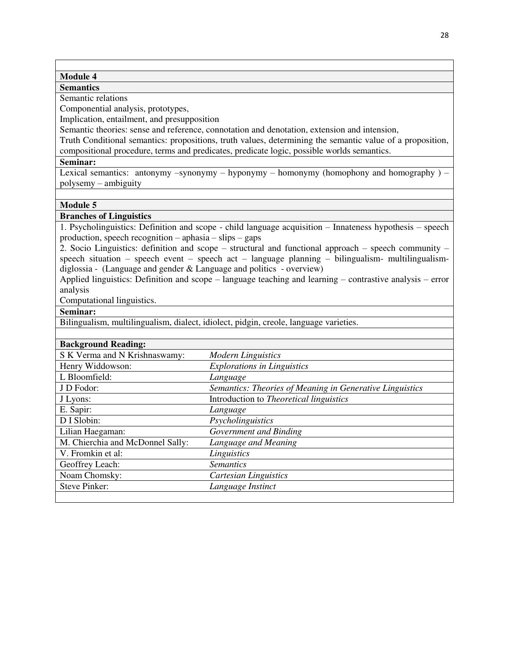#### **Module 4**

#### **Semantics**

Semantic relations

Componential analysis, prototypes,

Implication, entailment, and presupposition

Semantic theories: sense and reference, connotation and denotation, extension and intension,

Truth Conditional semantics: propositions, truth values, determining the semantic value of a proposition, compositional procedure, terms and predicates, predicate logic, possible worlds semantics.

#### **Seminar:**

Lexical semantics: antonymy –synonymy – hyponymy – homonymy (homophony and homography  $)$  – polysemy – ambiguity

#### **Module 5**

#### **Branches of Linguistics**

1. Psycholinguistics: Definition and scope - child language acquisition – Innateness hypothesis – speech production, speech recognition – aphasia – slips – gaps

2. Socio Linguistics: definition and scope – structural and functional approach – speech community – speech situation – speech event – speech act – language planning – bilingualism- multilingualismdiglossia - (Language and gender & Language and politics - overview)

Applied linguistics: Definition and scope – language teaching and learning – contrastive analysis – error analysis

Computational linguistics.

#### **Seminar:**

Bilingualism, multilingualism, dialect, idiolect, pidgin, creole, language varieties.

| S K Verma and N Krishnaswamy:    | <b>Modern Linguistics</b>                                |
|----------------------------------|----------------------------------------------------------|
| Henry Widdowson:                 | <b>Explorations in Linguistics</b>                       |
| L Bloomfield:                    | Language                                                 |
| J D Fodor:                       | Semantics: Theories of Meaning in Generative Linguistics |
| J Lyons:                         | Introduction to <i>Theoretical linguistics</i>           |
| E. Sapir:                        | Language                                                 |
| D I Slobin:                      | Psycholinguistics                                        |
| Lilian Haegaman:                 | Government and Binding                                   |
| M. Chierchia and McDonnel Sally: | Language and Meaning                                     |
| V. Fromkin et al:                | Linguistics                                              |
| Geoffrey Leach:                  | <b>Semantics</b>                                         |
| Noam Chomsky:                    | Cartesian Linguistics                                    |
| <b>Steve Pinker:</b>             | Language Instinct                                        |
|                                  |                                                          |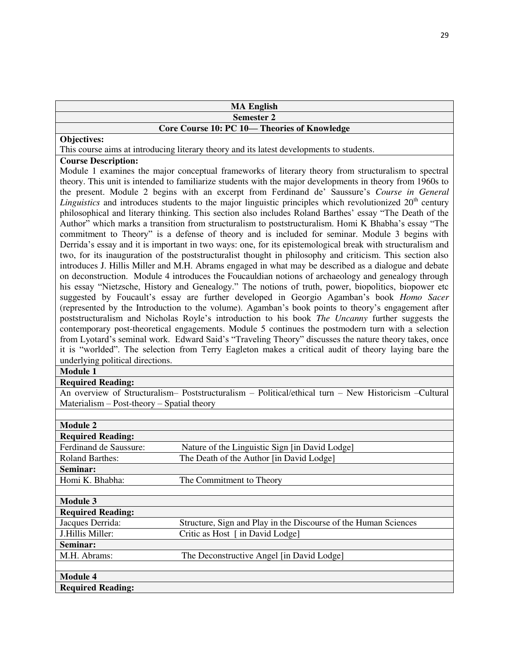| <b>MA English</b>                                                                                                                                                                                |  |
|--------------------------------------------------------------------------------------------------------------------------------------------------------------------------------------------------|--|
| <b>Semester 2</b>                                                                                                                                                                                |  |
| Core Course 10: PC 10-Theories of Knowledge                                                                                                                                                      |  |
| Objectives:                                                                                                                                                                                      |  |
| This course aims at introducing literary theory and its latest developments to students.                                                                                                         |  |
| <b>Course Description:</b>                                                                                                                                                                       |  |
| Module 1 examines the major conceptual frameworks of literary theory from structuralism to spectral                                                                                              |  |
| theory. This unit is intended to familiarize students with the major developments in theory from 1960s to                                                                                        |  |
| the present. Module 2 begins with an excerpt from Ferdinand de' Saussure's Course in General                                                                                                     |  |
| <i>Linguistics</i> and introduces students to the major linguistic principles which revolutionized $20th$ century                                                                                |  |
| philosophical and literary thinking. This section also includes Roland Barthes' essay "The Death of the                                                                                          |  |
| Author" which marks a transition from structuralism to poststructuralism. Homi K Bhabha's essay "The                                                                                             |  |
| commitment to Theory" is a defense of theory and is included for seminar. Module 3 begins with                                                                                                   |  |
| Derrida's essay and it is important in two ways: one, for its epistemological break with structuralism and                                                                                       |  |
| two, for its inauguration of the poststructuralist thought in philosophy and criticism. This section also                                                                                        |  |
| introduces J. Hillis Miller and M.H. Abrams engaged in what may be described as a dialogue and debate                                                                                            |  |
| on deconstruction. Module 4 introduces the Foucauldian notions of archaeology and genealogy through                                                                                              |  |
| his essay "Nietzsche, History and Genealogy." The notions of truth, power, biopolitics, biopower etc<br>suggested by Foucault's essay are further developed in Georgio Agamban's book Homo Sacer |  |
| (represented by the Introduction to the volume). Agamban's book points to theory's engagement after                                                                                              |  |
| poststructuralism and Nicholas Royle's introduction to his book The Uncanny further suggests the                                                                                                 |  |
| contemporary post-theoretical engagements. Module 5 continues the postmodern turn with a selection                                                                                               |  |
| from Lyotard's seminal work. Edward Said's "Traveling Theory" discusses the nature theory takes, once                                                                                            |  |
| it is "worlded". The selection from Terry Eagleton makes a critical audit of theory laying bare the                                                                                              |  |
| underlying political directions.                                                                                                                                                                 |  |
| <b>Module 1</b>                                                                                                                                                                                  |  |
| <b>Required Reading:</b>                                                                                                                                                                         |  |
| An overview of Structuralism- Poststructuralism - Political/ethical turn - New Historicism - Cultural                                                                                            |  |
| Materialism $-$ Post-theory $-$ Spatial theory                                                                                                                                                   |  |
|                                                                                                                                                                                                  |  |
| <b>Module 2</b>                                                                                                                                                                                  |  |

| Module 2                 |                                                                 |
|--------------------------|-----------------------------------------------------------------|
| <b>Required Reading:</b> |                                                                 |
| Ferdinand de Saussure:   | Nature of the Linguistic Sign [in David Lodge]                  |
| <b>Roland Barthes:</b>   | The Death of the Author [in David Lodge]                        |
| Seminar:                 |                                                                 |
| Homi K. Bhabha:          | The Commitment to Theory                                        |
|                          |                                                                 |
| <b>Module 3</b>          |                                                                 |
| <b>Required Reading:</b> |                                                                 |
| Jacques Derrida:         | Structure, Sign and Play in the Discourse of the Human Sciences |
| J.Hillis Miller:         | Critic as Host [ in David Lodge]                                |
| Seminar:                 |                                                                 |
| M.H. Abrams:             | The Deconstructive Angel [in David Lodge]                       |
|                          |                                                                 |
| <b>Module 4</b>          |                                                                 |
| <b>Required Reading:</b> |                                                                 |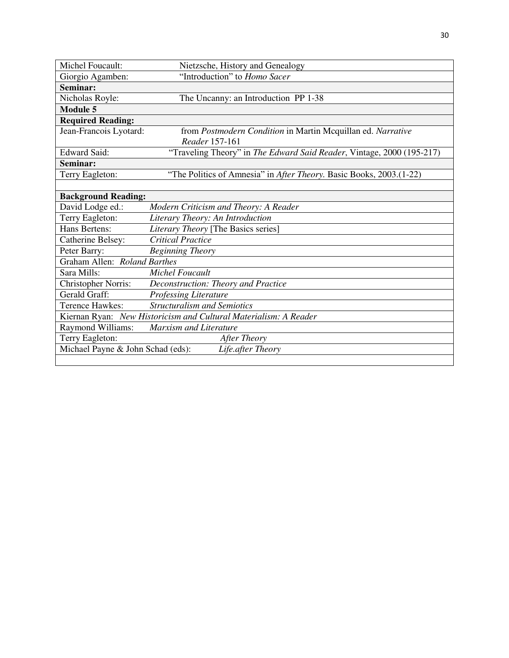| Michel Foucault:                  | Nietzsche, History and Genealogy                                      |
|-----------------------------------|-----------------------------------------------------------------------|
| Giorgio Agamben:                  | "Introduction" to Homo Sacer                                          |
| Seminar:                          |                                                                       |
| Nicholas Royle:                   | The Uncanny: an Introduction PP 1-38                                  |
| <b>Module 5</b>                   |                                                                       |
| <b>Required Reading:</b>          |                                                                       |
| Jean-Francois Lyotard:            | from Postmodern Condition in Martin Mcquillan ed. Narrative           |
|                                   | Reader 157-161                                                        |
| Edward Said:                      | "Traveling Theory" in The Edward Said Reader, Vintage, 2000 (195-217) |
| Seminar:                          |                                                                       |
| Terry Eagleton:                   | "The Politics of Amnesia" in After Theory. Basic Books, 2003.(1-22)   |
|                                   |                                                                       |
| <b>Background Reading:</b>        |                                                                       |
| David Lodge ed.:                  | Modern Criticism and Theory: A Reader                                 |
| Terry Eagleton:                   | Literary Theory: An Introduction                                      |
| Hans Bertens:                     | Literary Theory [The Basics series]                                   |
| Catherine Belsey:                 | <b>Critical Practice</b>                                              |
| Peter Barry:                      | <b>Beginning Theory</b>                                               |
| Graham Allen: Roland Barthes      |                                                                       |
| Sara Mills:                       | <b>Michel Foucault</b>                                                |
| <b>Christopher Norris:</b>        | Deconstruction: Theory and Practice                                   |
| Gerald Graff:                     | <b>Professing Literature</b>                                          |
| Terence Hawkes:                   | <b>Structuralism and Semiotics</b>                                    |
|                                   | Kiernan Ryan: New Historicism and Cultural Materialism: A Reader      |
| Raymond Williams:                 | Marxism and Literature                                                |
| Terry Eagleton:                   | After Theory                                                          |
| Michael Payne & John Schad (eds): | Life.after Theory                                                     |
|                                   |                                                                       |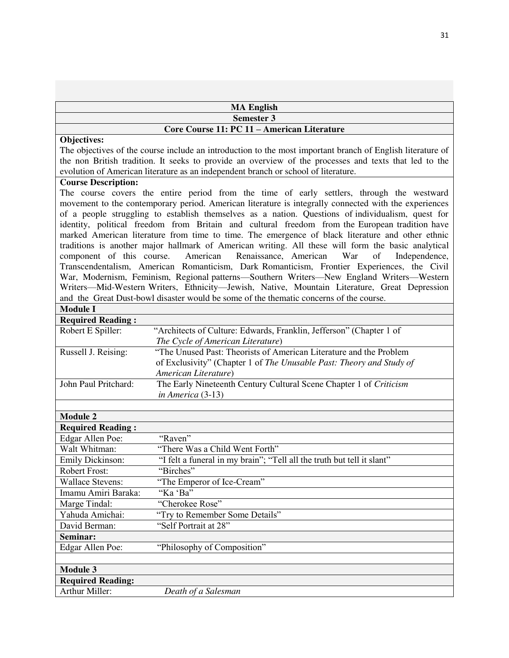| <b>MA English</b>                                                                                                                                                                                                                                                                                                        |                                                                                                                                                                                                                                                                                                                                                                                                                                                                                                                                                                                                                                                                                                                                                                                                                                                                                                                                                                                                                                                                            |  |
|--------------------------------------------------------------------------------------------------------------------------------------------------------------------------------------------------------------------------------------------------------------------------------------------------------------------------|----------------------------------------------------------------------------------------------------------------------------------------------------------------------------------------------------------------------------------------------------------------------------------------------------------------------------------------------------------------------------------------------------------------------------------------------------------------------------------------------------------------------------------------------------------------------------------------------------------------------------------------------------------------------------------------------------------------------------------------------------------------------------------------------------------------------------------------------------------------------------------------------------------------------------------------------------------------------------------------------------------------------------------------------------------------------------|--|
|                                                                                                                                                                                                                                                                                                                          | <b>Semester 3</b>                                                                                                                                                                                                                                                                                                                                                                                                                                                                                                                                                                                                                                                                                                                                                                                                                                                                                                                                                                                                                                                          |  |
|                                                                                                                                                                                                                                                                                                                          | Core Course 11: PC 11 - American Literature                                                                                                                                                                                                                                                                                                                                                                                                                                                                                                                                                                                                                                                                                                                                                                                                                                                                                                                                                                                                                                |  |
| Objectives:<br>The objectives of the course include an introduction to the most important branch of English literature of<br>the non British tradition. It seeks to provide an overview of the processes and texts that led to the<br>evolution of American literature as an independent branch or school of literature. |                                                                                                                                                                                                                                                                                                                                                                                                                                                                                                                                                                                                                                                                                                                                                                                                                                                                                                                                                                                                                                                                            |  |
| <b>Course Description:</b>                                                                                                                                                                                                                                                                                               |                                                                                                                                                                                                                                                                                                                                                                                                                                                                                                                                                                                                                                                                                                                                                                                                                                                                                                                                                                                                                                                                            |  |
| component of this course.                                                                                                                                                                                                                                                                                                | The course covers the entire period from the time of early settlers, through the westward<br>movement to the contemporary period. American literature is integrally connected with the experiences<br>of a people struggling to establish themselves as a nation. Questions of individualism, quest for<br>identity, political freedom from Britain and cultural freedom from the European tradition have<br>marked American literature from time to time. The emergence of black literature and other ethnic<br>traditions is another major hallmark of American writing. All these will form the basic analytical<br>American<br>Renaissance, American<br>War<br>of<br>Independence,<br>Transcendentalism, American Romanticism, Dark Romanticism, Frontier Experiences, the Civil<br>War, Modernism, Feminism, Regional patterns-Southern Writers-New England Writers-Western<br>Writers-Mid-Western Writers, Ethnicity-Jewish, Native, Mountain Literature, Great Depression<br>and the Great Dust-bowl disaster would be some of the thematic concerns of the course. |  |
| <b>Module I</b>                                                                                                                                                                                                                                                                                                          |                                                                                                                                                                                                                                                                                                                                                                                                                                                                                                                                                                                                                                                                                                                                                                                                                                                                                                                                                                                                                                                                            |  |
| <b>Required Reading:</b>                                                                                                                                                                                                                                                                                                 |                                                                                                                                                                                                                                                                                                                                                                                                                                                                                                                                                                                                                                                                                                                                                                                                                                                                                                                                                                                                                                                                            |  |
| Robert E Spiller:                                                                                                                                                                                                                                                                                                        | "Architects of Culture: Edwards, Franklin, Jefferson" (Chapter 1 of<br>The Cycle of American Literature)                                                                                                                                                                                                                                                                                                                                                                                                                                                                                                                                                                                                                                                                                                                                                                                                                                                                                                                                                                   |  |
| Russell J. Reising:                                                                                                                                                                                                                                                                                                      | "The Unused Past: Theorists of American Literature and the Problem<br>of Exclusivity" (Chapter 1 of The Unusable Past: Theory and Study of<br>American Literature)                                                                                                                                                                                                                                                                                                                                                                                                                                                                                                                                                                                                                                                                                                                                                                                                                                                                                                         |  |
| John Paul Pritchard:                                                                                                                                                                                                                                                                                                     | The Early Nineteenth Century Cultural Scene Chapter 1 of Criticism<br>in America (3-13)                                                                                                                                                                                                                                                                                                                                                                                                                                                                                                                                                                                                                                                                                                                                                                                                                                                                                                                                                                                    |  |
|                                                                                                                                                                                                                                                                                                                          |                                                                                                                                                                                                                                                                                                                                                                                                                                                                                                                                                                                                                                                                                                                                                                                                                                                                                                                                                                                                                                                                            |  |
| <b>Module 2</b>                                                                                                                                                                                                                                                                                                          |                                                                                                                                                                                                                                                                                                                                                                                                                                                                                                                                                                                                                                                                                                                                                                                                                                                                                                                                                                                                                                                                            |  |
| <b>Required Reading:</b>                                                                                                                                                                                                                                                                                                 |                                                                                                                                                                                                                                                                                                                                                                                                                                                                                                                                                                                                                                                                                                                                                                                                                                                                                                                                                                                                                                                                            |  |
| Edgar Allen Poe:<br>Walt Whitman:                                                                                                                                                                                                                                                                                        | "Raven"<br>"There Was a Child Went Forth"                                                                                                                                                                                                                                                                                                                                                                                                                                                                                                                                                                                                                                                                                                                                                                                                                                                                                                                                                                                                                                  |  |
|                                                                                                                                                                                                                                                                                                                          |                                                                                                                                                                                                                                                                                                                                                                                                                                                                                                                                                                                                                                                                                                                                                                                                                                                                                                                                                                                                                                                                            |  |
| Emily Dickinson:                                                                                                                                                                                                                                                                                                         | "I felt a funeral in my brain"; "Tell all the truth but tell it slant"                                                                                                                                                                                                                                                                                                                                                                                                                                                                                                                                                                                                                                                                                                                                                                                                                                                                                                                                                                                                     |  |
| Robert Frost:                                                                                                                                                                                                                                                                                                            | 'Birches''                                                                                                                                                                                                                                                                                                                                                                                                                                                                                                                                                                                                                                                                                                                                                                                                                                                                                                                                                                                                                                                                 |  |
| <b>Wallace Stevens:</b>                                                                                                                                                                                                                                                                                                  | "The Emperor of Ice-Cream"                                                                                                                                                                                                                                                                                                                                                                                                                                                                                                                                                                                                                                                                                                                                                                                                                                                                                                                                                                                                                                                 |  |
| Imamu Amiri Baraka:                                                                                                                                                                                                                                                                                                      | "Ka 'Ba"                                                                                                                                                                                                                                                                                                                                                                                                                                                                                                                                                                                                                                                                                                                                                                                                                                                                                                                                                                                                                                                                   |  |
| Marge Tindal:                                                                                                                                                                                                                                                                                                            | "Cherokee Rose"                                                                                                                                                                                                                                                                                                                                                                                                                                                                                                                                                                                                                                                                                                                                                                                                                                                                                                                                                                                                                                                            |  |
| Yahuda Amichai:                                                                                                                                                                                                                                                                                                          | "Try to Remember Some Details"                                                                                                                                                                                                                                                                                                                                                                                                                                                                                                                                                                                                                                                                                                                                                                                                                                                                                                                                                                                                                                             |  |
| David Berman:                                                                                                                                                                                                                                                                                                            | "Self Portrait at 28"                                                                                                                                                                                                                                                                                                                                                                                                                                                                                                                                                                                                                                                                                                                                                                                                                                                                                                                                                                                                                                                      |  |
| Seminar:                                                                                                                                                                                                                                                                                                                 |                                                                                                                                                                                                                                                                                                                                                                                                                                                                                                                                                                                                                                                                                                                                                                                                                                                                                                                                                                                                                                                                            |  |
| Edgar Allen Poe:                                                                                                                                                                                                                                                                                                         | "Philosophy of Composition"                                                                                                                                                                                                                                                                                                                                                                                                                                                                                                                                                                                                                                                                                                                                                                                                                                                                                                                                                                                                                                                |  |
| <b>Module 3</b>                                                                                                                                                                                                                                                                                                          |                                                                                                                                                                                                                                                                                                                                                                                                                                                                                                                                                                                                                                                                                                                                                                                                                                                                                                                                                                                                                                                                            |  |
|                                                                                                                                                                                                                                                                                                                          |                                                                                                                                                                                                                                                                                                                                                                                                                                                                                                                                                                                                                                                                                                                                                                                                                                                                                                                                                                                                                                                                            |  |
| <b>Required Reading:</b><br>Arthur Miller:                                                                                                                                                                                                                                                                               | Death of a Salesman                                                                                                                                                                                                                                                                                                                                                                                                                                                                                                                                                                                                                                                                                                                                                                                                                                                                                                                                                                                                                                                        |  |
|                                                                                                                                                                                                                                                                                                                          |                                                                                                                                                                                                                                                                                                                                                                                                                                                                                                                                                                                                                                                                                                                                                                                                                                                                                                                                                                                                                                                                            |  |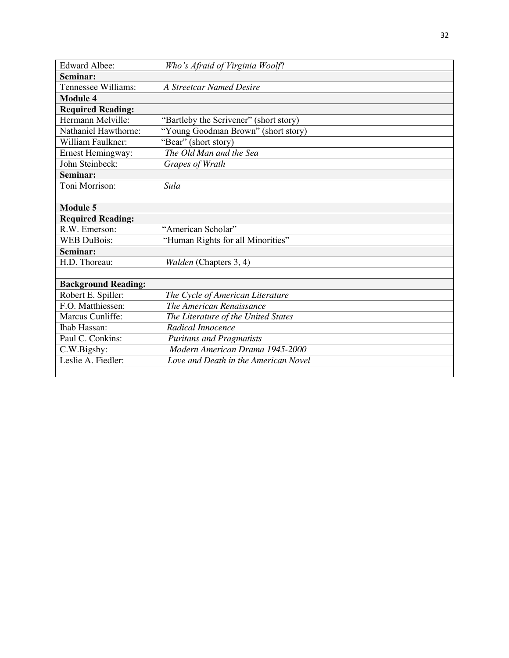| <b>Edward Albee:</b>       | Who's Afraid of Virginia Woolf?        |
|----------------------------|----------------------------------------|
| Seminar:                   |                                        |
| Tennessee Williams:        | <b>A Streetcar Named Desire</b>        |
| Module 4                   |                                        |
| <b>Required Reading:</b>   |                                        |
| Hermann Melville:          | "Bartleby the Scrivener" (short story) |
| Nathaniel Hawthorne:       | "Young Goodman Brown" (short story)    |
| William Faulkner:          | "Bear" (short story)                   |
| <b>Ernest Hemingway:</b>   | The Old Man and the Sea                |
| John Steinbeck:            | Grapes of Wrath                        |
| Seminar:                   |                                        |
| Toni Morrison:             | Sula                                   |
|                            |                                        |
| <b>Module 5</b>            |                                        |
| <b>Required Reading:</b>   |                                        |
| R.W. Emerson:              | "American Scholar"                     |
| <b>WEB DuBois:</b>         | "Human Rights for all Minorities"      |
| Seminar:                   |                                        |
| H.D. Thoreau:              | Walden (Chapters 3, 4)                 |
|                            |                                        |
| <b>Background Reading:</b> |                                        |
| Robert E. Spiller:         | The Cycle of American Literature       |
| F.O. Matthiessen:          | The American Renaissance               |
| Marcus Cunliffe:           | The Literature of the United States    |
| <b>Ihab Hassan:</b>        | Radical Innocence                      |
| Paul C. Conkins:           | <b>Puritans and Pragmatists</b>        |
| C.W.Bigsby:                | Modern American Drama 1945-2000        |
| Leslie A. Fiedler:         | Love and Death in the American Novel   |
|                            |                                        |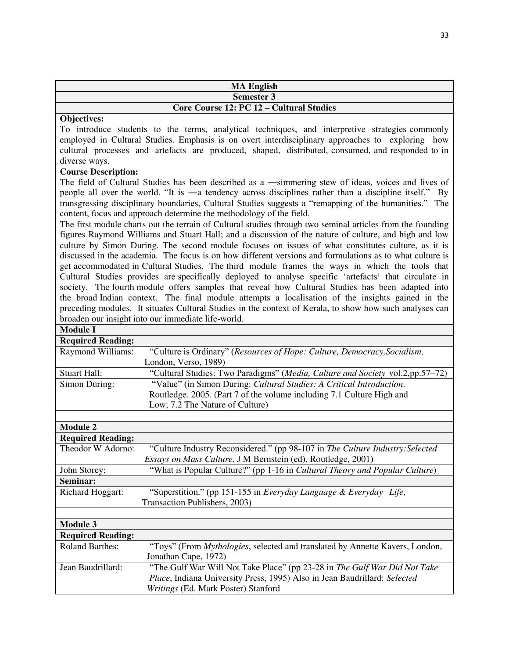| <b>MA English</b>                        |
|------------------------------------------|
| <b>Semester 3</b>                        |
| Core Course 12: PC 12 – Cultural Studies |

To introduce students to the terms, analytical techniques, and interpretive strategies commonly employed in Cultural Studies. Emphasis is on overt interdisciplinary approaches to exploring how cultural processes and artefacts are produced, shaped, distributed, consumed, and responded to in diverse ways.

#### **Course Description:**

The field of Cultural Studies has been described as a ―simmering stew of ideas, voices and lives of people all over the world. "It is ―a tendency across disciplines rather than a discipline itself." By transgressing disciplinary boundaries, Cultural Studies suggests a "remapping of the humanities." The content, focus and approach determine the methodology of the field.

The first module charts out the terrain of Cultural studies through two seminal articles from the founding figures Raymond Williams and Stuart Hall; and a discussion of the nature of culture, and high and low culture by Simon During. The second module focuses on issues of what constitutes culture, as it is discussed in the academia. The focus is on how different versions and formulations as to what culture is get accommodated in Cultural Studies. The third module frames the ways in which the tools that Cultural Studies provides are specifically deployed to analyse specific 'artefacts' that circulate in society. The fourth module offers samples that reveal how Cultural Studies has been adapted into the broad Indian context. The final module attempts a localisation of the insights gained in the preceding modules. It situates Cultural Studies in the context of Kerala, to show how such analyses can broaden our insight into our immediate life-world.

#### **Module I**

| iviouuie 1               |                                                                                      |
|--------------------------|--------------------------------------------------------------------------------------|
| <b>Required Reading:</b> |                                                                                      |
| Raymond Williams:        | "Culture is Ordinary" (Resources of Hope: Culture, Democracy, Socialism,             |
|                          | London, Verso, 1989)                                                                 |
| <b>Stuart Hall:</b>      | "Cultural Studies: Two Paradigms" (Media, Culture and Society vol.2,pp.57-72)        |
| Simon During:            | "Value" (in Simon During: Cultural Studies: A Critical Introduction.                 |
|                          | Routledge. 2005. (Part 7 of the volume including 7.1 Culture High and                |
|                          | Low; 7.2 The Nature of Culture)                                                      |
|                          |                                                                                      |
| <b>Module 2</b>          |                                                                                      |
| <b>Required Reading:</b> |                                                                                      |
| Theodor W Adorno:        | "Culture Industry Reconsidered." (pp 98-107 in The Culture Industry: Selected        |
|                          | Essays on Mass Culture, J M Bernstein (ed), Routledge, 2001)                         |
| John Storey:             | "What is Popular Culture?" (pp 1-16 in Cultural Theory and Popular Culture)          |
| Seminar:                 |                                                                                      |
| Richard Hoggart:         | "Superstition." (pp 151-155 in Everyday Language & Everyday Life,                    |
|                          | Transaction Publishers, 2003)                                                        |
|                          |                                                                                      |
| <b>Module 3</b>          |                                                                                      |
| <b>Required Reading:</b> |                                                                                      |
| <b>Roland Barthes:</b>   | "Toys" (From <i>Mythologies</i> , selected and translated by Annette Kavers, London, |
|                          | Jonathan Cape, 1972)                                                                 |
| Jean Baudrillard:        | "The Gulf War Will Not Take Place" (pp 23-28 in The Gulf War Did Not Take            |
|                          | Place, Indiana University Press, 1995) Also in Jean Baudrillard: Selected            |
|                          | Writings (Ed. Mark Poster) Stanford                                                  |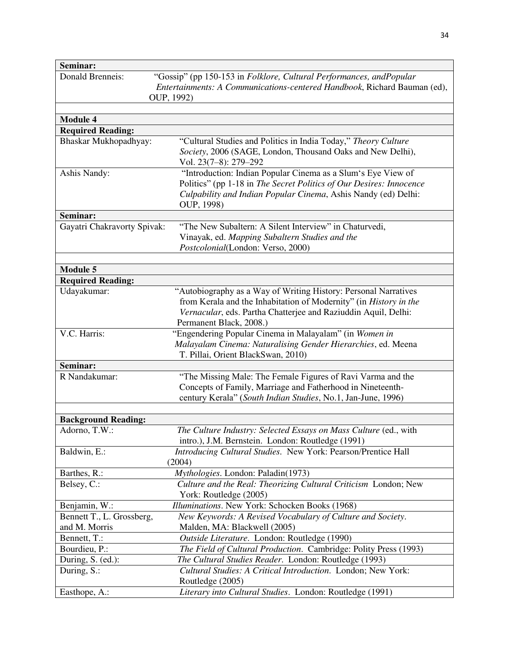| Seminar:                    |                                                                          |
|-----------------------------|--------------------------------------------------------------------------|
| <b>Donald Brenneis:</b>     | "Gossip" (pp 150-153 in Folklore, Cultural Performances, and Popular     |
|                             | Entertainments: A Communications-centered Handbook, Richard Bauman (ed), |
|                             | OUP, 1992)                                                               |
|                             |                                                                          |
| <b>Module 4</b>             |                                                                          |
| <b>Required Reading:</b>    |                                                                          |
| Bhaskar Mukhopadhyay:       | "Cultural Studies and Politics in India Today," Theory Culture           |
|                             | Society, 2006 (SAGE, London, Thousand Oaks and New Delhi),               |
|                             | Vol. 23(7-8): 279-292                                                    |
| Ashis Nandy:                | "Introduction: Indian Popular Cinema as a Slum's Eye View of             |
|                             | Politics" (pp 1-18 in The Secret Politics of Our Desires: Innocence      |
|                             | Culpability and Indian Popular Cinema, Ashis Nandy (ed) Delhi:           |
|                             | OUP, 1998)                                                               |
| Seminar:                    |                                                                          |
| Gayatri Chakravorty Spivak: | "The New Subaltern: A Silent Interview" in Chaturvedi,                   |
|                             | Vinayak, ed. Mapping Subaltern Studies and the                           |
|                             | Postcolonial(London: Verso, 2000)                                        |
|                             |                                                                          |
| <b>Module 5</b>             |                                                                          |
| <b>Required Reading:</b>    |                                                                          |
| Udayakumar:                 | "Autobiography as a Way of Writing History: Personal Narratives          |
|                             | from Kerala and the Inhabitation of Modernity" (in History in the        |
|                             | Vernacular, eds. Partha Chatterjee and Raziuddin Aquil, Delhi:           |
|                             | Permanent Black, 2008.)                                                  |
| V.C. Harris:                | "Engendering Popular Cinema in Malayalam" (in Women in                   |
|                             | Malayalam Cinema: Naturalising Gender Hierarchies, ed. Meena             |
|                             | T. Pillai, Orient BlackSwan, 2010)                                       |
| Seminar:                    |                                                                          |
| R Nandakumar:               | "The Missing Male: The Female Figures of Ravi Varma and the              |
|                             | Concepts of Family, Marriage and Fatherhood in Nineteenth-               |
|                             | century Kerala" (South Indian Studies, No.1, Jan-June, 1996)             |
|                             |                                                                          |
| <b>Background Reading:</b>  |                                                                          |
| Adorno, T.W.:               | The Culture Industry: Selected Essays on Mass Culture (ed., with         |
|                             | intro.), J.M. Bernstein. London: Routledge (1991)                        |
| Baldwin, E.:                | Introducing Cultural Studies. New York: Pearson/Prentice Hall            |
|                             | (2004)                                                                   |
| Barthes, R.:                | Mythologies. London: Paladin(1973)                                       |
| Belsey, C.:                 | Culture and the Real: Theorizing Cultural Criticism London; New          |
|                             | York: Routledge (2005)                                                   |
| Benjamin, W.:               | Illuminations. New York: Schocken Books (1968)                           |
| Bennett T., L. Grossberg,   | New Keywords: A Revised Vocabulary of Culture and Society.               |
| and M. Morris               | Malden, MA: Blackwell (2005)                                             |
| Bennett, T.:                | Outside Literature. London: Routledge (1990)                             |
| Bourdieu, P.:               | The Field of Cultural Production. Cambridge: Polity Press (1993)         |
| During, S. (ed.):           | The Cultural Studies Reader. London: Routledge (1993)                    |
| During, S.:                 | Cultural Studies: A Critical Introduction. London; New York:             |
|                             | Routledge (2005)                                                         |
| Easthope, A.:               | Literary into Cultural Studies. London: Routledge (1991)                 |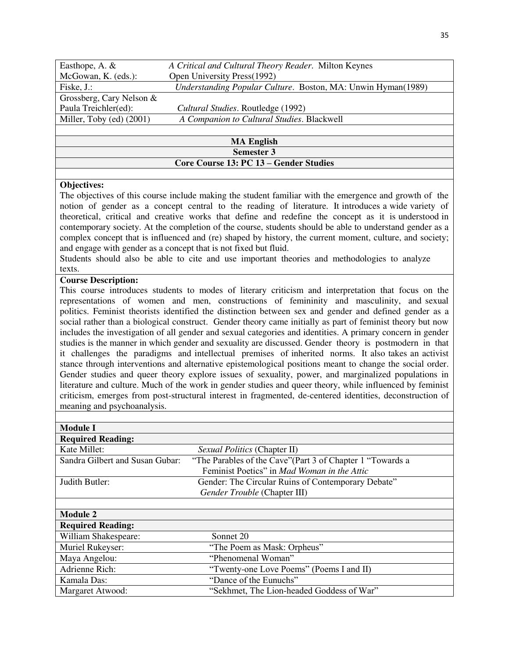| Easthope, A. &                         | A Critical and Cultural Theory Reader. Milton Keynes         |
|----------------------------------------|--------------------------------------------------------------|
| McGowan, K. (eds.):                    | Open University Press(1992)                                  |
| Fiske, J.:                             | Understanding Popular Culture. Boston, MA: Unwin Hyman(1989) |
| Grossberg, Cary Nelson $\&$            |                                                              |
| Paula Treichler(ed):                   | Cultural Studies. Routledge (1992)                           |
| Miller, Toby (ed) (2001)               | A Companion to Cultural Studies. Blackwell                   |
|                                        |                                                              |
| <b>MA English</b>                      |                                                              |
| <b>Semester 3</b>                      |                                                              |
| Core Course 13: PC 13 – Gender Studies |                                                              |

The objectives of this course include making the student familiar with the emergence and growth of the notion of gender as a concept central to the reading of literature. It introduces a wide variety of theoretical, critical and creative works that define and redefine the concept as it is understood in contemporary society. At the completion of the course, students should be able to understand gender as a complex concept that is influenced and (re) shaped by history, the current moment, culture, and society; and engage with gender as a concept that is not fixed but fluid.

Students should also be able to cite and use important theories and methodologies to analyze texts.

#### **Course Description:**

This course introduces students to modes of literary criticism and interpretation that focus on the representations of women and men, constructions of femininity and masculinity, and sexual politics. Feminist theorists identified the distinction between sex and gender and defined gender as a social rather than a biological construct. Gender theory came initially as part of feminist theory but now includes the investigation of all gender and sexual categories and identities. A primary concern in gender studies is the manner in which gender and sexuality are discussed. Gender theory is postmodern in that it challenges the paradigms and intellectual premises of inherited norms. It also takes an activist stance through interventions and alternative epistemological positions meant to change the social order. Gender studies and queer theory explore issues of sexuality, power, and marginalized populations in literature and culture. Much of the work in gender studies and queer theory, while influenced by feminist criticism, emerges from post-structural interest in fragmented, de-centered identities, deconstruction of meaning and psychoanalysis.

| <b>Module I</b>                 |                                                            |
|---------------------------------|------------------------------------------------------------|
| <b>Required Reading:</b>        |                                                            |
| Kate Millet:                    | Sexual Politics (Chapter II)                               |
| Sandra Gilbert and Susan Gubar: | "The Parables of the Cave" (Part 3 of Chapter 1 "Towards a |
|                                 | Feminist Poetics" in <i>Mad Woman in the Attic</i>         |
| Judith Butler:                  | Gender: The Circular Ruins of Contemporary Debate"         |
|                                 | Gender Trouble (Chapter III)                               |
|                                 |                                                            |
| <b>Module 2</b>                 |                                                            |
| <b>Required Reading:</b>        |                                                            |
| William Shakespeare:            | Sonnet 20                                                  |
| Muriel Rukeyser:                | "The Poem as Mask: Orpheus"                                |
| Maya Angelou:                   | "Phenomenal Woman"                                         |
| Adrienne Rich:                  | "Twenty-one Love Poems" (Poems I and II)                   |
| Kamala Das:                     | "Dance of the Eunuchs"                                     |
| Margaret Atwood:                | "Sekhmet, The Lion-headed Goddess of War"                  |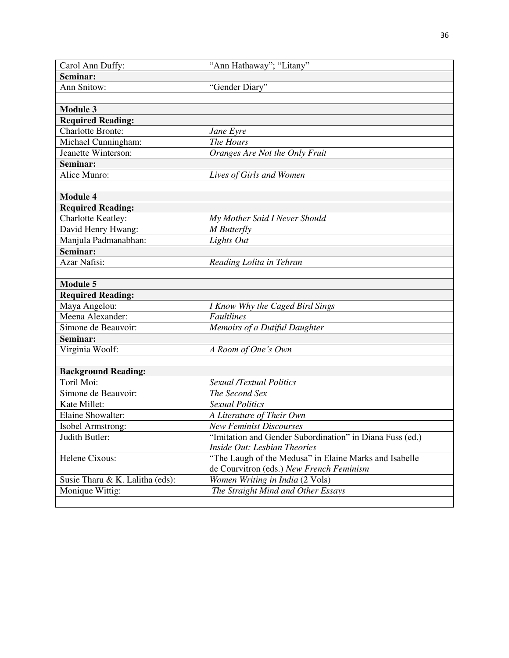| Carol Ann Duffy:                | "Ann Hathaway"; "Litany"                                 |
|---------------------------------|----------------------------------------------------------|
| Seminar:                        |                                                          |
| Ann Snitow:                     | "Gender Diary"                                           |
|                                 |                                                          |
| <b>Module 3</b>                 |                                                          |
| <b>Required Reading:</b>        |                                                          |
| <b>Charlotte Bronte:</b>        | Jane Eyre                                                |
| Michael Cunningham:             | The Hours                                                |
| Jeanette Winterson:             | Oranges Are Not the Only Fruit                           |
| Seminar:                        |                                                          |
| Alice Munro:                    | Lives of Girls and Women                                 |
|                                 |                                                          |
| <b>Module 4</b>                 |                                                          |
| <b>Required Reading:</b>        |                                                          |
| <b>Charlotte Keatley:</b>       | My Mother Said I Never Should                            |
| David Henry Hwang:              | M Butterfly                                              |
| Manjula Padmanabhan:            | Lights Out                                               |
| Seminar:                        |                                                          |
| Azar Nafisi:                    | Reading Lolita in Tehran                                 |
|                                 |                                                          |
| <b>Module 5</b>                 |                                                          |
| <b>Required Reading:</b>        |                                                          |
| Maya Angelou:                   | I Know Why the Caged Bird Sings                          |
| Meena Alexander:                | <b>Faultlines</b>                                        |
| Simone de Beauvoir:             | Memoirs of a Dutiful Daughter                            |
| Seminar:                        |                                                          |
| Virginia Woolf:                 | A Room of One's Own                                      |
|                                 |                                                          |
| <b>Background Reading:</b>      |                                                          |
| Toril Moi:                      | Sexual /Textual Politics                                 |
| Simone de Beauvoir:             | The Second Sex                                           |
| Kate Millet:                    | <b>Sexual Politics</b>                                   |
| Elaine Showalter:               | A Literature of Their Own                                |
| Isobel Armstrong:               | <b>New Feminist Discourses</b>                           |
| Judith Butler:                  | "Imitation and Gender Subordination" in Diana Fuss (ed.) |
|                                 | Inside Out: Lesbian Theories                             |
| Helene Cixous:                  | "The Laugh of the Medusa" in Elaine Marks and Isabelle   |
|                                 | de Courvitron (eds.) New French Feminism                 |
| Susie Tharu & K. Lalitha (eds): | Women Writing in India (2 Vols)                          |
| Monique Wittig:                 | The Straight Mind and Other Essays                       |
|                                 |                                                          |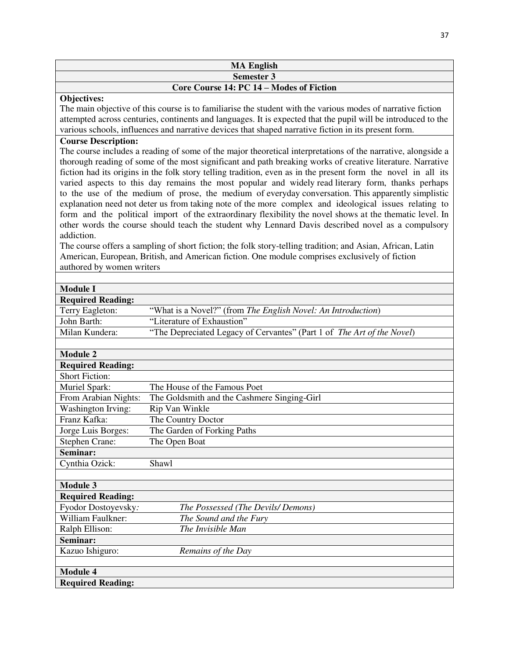| <b>MA English</b>                           |                                                                                                                                                                                                                                                                                                                                                                                                                                                                                                                                                                                                                                                                                                                                                                                                                                                                                                                                                                                                                                                                                                                                                                                                                          |  |
|---------------------------------------------|--------------------------------------------------------------------------------------------------------------------------------------------------------------------------------------------------------------------------------------------------------------------------------------------------------------------------------------------------------------------------------------------------------------------------------------------------------------------------------------------------------------------------------------------------------------------------------------------------------------------------------------------------------------------------------------------------------------------------------------------------------------------------------------------------------------------------------------------------------------------------------------------------------------------------------------------------------------------------------------------------------------------------------------------------------------------------------------------------------------------------------------------------------------------------------------------------------------------------|--|
| Semester 3                                  |                                                                                                                                                                                                                                                                                                                                                                                                                                                                                                                                                                                                                                                                                                                                                                                                                                                                                                                                                                                                                                                                                                                                                                                                                          |  |
|                                             | <b>Core Course 14: PC 14 - Modes of Fiction</b>                                                                                                                                                                                                                                                                                                                                                                                                                                                                                                                                                                                                                                                                                                                                                                                                                                                                                                                                                                                                                                                                                                                                                                          |  |
| Objectives:<br><b>Course Description:</b>   | The main objective of this course is to familiarise the student with the various modes of narrative fiction<br>attempted across centuries, continents and languages. It is expected that the pupil will be introduced to the<br>various schools, influences and narrative devices that shaped narrative fiction in its present form.<br>The course includes a reading of some of the major theoretical interpretations of the narrative, alongside a<br>thorough reading of some of the most significant and path breaking works of creative literature. Narrative<br>fiction had its origins in the folk story telling tradition, even as in the present form the novel in all its<br>varied aspects to this day remains the most popular and widely read literary form, thanks perhaps<br>to the use of the medium of prose, the medium of everyday conversation. This apparently simplistic<br>explanation need not deter us from taking note of the more complex and ideological issues relating to<br>form and the political import of the extraordinary flexibility the novel shows at the thematic level. In<br>other words the course should teach the student why Lennard Davis described novel as a compulsory |  |
| addiction.<br>authored by women writers     | The course offers a sampling of short fiction; the folk story-telling tradition; and Asian, African, Latin<br>American, European, British, and American fiction. One module comprises exclusively of fiction                                                                                                                                                                                                                                                                                                                                                                                                                                                                                                                                                                                                                                                                                                                                                                                                                                                                                                                                                                                                             |  |
|                                             |                                                                                                                                                                                                                                                                                                                                                                                                                                                                                                                                                                                                                                                                                                                                                                                                                                                                                                                                                                                                                                                                                                                                                                                                                          |  |
| <b>Module I</b>                             |                                                                                                                                                                                                                                                                                                                                                                                                                                                                                                                                                                                                                                                                                                                                                                                                                                                                                                                                                                                                                                                                                                                                                                                                                          |  |
| <b>Required Reading:</b>                    |                                                                                                                                                                                                                                                                                                                                                                                                                                                                                                                                                                                                                                                                                                                                                                                                                                                                                                                                                                                                                                                                                                                                                                                                                          |  |
| Terry Eagleton:                             | "What is a Novel?" (from The English Novel: An Introduction)                                                                                                                                                                                                                                                                                                                                                                                                                                                                                                                                                                                                                                                                                                                                                                                                                                                                                                                                                                                                                                                                                                                                                             |  |
| John Barth:                                 | "Literature of Exhaustion"                                                                                                                                                                                                                                                                                                                                                                                                                                                                                                                                                                                                                                                                                                                                                                                                                                                                                                                                                                                                                                                                                                                                                                                               |  |
| Milan Kundera:                              | "The Depreciated Legacy of Cervantes" (Part 1 of The Art of the Novel)                                                                                                                                                                                                                                                                                                                                                                                                                                                                                                                                                                                                                                                                                                                                                                                                                                                                                                                                                                                                                                                                                                                                                   |  |
| <b>Module 2</b><br><b>Required Reading:</b> |                                                                                                                                                                                                                                                                                                                                                                                                                                                                                                                                                                                                                                                                                                                                                                                                                                                                                                                                                                                                                                                                                                                                                                                                                          |  |
| <b>Short Fiction:</b>                       |                                                                                                                                                                                                                                                                                                                                                                                                                                                                                                                                                                                                                                                                                                                                                                                                                                                                                                                                                                                                                                                                                                                                                                                                                          |  |
| Muriel Spark:                               | The House of the Famous Poet                                                                                                                                                                                                                                                                                                                                                                                                                                                                                                                                                                                                                                                                                                                                                                                                                                                                                                                                                                                                                                                                                                                                                                                             |  |
| From Arabian Nights:                        | The Goldsmith and the Cashmere Singing-Girl                                                                                                                                                                                                                                                                                                                                                                                                                                                                                                                                                                                                                                                                                                                                                                                                                                                                                                                                                                                                                                                                                                                                                                              |  |
| Washington Irving:                          | Rip Van Winkle                                                                                                                                                                                                                                                                                                                                                                                                                                                                                                                                                                                                                                                                                                                                                                                                                                                                                                                                                                                                                                                                                                                                                                                                           |  |
| Franz Kafka:                                | The Country Doctor                                                                                                                                                                                                                                                                                                                                                                                                                                                                                                                                                                                                                                                                                                                                                                                                                                                                                                                                                                                                                                                                                                                                                                                                       |  |
| Jorge Luis Borges:                          | The Garden of Forking Paths                                                                                                                                                                                                                                                                                                                                                                                                                                                                                                                                                                                                                                                                                                                                                                                                                                                                                                                                                                                                                                                                                                                                                                                              |  |
| <b>Stephen Crane:</b>                       | The Open Boat                                                                                                                                                                                                                                                                                                                                                                                                                                                                                                                                                                                                                                                                                                                                                                                                                                                                                                                                                                                                                                                                                                                                                                                                            |  |
| Seminar:                                    |                                                                                                                                                                                                                                                                                                                                                                                                                                                                                                                                                                                                                                                                                                                                                                                                                                                                                                                                                                                                                                                                                                                                                                                                                          |  |
| Cynthia Ozick:                              | Shawl                                                                                                                                                                                                                                                                                                                                                                                                                                                                                                                                                                                                                                                                                                                                                                                                                                                                                                                                                                                                                                                                                                                                                                                                                    |  |
| <b>Module 3</b>                             |                                                                                                                                                                                                                                                                                                                                                                                                                                                                                                                                                                                                                                                                                                                                                                                                                                                                                                                                                                                                                                                                                                                                                                                                                          |  |
| <b>Required Reading:</b>                    |                                                                                                                                                                                                                                                                                                                                                                                                                                                                                                                                                                                                                                                                                                                                                                                                                                                                                                                                                                                                                                                                                                                                                                                                                          |  |
| Fyodor Dostoyevsky:                         | The Possessed (The Devils/Demons)                                                                                                                                                                                                                                                                                                                                                                                                                                                                                                                                                                                                                                                                                                                                                                                                                                                                                                                                                                                                                                                                                                                                                                                        |  |
| William Faulkner:                           | The Sound and the Fury                                                                                                                                                                                                                                                                                                                                                                                                                                                                                                                                                                                                                                                                                                                                                                                                                                                                                                                                                                                                                                                                                                                                                                                                   |  |
| Ralph Ellison:                              | The Invisible Man                                                                                                                                                                                                                                                                                                                                                                                                                                                                                                                                                                                                                                                                                                                                                                                                                                                                                                                                                                                                                                                                                                                                                                                                        |  |
| Seminar:                                    |                                                                                                                                                                                                                                                                                                                                                                                                                                                                                                                                                                                                                                                                                                                                                                                                                                                                                                                                                                                                                                                                                                                                                                                                                          |  |
| Kazuo Ishiguro:                             | Remains of the Day                                                                                                                                                                                                                                                                                                                                                                                                                                                                                                                                                                                                                                                                                                                                                                                                                                                                                                                                                                                                                                                                                                                                                                                                       |  |
|                                             |                                                                                                                                                                                                                                                                                                                                                                                                                                                                                                                                                                                                                                                                                                                                                                                                                                                                                                                                                                                                                                                                                                                                                                                                                          |  |
| <b>Module 4</b>                             |                                                                                                                                                                                                                                                                                                                                                                                                                                                                                                                                                                                                                                                                                                                                                                                                                                                                                                                                                                                                                                                                                                                                                                                                                          |  |
| <b>Required Reading:</b>                    |                                                                                                                                                                                                                                                                                                                                                                                                                                                                                                                                                                                                                                                                                                                                                                                                                                                                                                                                                                                                                                                                                                                                                                                                                          |  |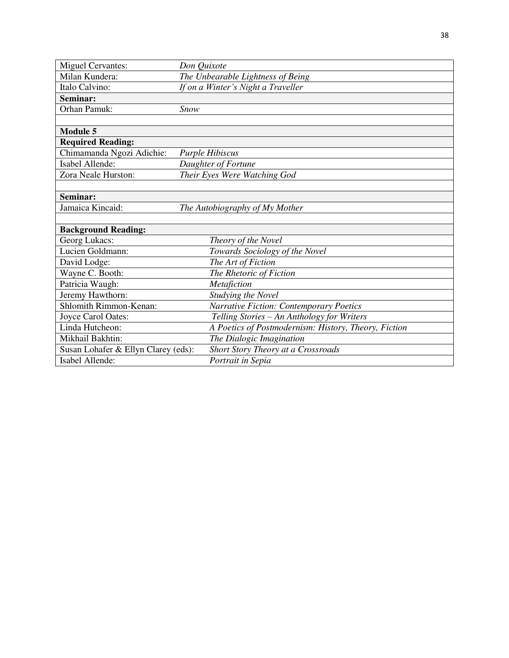| <b>Miguel Cervantes:</b>            | Don Quixote                                          |
|-------------------------------------|------------------------------------------------------|
| Milan Kundera:                      | The Unbearable Lightness of Being                    |
| Italo Calvino:                      | If on a Winter's Night a Traveller                   |
| Seminar:                            |                                                      |
| Orhan Pamuk:                        | Snow                                                 |
|                                     |                                                      |
| <b>Module 5</b>                     |                                                      |
| <b>Required Reading:</b>            |                                                      |
| Chimamanda Ngozi Adichie:           | <b>Purple Hibiscus</b>                               |
| Isabel Allende:                     | Daughter of Fortune                                  |
| Zora Neale Hurston:                 | Their Eyes Were Watching God                         |
|                                     |                                                      |
| Seminar:                            |                                                      |
| Jamaica Kincaid:                    | The Autobiography of My Mother                       |
|                                     |                                                      |
| <b>Background Reading:</b>          |                                                      |
| Georg Lukacs:                       | Theory of the Novel                                  |
| Lucien Goldmann:                    | Towards Sociology of the Novel                       |
| David Lodge:                        | The Art of Fiction                                   |
| Wayne C. Booth:                     | The Rhetoric of Fiction                              |
| Patricia Waugh:                     | Metafiction                                          |
| Jeremy Hawthorn:                    | Studying the Novel                                   |
| Shlomith Rimmon-Kenan:              | Narrative Fiction: Contemporary Poetics              |
| Joyce Carol Oates:                  | Telling Stories - An Anthology for Writers           |
| Linda Hutcheon:                     | A Poetics of Postmodernism: History, Theory, Fiction |
| Mikhail Bakhtin:                    | The Dialogic Imagination                             |
| Susan Lohafer & Ellyn Clarey (eds): | Short Story Theory at a Crossroads                   |
| Isabel Allende:                     | Portrait in Sepia                                    |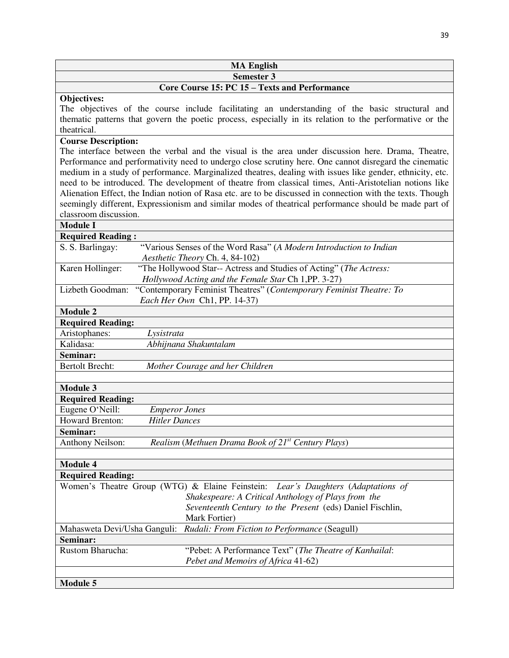| <b>MA English</b>                             |
|-----------------------------------------------|
| <b>Semester 3</b>                             |
| Core Course 15: PC 15 – Texts and Performance |

#### **Objectives:**

The objectives of the course include facilitating an understanding of the basic structural and thematic patterns that govern the poetic process, especially in its relation to the performative or the theatrical.

# **Course Description:**

The interface between the verbal and the visual is the area under discussion here. Drama, Theatre, Performance and performativity need to undergo close scrutiny here. One cannot disregard the cinematic medium in a study of performance. Marginalized theatres, dealing with issues like gender, ethnicity, etc. need to be introduced. The development of theatre from classical times, Anti-Aristotelian notions like Alienation Effect, the Indian notion of Rasa etc. are to be discussed in connection with the texts. Though seemingly different, Expressionism and similar modes of theatrical performance should be made part of classroom discussion.

# **Module I**

| <b>Required Reading:</b>                                                                |                                                                    |  |
|-----------------------------------------------------------------------------------------|--------------------------------------------------------------------|--|
| S. S. Barlingay:<br>"Various Senses of the Word Rasa" (A Modern Introduction to Indian  |                                                                    |  |
| Aesthetic Theory Ch. 4, 84-102)                                                         |                                                                    |  |
| Karen Hollinger:                                                                        | "The Hollywood Star-- Actress and Studies of Acting" (The Actress: |  |
| Hollywood Acting and the Female Star Ch 1, PP. 3-27)                                    |                                                                    |  |
| "Contemporary Feminist Theatres" (Contemporary Feminist Theatre: To<br>Lizbeth Goodman: |                                                                    |  |
| Each Her Own Ch1, PP. 14-37)                                                            |                                                                    |  |
| <b>Module 2</b>                                                                         |                                                                    |  |
| <b>Required Reading:</b>                                                                |                                                                    |  |
| Aristophanes:<br>Lysistrata                                                             |                                                                    |  |
| Kalidasa:<br>Abhijnana Shakuntalam                                                      |                                                                    |  |
| Seminar:                                                                                |                                                                    |  |
| <b>Bertolt Brecht:</b><br>Mother Courage and her Children                               |                                                                    |  |
|                                                                                         |                                                                    |  |
| <b>Module 3</b>                                                                         |                                                                    |  |
| <b>Required Reading:</b>                                                                |                                                                    |  |
| Eugene O'Neill:<br><b>Emperor Jones</b>                                                 |                                                                    |  |
| <b>Howard Brenton:</b><br><b>Hitler Dances</b>                                          |                                                                    |  |
| Seminar:                                                                                |                                                                    |  |
| <b>Anthony Neilson:</b><br>Realism (Methuen Drama Book of $21^{st}$ Century Plays)      |                                                                    |  |
|                                                                                         |                                                                    |  |
| <b>Module 4</b>                                                                         |                                                                    |  |
| <b>Required Reading:</b>                                                                |                                                                    |  |
| Women's Theatre Group (WTG) & Elaine Feinstein: Lear's Daughters (Adaptations of        |                                                                    |  |
| Shakespeare: A Critical Anthology of Plays from the                                     |                                                                    |  |
| Seventeenth Century to the Present (eds) Daniel Fischlin,                               |                                                                    |  |
| Mark Fortier)                                                                           |                                                                    |  |
| Mahasweta Devi/Usha Ganguli: Rudali: From Fiction to Performance (Seagull)              |                                                                    |  |
| Seminar:                                                                                |                                                                    |  |
| Rustom Bharucha:<br>"Pebet: A Performance Text" (The Theatre of Kanhailal:              |                                                                    |  |
| Pebet and Memoirs of Africa 41-62)                                                      |                                                                    |  |
|                                                                                         |                                                                    |  |
| <b>Module 5</b>                                                                         |                                                                    |  |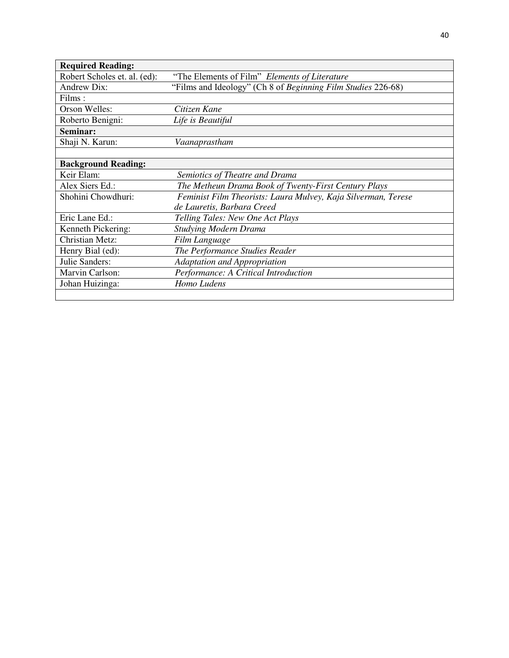| <b>Required Reading:</b>     |                                                               |
|------------------------------|---------------------------------------------------------------|
| Robert Scholes et. al. (ed): | "The Elements of Film" Elements of Literature                 |
| <b>Andrew Dix:</b>           | "Films and Ideology" (Ch 8 of Beginning Film Studies 226-68)  |
| Films:                       |                                                               |
| Orson Welles:                | Citizen Kane                                                  |
| Roberto Benigni:             | Life is Beautiful                                             |
| Seminar:                     |                                                               |
| Shaji N. Karun:              | Vaanaprastham                                                 |
|                              |                                                               |
| <b>Background Reading:</b>   |                                                               |
| Keir Elam:                   | Semiotics of Theatre and Drama                                |
| Alex Siers Ed.:              | The Metheun Drama Book of Twenty-First Century Plays          |
| Shohini Chowdhuri:           | Feminist Film Theorists: Laura Mulvey, Kaja Silverman, Terese |
|                              | de Lauretis, Barbara Creed                                    |
| Eric Lane Ed.:               | Telling Tales: New One Act Plays                              |
| Kenneth Pickering:           | <b>Studying Modern Drama</b>                                  |
| Christian Metz:              | Film Language                                                 |
| Henry Bial (ed):             | The Performance Studies Reader                                |
| Julie Sanders:               | Adaptation and Appropriation                                  |
| Marvin Carlson:              | Performance: A Critical Introduction                          |
| Johan Huizinga:              | Homo Ludens                                                   |
|                              |                                                               |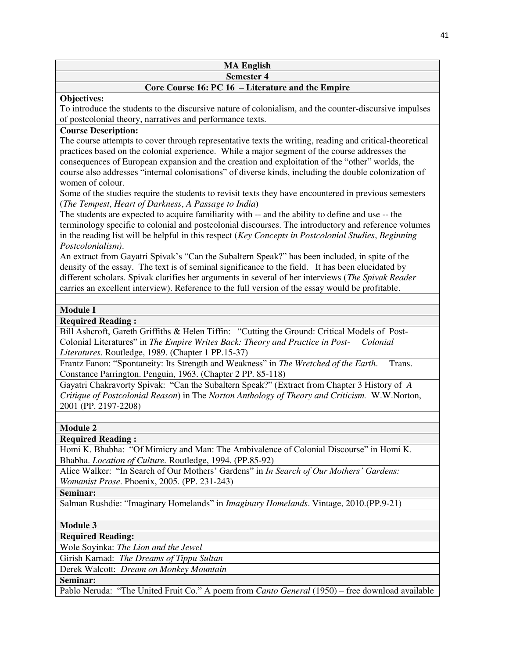| <b>MA English</b> |  |
|-------------------|--|
| <b>Semester 4</b> |  |

# **Core Course 16: PC 16 – Literature and the Empire**

#### **Objectives:**

To introduce the students to the discursive nature of colonialism, and the counter-discursive impulses of postcolonial theory, narratives and performance texts.

# **Course Description:**

The course attempts to cover through representative texts the writing, reading and critical-theoretical practices based on the colonial experience. While a major segment of the course addresses the consequences of European expansion and the creation and exploitation of the "other" worlds, the course also addresses "internal colonisations" of diverse kinds, including the double colonization of women of colour.

Some of the studies require the students to revisit texts they have encountered in previous semesters (*The Tempest*, *Heart of Darkness*, *A Passage to India*)

The students are expected to acquire familiarity with -- and the ability to define and use -- the terminology specific to colonial and postcolonial discourses. The introductory and reference volumes in the reading list will be helpful in this respect (*Key Concepts in Postcolonial Studies*, *Beginning Postcolonialism)*.

An extract from Gayatri Spivak's "Can the Subaltern Speak?" has been included, in spite of the density of the essay. The text is of seminal significance to the field. It has been elucidated by different scholars. Spivak clarifies her arguments in several of her interviews (*The Spivak Reader* carries an excellent interview). Reference to the full version of the essay would be profitable.

# **Module I**

# **Required Reading :**

Bill Ashcroft, Gareth Griffiths & Helen Tiffin: "Cutting the Ground: Critical Models of Post-Colonial Literatures" in *The Empire Writes Back: Theory and Practice in Post- Colonial Literatures*. Routledge, 1989. (Chapter 1 PP.15-37)

Frantz Fanon: "Spontaneity: Its Strength and Weakness" in *The Wretched of the Earth*. Trans. Constance Parrington. Penguin, 1963. (Chapter 2 PP. 85-118)

Gayatri Chakravorty Spivak: "Can the Subaltern Speak?" (Extract from Chapter 3 History of *A Critique of Postcolonial Reason*) in The *Norton Anthology of Theory and Criticism.* W.W.Norton, 2001 (PP. 2197-2208)

#### **Module 2**

# **Required Reading :**

Homi K. Bhabha: "Of Mimicry and Man: The Ambivalence of Colonial Discourse" in Homi K. Bhabha. *Location of Culture.* Routledge, 1994. (PP.85-92)

Alice Walker: "In Search of Our Mothers' Gardens" in *In Search of Our Mothers' Gardens: Womanist Prose*. Phoenix, 2005. (PP. 231-243)

**Seminar:** 

Salman Rushdie: "Imaginary Homelands" in *Imaginary Homelands*. Vintage, 2010.(PP.9-21)

# **Module 3**

**Required Reading:** 

Wole Soyinka: *The Lion and the Jewel*

Girish Karnad: *The Dreams of Tippu Sultan*

Derek Walcott: *Dream on Monkey Mountain*

#### **Seminar:**

Pablo Neruda: "The United Fruit Co." A poem from *Canto General* (1950) – free download available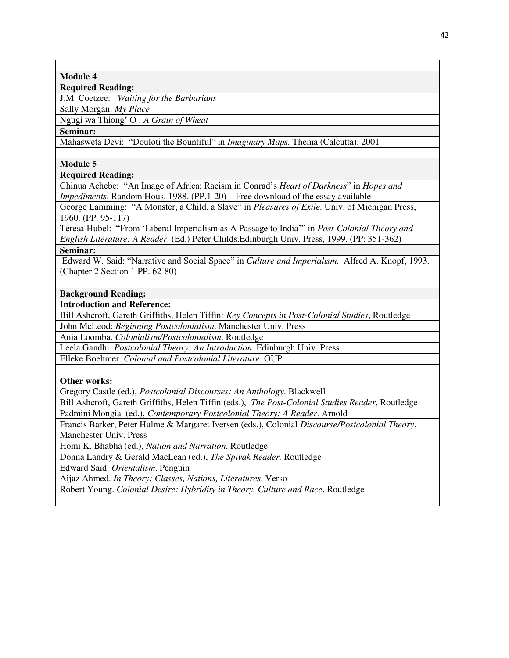#### **Module 4**

#### **Required Reading:**

J.M. Coetzee: *Waiting for the Barbarians*

Sally Morgan: *My Place*  Ngugi wa Thiong' O : *A Grain of Wheat*

**Seminar:** 

Mahasweta Devi: "Douloti the Bountiful" in *Imaginary Maps.* Thema (Calcutta), 2001

## **Module 5**

#### **Required Reading:**

Chinua Achebe: "An Image of Africa: Racism in Conrad's *Heart of Darkness*" in *Hopes and Impediments*. Random Hous, 1988. (PP.1-20) – Free download of the essay available

George Lamming: "A Monster, a Child, a Slave" in *Pleasures of Exile*. Univ. of Michigan Press, 1960. (PP. 95-117)

Teresa Hubel: "From 'Liberal Imperialism as A Passage to India'" in *Post-Colonial Theory and English Literature: A Reader*. (Ed.) Peter Childs.Edinburgh Univ. Press, 1999. (PP: 351-362) **Seminar:** 

Edward W. Said: "Narrative and Social Space" in *Culture and Imperialism*. Alfred A. Knopf, 1993. (Chapter 2 Section 1 PP. 62-80)

#### **Background Reading:**

**Introduction and Reference:** 

Bill Ashcroft, Gareth Griffiths, Helen Tiffin: *Key Concepts in Post-Colonial Studies*, Routledge

John McLeod: *Beginning Postcolonialism*. Manchester Univ. Press

Ania Loomba. *Colonialism/Postcolonialism*. Routledge

Leela Gandhi. *Postcolonial Theory: An Introduction*. Edinburgh Univ. Press

Elleke Boehmer. *Colonial and Postcolonial Literature*. OUP

#### **Other works:**

Gregory Castle (ed.), *Postcolonial Discourses: An Anthology*. Blackwell

Bill Ashcroft, Gareth Griffiths, Helen Tiffin (eds.), *The Post-Colonial Studies Reader*, Routledge Padmini Mongia (ed.), *Contemporary Postcolonial Theory: A Reader*. Arnold

Francis Barker, Peter Hulme & Margaret Iversen (eds.), Colonial *Discourse/Postcolonial Theory*. Manchester Univ. Press

Homi K. Bhabha (ed.), *Nation and Narration*. Routledge

Donna Landry & Gerald MacLean (ed.), *The Spivak Reader.* Routledge

Edward Said. *Orientalism*. Penguin

Aijaz Ahmed. *In Theory: Classes, Nations, Literatures*. Verso

Robert Young. *Colonial Desire: Hybridity in Theory, Culture and Race*. Routledge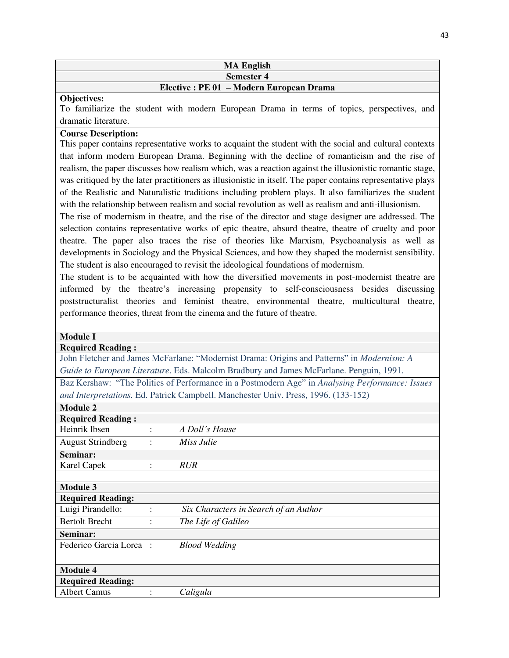#### **MA English Semester 4**

# **Elective : PE 01 – Modern European Drama**

#### **Objectives:**

To familiarize the student with modern European Drama in terms of topics, perspectives, and dramatic literature.

# **Course Description:**

This paper contains representative works to acquaint the student with the social and cultural contexts that inform modern European Drama. Beginning with the decline of romanticism and the rise of realism, the paper discusses how realism which, was a reaction against the illusionistic romantic stage, was critiqued by the later practitioners as illusionistic in itself. The paper contains representative plays of the Realistic and Naturalistic traditions including problem plays. It also familiarizes the student with the relationship between realism and social revolution as well as realism and anti-illusionism.

The rise of modernism in theatre, and the rise of the director and stage designer are addressed. The selection contains representative works of epic theatre, absurd theatre, theatre of cruelty and poor theatre. The paper also traces the rise of theories like Marxism, Psychoanalysis as well as developments in Sociology and the Physical Sciences, and how they shaped the modernist sensibility. The student is also encouraged to revisit the ideological foundations of modernism.

The student is to be acquainted with how the diversified movements in post-modernist theatre are informed by the theatre's increasing propensity to self-consciousness besides discussing poststructuralist theories and feminist theatre, environmental theatre, multicultural theatre, performance theories, threat from the cinema and the future of theatre.

| <b>Module I</b>                                                                                 |                                                                                         |                                                                                    |  |
|-------------------------------------------------------------------------------------------------|-----------------------------------------------------------------------------------------|------------------------------------------------------------------------------------|--|
| <b>Required Reading:</b>                                                                        |                                                                                         |                                                                                    |  |
| John Fletcher and James McFarlane: "Modernist Drama: Origins and Patterns" in Modernism: A      |                                                                                         |                                                                                    |  |
|                                                                                                 | Guide to European Literature. Eds. Malcolm Bradbury and James McFarlane. Penguin, 1991. |                                                                                    |  |
| Baz Kershaw: "The Politics of Performance in a Postmodern Age" in Analysing Performance: Issues |                                                                                         |                                                                                    |  |
|                                                                                                 |                                                                                         | and Interpretations. Ed. Patrick Campbell. Manchester Univ. Press, 1996. (133-152) |  |
| <b>Module 2</b>                                                                                 |                                                                                         |                                                                                    |  |
| <b>Required Reading:</b>                                                                        |                                                                                         |                                                                                    |  |
| Heinrik Ibsen                                                                                   |                                                                                         | A Doll's House                                                                     |  |
| <b>August Strindberg</b>                                                                        |                                                                                         | Miss Julie                                                                         |  |
| Seminar:                                                                                        |                                                                                         |                                                                                    |  |
| <b>Karel Capek</b>                                                                              |                                                                                         | <b>RUR</b>                                                                         |  |
|                                                                                                 |                                                                                         |                                                                                    |  |
| <b>Module 3</b>                                                                                 |                                                                                         |                                                                                    |  |
| <b>Required Reading:</b>                                                                        |                                                                                         |                                                                                    |  |
| Luigi Pirandello:                                                                               |                                                                                         | Six Characters in Search of an Author                                              |  |
| <b>Bertolt Brecht</b>                                                                           |                                                                                         | The Life of Galileo                                                                |  |
| Seminar:                                                                                        |                                                                                         |                                                                                    |  |
| Federico Garcia Lorca :                                                                         |                                                                                         | <b>Blood Wedding</b>                                                               |  |
|                                                                                                 |                                                                                         |                                                                                    |  |
| <b>Module 4</b>                                                                                 |                                                                                         |                                                                                    |  |
| <b>Required Reading:</b>                                                                        |                                                                                         |                                                                                    |  |
| <b>Albert Camus</b>                                                                             |                                                                                         | Caligula                                                                           |  |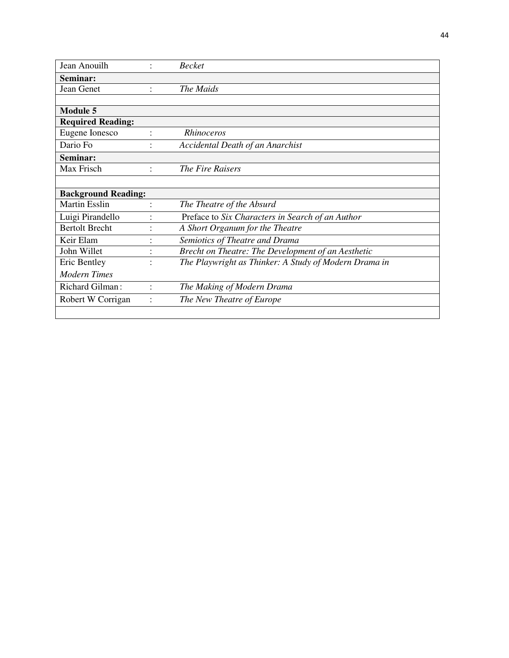| Jean Anouilh               |                | <b>Becket</b>                                         |
|----------------------------|----------------|-------------------------------------------------------|
| Seminar:                   |                |                                                       |
| Jean Genet                 |                | The Maids                                             |
|                            |                |                                                       |
| <b>Module 5</b>            |                |                                                       |
| <b>Required Reading:</b>   |                |                                                       |
| Eugene Ionesco             | $\ddot{\cdot}$ | Rhinoceros                                            |
| Dario Fo                   |                | Accidental Death of an Anarchist                      |
| Seminar:                   |                |                                                       |
| Max Frisch                 |                | The Fire Raisers                                      |
|                            |                |                                                       |
| <b>Background Reading:</b> |                |                                                       |
| <b>Martin Esslin</b>       |                | The Theatre of the Absurd                             |
| Luigi Pirandello           |                | Preface to Six Characters in Search of an Author      |
| <b>Bertolt Brecht</b>      |                | A Short Organum for the Theatre                       |
| Keir Elam                  |                | Semiotics of Theatre and Drama                        |
| John Willet                |                | Brecht on Theatre: The Development of an Aesthetic    |
| Eric Bentley               |                | The Playwright as Thinker: A Study of Modern Drama in |
| <b>Modern Times</b>        |                |                                                       |
| Richard Gilman:            |                | The Making of Modern Drama                            |
| Robert W Corrigan          |                | The New Theatre of Europe                             |
|                            |                |                                                       |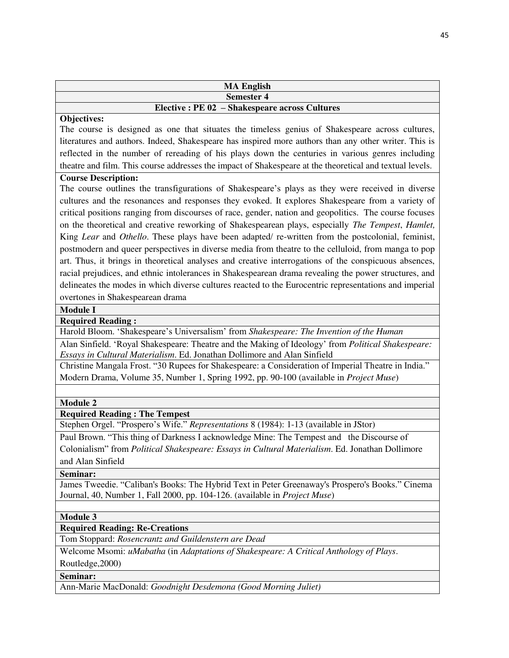| <b>MA English</b>                              |
|------------------------------------------------|
| Semester 4                                     |
| Elective : PE 02 - Shakespeare across Cultures |

#### **Objectives:**

The course is designed as one that situates the timeless genius of Shakespeare across cultures, literatures and authors. Indeed, Shakespeare has inspired more authors than any other writer. This is reflected in the number of rereading of his plays down the centuries in various genres including theatre and film. This course addresses the impact of Shakespeare at the theoretical and textual levels.

# **Course Description:**

The course outlines the transfigurations of Shakespeare's plays as they were received in diverse cultures and the resonances and responses they evoked. It explores Shakespeare from a variety of critical positions ranging from discourses of race, gender, nation and geopolitics. The course focuses on the theoretical and creative reworking of Shakespearean plays, especially *The Tempest*, *Hamlet,* King *Lear* and *Othello*. These plays have been adapted/ re-written from the postcolonial, feminist, postmodern and queer perspectives in diverse media from theatre to the celluloid, from manga to pop art. Thus, it brings in theoretical analyses and creative interrogations of the conspicuous absences, racial prejudices, and ethnic intolerances in Shakespearean drama revealing the power structures, and delineates the modes in which diverse cultures reacted to the Eurocentric representations and imperial overtones in Shakespearean drama

#### **Module I**

# **Required Reading :**

Harold Bloom. 'Shakespeare's Universalism' from *Shakespeare: The Invention of the Human*

Alan Sinfield. 'Royal Shakespeare: Theatre and the Making of Ideology' from *Political Shakespeare: Essays in Cultural Materialism*. Ed. Jonathan Dollimore and Alan Sinfield

Christine Mangala Frost. "30 Rupees for Shakespeare: a Consideration of Imperial Theatre in India." Modern Drama, Volume 35, Number 1, Spring 1992, pp. 90-100 (available in *Project Muse*)

#### **Module 2**

# **Required Reading : The Tempest**

Stephen Orgel. "Prospero's Wife." *Representations* 8 (1984): 1-13 (available in JStor)

Paul Brown. "This thing of Darkness I acknowledge Mine: The Tempest and the Discourse of Colonialism" from *Political Shakespeare: Essays in Cultural Materialism*. Ed. Jonathan Dollimore and Alan Sinfield

**Seminar:** 

James Tweedie. "Caliban's Books: The Hybrid Text in Peter Greenaway's Prospero's Books." Cinema Journal, 40, Number 1, Fall 2000, pp. 104-126. (available in *Project Muse*)

#### **Module 3**

# **Required Reading: Re-Creations**

Tom Stoppard: *Rosencrantz and Guildenstern are Dead*

Welcome Msomi: *uMabatha* (in *Adaptations of Shakespeare: A Critical Anthology of Plays*. Routledge,2000)

**Seminar:** 

Ann-Marie MacDonald: *Goodnight Desdemona (Good Morning Juliet)*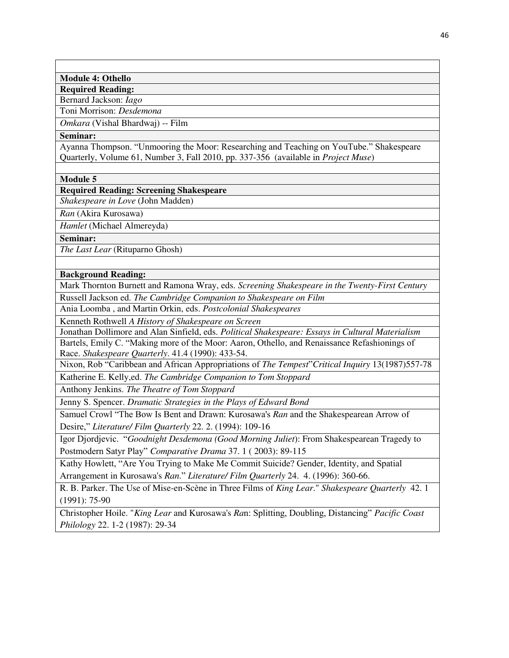#### **Module 4: Othello**

**Required Reading:** 

Bernard Jackson: *Iago*

Toni Morrison: *Desdemona*

*Omkara* (Vishal Bhardwaj) -- Film

#### **Seminar:**

Ayanna Thompson. "Unmooring the Moor: Researching and Teaching on YouTube." Shakespeare Quarterly, Volume 61, Number 3, Fall 2010, pp. 337-356 (available in *Project Muse*)

#### **Module 5**

**Required Reading: Screening Shakespeare** 

*Shakespeare in Love* (John Madden)

*Ran* (Akira Kurosawa)

*Hamlet* (Michael Almereyda)

**Seminar:** 

*The Last Lear* (Rituparno Ghosh)

**Background Reading:** 

Mark Thornton Burnett and Ramona Wray, eds. *Screening Shakespeare in the Twenty-First Century*

Russell Jackson ed. *The Cambridge Companion to Shakespeare on Film* 

Ania Loomba , and Martin Orkin, eds. *Postcolonial Shakespeares*

Kenneth Rothwell *A History of Shakespeare on Screen* 

Jonathan Dollimore and Alan Sinfield, eds. *Political Shakespeare: Essays in Cultural Materialism*  Bartels, Emily C. "Making more of the Moor: Aaron, Othello, and Renaissance Refashionings of Race. *Shakespeare Quarterly*. 41.4 (1990): 433-54.

Nixon, Rob "Caribbean and African Appropriations of *The Tempest*"*Critical Inquiry* 13(1987)557-78 Katherine E. Kelly,ed. *The Cambridge Companion to Tom Stoppard*

Anthony Jenkins. *The Theatre of Tom Stoppard*

Jenny S. Spencer. *Dramatic Strategies in the Plays of Edward Bond*

Samuel Crowl "The Bow Is Bent and Drawn: Kurosawa's *Ran* and the Shakespearean Arrow of Desire," *Literature/ Film Quarterly* 22. 2. (1994): 109-16

Igor Djordjevic. "*Goodnight Desdemona (Good Morning Juliet*): From Shakespearean Tragedy to Postmodern Satyr Play" *Comparative Drama* 37. 1 ( 2003): 89-115

Kathy Howlett, "Are You Trying to Make Me Commit Suicide? Gender, Identity, and Spatial Arrangement in Kurosawa's *Ran*." *Literature/ Film Quarterly* 24. 4. (1996): 360-66.

R. B. Parker. The Use of Mise-en-Scène in Three Films of *King Lear*." *Shakespeare Quarterly* 42. 1 (1991): 75-90

Christopher Hoile. "*King Lear* and Kurosawa's *Ra*n: Splitting, Doubling, Distancing" *Pacific Coast Philology* 22. 1-2 (1987): 29-34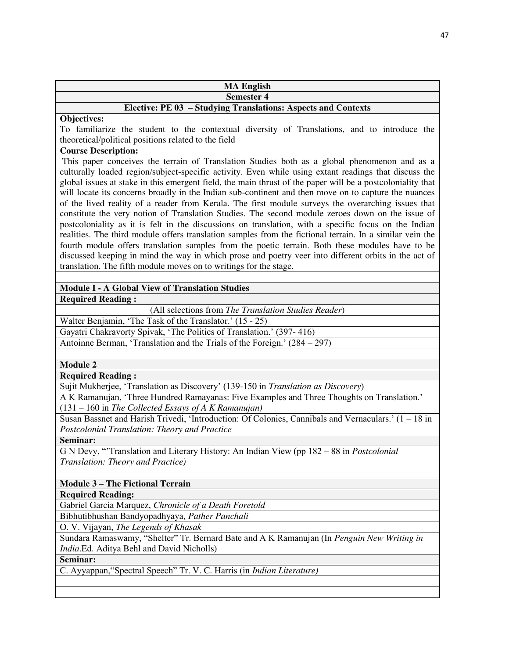|                    | <b>MA English</b>                                             |
|--------------------|---------------------------------------------------------------|
|                    | <b>Semester 4</b>                                             |
|                    | Elective: PE 03 – Studying Translations: Aspects and Contexts |
| <b>Objectives:</b> |                                                               |

To familiarize the student to the contextual diversity of Translations, and to introduce the theoretical/political positions related to the field

# **Course Description:**

 This paper conceives the terrain of Translation Studies both as a global phenomenon and as a culturally loaded region/subject-specific activity. Even while using extant readings that discuss the global issues at stake in this emergent field, the main thrust of the paper will be a postcoloniality that will locate its concerns broadly in the Indian sub-continent and then move on to capture the nuances of the lived reality of a reader from Kerala. The first module surveys the overarching issues that constitute the very notion of Translation Studies. The second module zeroes down on the issue of postcoloniality as it is felt in the discussions on translation, with a specific focus on the Indian realities. The third module offers translation samples from the fictional terrain. In a similar vein the fourth module offers translation samples from the poetic terrain. Both these modules have to be discussed keeping in mind the way in which prose and poetry veer into different orbits in the act of translation. The fifth module moves on to writings for the stage.

# **Module I - A Global View of Translation Studies**

**Required Reading :** 

(All selections from *The Translation Studies Reader*)

Walter Benjamin, 'The Task of the Translator.' (15 - 25)

Gayatri Chakravorty Spivak, 'The Politics of Translation.' (397- 416)

Antoinne Berman, 'Translation and the Trials of the Foreign.' (284 – 297)

**Module 2** 

**Required Reading :** 

Sujit Mukherjee, 'Translation as Discovery' (139-150 in *Translation as Discovery*)

A K Ramanujan, 'Three Hundred Ramayanas: Five Examples and Three Thoughts on Translation.' (131 – 160 in *The Collected Essays of A K Ramanujan)*

Susan Bassnet and Harish Trivedi, 'Introduction: Of Colonies, Cannibals and Vernaculars.' (1 – 18 in *Postcolonial Translation: Theory and Practice*

**Seminar:** 

G N Devy, "'Translation and Literary History: An Indian View (pp 182 – 88 in *Postcolonial Translation: Theory and Practice)*

**Module 3 – The Fictional Terrain** 

**Required Reading:** 

Gabriel Garcia Marquez, *Chronicle of a Death Foretold* Bibhutibhushan Bandyopadhyaya, *Pather Panchali*

O. V. Vijayan, *The Legends of Khasak*

Sundara Ramaswamy, "Shelter" Tr. Bernard Bate and A K Ramanujan (In *Penguin New Writing in India*.Ed. Aditya Behl and David Nicholls)

**Seminar:** 

C. Ayyappan,"Spectral Speech" Tr. V. C. Harris (in *Indian Literature)*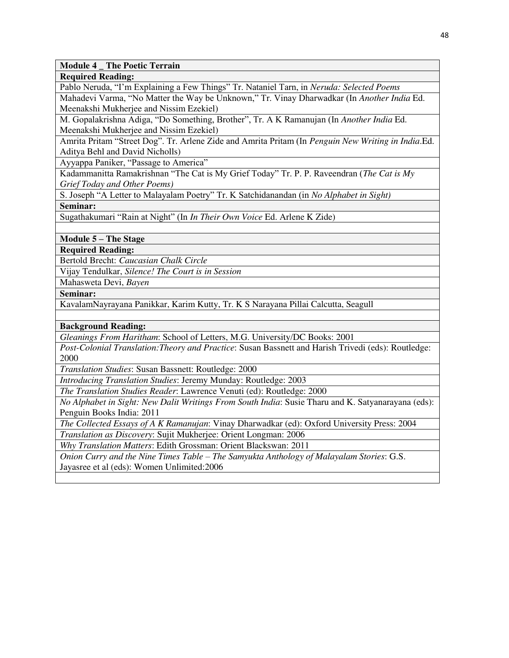**Module 4 \_ The Poetic Terrain** 

**Required Reading:** 

Pablo Neruda, "I'm Explaining a Few Things" Tr. Nataniel Tarn, in *Neruda: Selected Poems*

Mahadevi Varma, "No Matter the Way be Unknown," Tr. Vinay Dharwadkar (In *Another India* Ed. Meenakshi Mukherjee and Nissim Ezekiel)

M. Gopalakrishna Adiga, "Do Something, Brother", Tr. A K Ramanujan (In *Another India* Ed. Meenakshi Mukherjee and Nissim Ezekiel)

Amrita Pritam "Street Dog". Tr. Arlene Zide and Amrita Pritam (In *Penguin New Writing in India*.Ed. Aditya Behl and David Nicholls)

Ayyappa Paniker, "Passage to America"

Kadammanitta Ramakrishnan "The Cat is My Grief Today" Tr. P. P. Raveendran (*The Cat is My Grief Today and Other Poems)*

S. Joseph "A Letter to Malayalam Poetry" Tr. K Satchidanandan (in *No Alphabet in Sight)* **Seminar:** 

Sugathakumari "Rain at Night" (In *In Their Own Voice* Ed. Arlene K Zide)

**Module 5 – The Stage** 

**Required Reading:** 

Bertold Brecht: *Caucasian Chalk Circle* 

Vijay Tendulkar, *Silence! The Court is in Session*

Mahasweta Devi, *Bayen*

**Seminar:** 

KavalamNayrayana Panikkar, Karim Kutty, Tr. K S Narayana Pillai Calcutta, Seagull

**Background Reading:** 

*Gleanings From Haritham*: School of Letters, M.G. University/DC Books: 2001

*Post-Colonial Translation:Theory and Practice*: Susan Bassnett and Harish Trivedi (eds): Routledge: 2000

*Translation Studies*: Susan Bassnett: Routledge: 2000

*Introducing Translation Studies*: Jeremy Munday: Routledge: 2003

*The Translation Studies Reader*: Lawrence Venuti (ed): Routledge: 2000

*No Alphabet in Sight: New Dalit Writings From South India*: Susie Tharu and K. Satyanarayana (eds): Penguin Books India: 2011

*The Collected Essays of A K Ramanujan*: Vinay Dharwadkar (ed): Oxford University Press: 2004

*Translation as Discovery*: Sujit Mukherjee: Orient Longman: 2006

*Why Translation Matters*: Edith Grossman: Orient Blackswan: 2011

*Onion Curry and the Nine Times Table – The Samyukta Anthology of Malayalam Stories*: G.S. Jayasree et al (eds): Women Unlimited:2006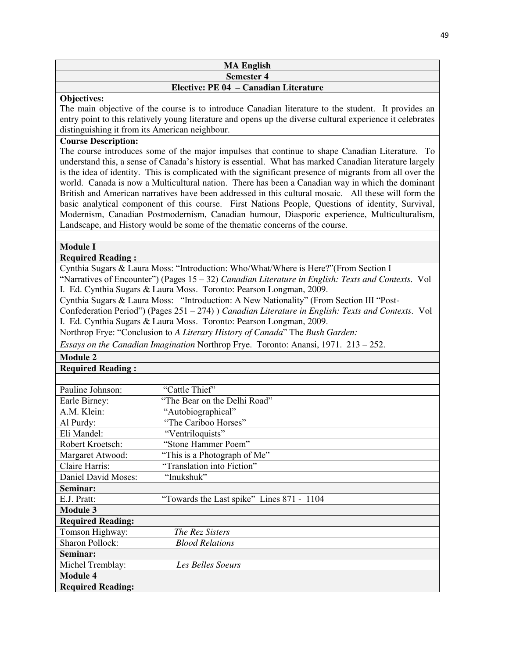# **MA English Semester 4**

# **Elective: PE 04 – Canadian Literature**

#### **Objectives:**

The main objective of the course is to introduce Canadian literature to the student. It provides an entry point to this relatively young literature and opens up the diverse cultural experience it celebrates distinguishing it from its American neighbour.

# **Course Description:**

The course introduces some of the major impulses that continue to shape Canadian Literature. To understand this, a sense of Canada's history is essential. What has marked Canadian literature largely is the idea of identity. This is complicated with the significant presence of migrants from all over the world. Canada is now a Multicultural nation. There has been a Canadian way in which the dominant British and American narratives have been addressed in this cultural mosaic. All these will form the basic analytical component of this course. First Nations People, Questions of identity, Survival, Modernism, Canadian Postmodernism, Canadian humour, Diasporic experience, Multiculturalism, Landscape, and History would be some of the thematic concerns of the course.

# **Module I**

# **Required Reading :**

Cynthia Sugars & Laura Moss: "Introduction: Who/What/Where is Here?"(From Section I "Narratives of Encounter") (Pages 15 – 32) *Canadian Literature in English: Texts and Contexts.* Vol I. Ed. Cynthia Sugars & Laura Moss. Toronto: Pearson Longman, 2009.

Cynthia Sugars & Laura Moss: "Introduction: A New Nationality" (From Section III "Post-Confederation Period") (Pages 251 – 274) ) *Canadian Literature in English: Texts and Contexts.* Vol I. Ed. Cynthia Sugars & Laura Moss. Toronto: Pearson Longman, 2009.

Northrop Frye: "Conclusion to *A Literary History of Canada*" The *Bush Garden:* 

*Essays on the Canadian Imagination* Northrop Frye. Toronto: Anansi, 1971. 213 – 252.

**Module 2** 

**Required Reading :** 

| Pauline Johnson:         | "Cattle Thief"                            |
|--------------------------|-------------------------------------------|
| Earle Birney:            | "The Bear on the Delhi Road"              |
| A.M. Klein:              | "Autobiographical"                        |
| Al Purdy:                | "The Cariboo Horses"                      |
| Eli Mandel:              | "Ventriloquists"                          |
| Robert Kroetsch:         | "Stone Hammer Poem"                       |
| Margaret Atwood:         | "This is a Photograph of Me"              |
| Claire Harris:           | "Translation into Fiction"                |
| Daniel David Moses:      | "Inukshuk"                                |
| Seminar:                 |                                           |
| E.J. Pratt:              | "Towards the Last spike" Lines 871 - 1104 |
| <b>Module 3</b>          |                                           |
| <b>Required Reading:</b> |                                           |
| Tomson Highway:          | The Rez Sisters                           |
| <b>Sharon Pollock:</b>   | <b>Blood Relations</b>                    |
| Seminar:                 |                                           |
| Michel Tremblay:         | Les Belles Soeurs                         |
| <b>Module 4</b>          |                                           |
| <b>Required Reading:</b> |                                           |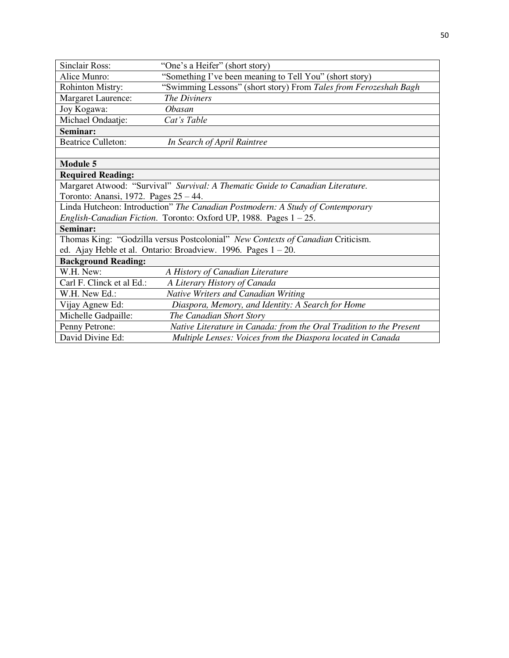| <b>Sinclair Ross:</b>                                                          | "One's a Heifer" (short story)                                                  |  |
|--------------------------------------------------------------------------------|---------------------------------------------------------------------------------|--|
| Alice Munro:                                                                   | "Something I've been meaning to Tell You" (short story)                         |  |
| Rohinton Mistry:                                                               | "Swimming Lessons" (short story) From Tales from Ferozeshah Bagh                |  |
| Margaret Laurence:                                                             | <b>The Diviners</b>                                                             |  |
| Joy Kogawa:                                                                    | <i><b>Obasan</b></i>                                                            |  |
| Michael Ondaatje:                                                              | Cat's Table                                                                     |  |
| Seminar:                                                                       |                                                                                 |  |
| <b>Beatrice Culleton:</b>                                                      | In Search of April Raintree                                                     |  |
|                                                                                |                                                                                 |  |
| <b>Module 5</b>                                                                |                                                                                 |  |
| <b>Required Reading:</b>                                                       |                                                                                 |  |
|                                                                                | Margaret Atwood: "Survival" Survival: A Thematic Guide to Canadian Literature.  |  |
| Toronto: Anansi, 1972. Pages 25 – 44.                                          |                                                                                 |  |
| Linda Hutcheon: Introduction" The Canadian Postmodern: A Study of Contemporary |                                                                                 |  |
|                                                                                | English-Canadian Fiction. Toronto: Oxford UP, 1988. Pages 1 - 25.               |  |
| Seminar:                                                                       |                                                                                 |  |
|                                                                                | Thomas King: "Godzilla versus Postcolonial" New Contexts of Canadian Criticism. |  |
|                                                                                | ed. Ajay Heble et al. Ontario: Broadview. 1996. Pages $1 - 20$ .                |  |
| <b>Background Reading:</b>                                                     |                                                                                 |  |
| W.H. New:                                                                      | A History of Canadian Literature                                                |  |
| Carl F. Clinck et al Ed.:                                                      | A Literary History of Canada                                                    |  |
| W.H. New Ed.:                                                                  | Native Writers and Canadian Writing                                             |  |
| Vijay Agnew Ed:                                                                | Diaspora, Memory, and Identity: A Search for Home                               |  |
| Michelle Gadpaille:                                                            | The Canadian Short Story                                                        |  |
| Penny Petrone:                                                                 | Native Literature in Canada: from the Oral Tradition to the Present             |  |
| David Divine Ed:                                                               | Multiple Lenses: Voices from the Diaspora located in Canada                     |  |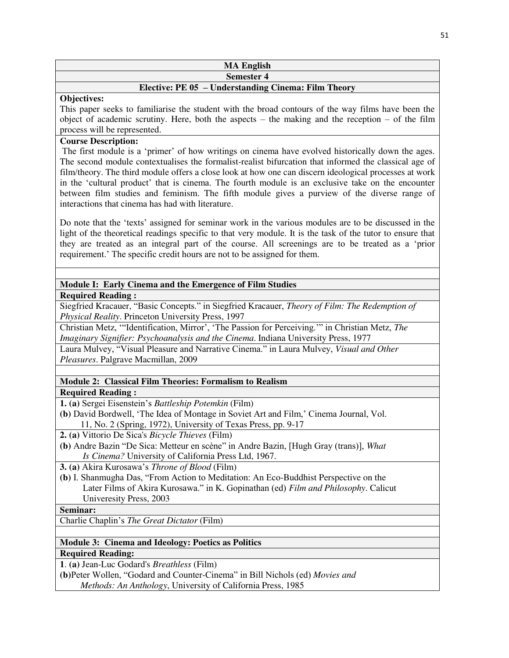#### **MA English Semester 4**

# **Elective: PE 05 – Understanding Cinema: Film Theory**

# **Objectives:**

This paper seeks to familiarise the student with the broad contours of the way films have been the object of academic scrutiny. Here, both the aspects – the making and the reception – of the film process will be represented.

# **Course Description:**

The first module is a 'primer' of how writings on cinema have evolved historically down the ages. The second module contextualises the formalist-realist bifurcation that informed the classical age of film/theory. The third module offers a close look at how one can discern ideological processes at work in the 'cultural product' that is cinema. The fourth module is an exclusive take on the encounter between film studies and feminism. The fifth module gives a purview of the diverse range of interactions that cinema has had with literature.

Do note that the 'texts' assigned for seminar work in the various modules are to be discussed in the light of the theoretical readings specific to that very module. It is the task of the tutor to ensure that they are treated as an integral part of the course. All screenings are to be treated as a 'prior requirement.' The specific credit hours are not to be assigned for them.

# **Module I: Early Cinema and the Emergence of Film Studies**

**Required Reading :** 

Siegfried Kracauer, "Basic Concepts." in Siegfried Kracauer, *Theory of Film: The Redemption of Physical Reality*. Princeton University Press, 1997

Christian Metz, '"Identification, Mirror', 'The Passion for Perceiving.'" in Christian Metz, *The Imaginary Signifier: Psychoanalysis and the Cinema*. Indiana University Press, 1977

Laura Mulvey, "Visual Pleasure and Narrative Cinema." in Laura Mulvey, *Visual and Other Pleasures*. Palgrave Macmillan, 2009

# **Module 2: Classical Film Theories: Formalism to Realism**

**Required Reading :** 

**1. (a)** Sergei Eisenstein's *Battleship Potemkin* (Film)

**(b)** David Bordwell, 'The Idea of Montage in Soviet Art and Film,' Cinema Journal, Vol. 11, No. 2 (Spring, 1972), University of Texas Press, pp. 9-17

**2. (a)** Vittorio De Sica's *Bicycle Thieves* (Film)

**(b)** Andre Bazin "De Sica: Metteur en scène" in Andre Bazin, [Hugh Gray (trans)], *What Is Cinema?* University of California Press Ltd, 1967.

**3. (a)** Akira Kurosawa's *Throne of Blood* (Film)

**(b)** I. Shanmugha Das, "From Action to Meditation: An Eco-Buddhist Perspective on the Later Films of Akira Kurosawa." in K. Gopinathan (ed) *Film and Philosophy*. Calicut Univeresity Press, 2003

# **Seminar:**

Charlie Chaplin's *The Great Dictator* (Film)

**Module 3: Cinema and Ideology: Poetics as Politics Required Reading:** 

**1**. **(a)** Jean-Luc Godard's *Breathless* (Film)

**(b)**Peter Wollen, "Godard and Counter-Cinema" in Bill Nichols (ed) *Movies and Methods: An Anthology*, University of California Press, 1985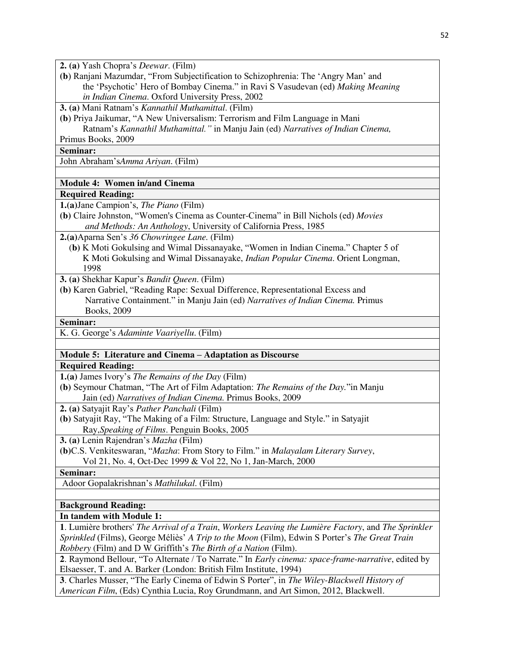**2. (a)** Yash Chopra's *Deewar*. (Film)

**(b**) Ranjani Mazumdar, "From Subjectification to Schizophrenia: The 'Angry Man' and the 'Psychotic' Hero of Bombay Cinema." in Ravi S Vasudevan (ed) *Making Meaning in Indian Cinema*. Oxford University Press, 2002

**3. (a)** Mani Ratnam's *Kannathil Muthamittal*. (Film)

**(b**) Priya Jaikumar, "A New Universalism: Terrorism and Film Language in Mani Ratnam's *Kannathil Muthamittal."* in Manju Jain (ed) *Narratives of Indian Cinema,* 

Primus Books, 2009

**Seminar:** 

John Abraham's*Amma Ariyan*. (Film)

#### **Module 4: Women in/and Cinema**

#### **Required Reading:**

**1.(a)**Jane Campion's, *The Piano* (Film)

**(b)** Claire Johnston, "Women's Cinema as Counter-Cinema" in Bill Nichols (ed) *Movies and Methods: An Anthology*, University of California Press, 1985

**2.(a)**Aparna Sen's *36 Chowringee Lane.* (Film)

 (**b)** K Moti Gokulsing and Wimal Dissanayake, "Women in Indian Cinema." Chapter 5 of K Moti Gokulsing and Wimal Dissanayake, *Indian Popular Cinema*. Orient Longman, 1998

**3. (a)** Shekhar Kapur's *Bandit Queen*. (Film)

**(b)** Karen Gabriel, "Reading Rape: Sexual Difference, Representational Excess and Narrative Containment." in Manju Jain (ed) *Narratives of Indian Cinema.* Primus Books, 2009

#### **Seminar:**

K. G. George's *Adaminte Vaariyellu*. (Film)

# **Module 5: Literature and Cinema – Adaptation as Discourse**

#### **Required Reading:**

**1.(a)** James Ivory's *The Remains of the Day* (Film)

**(b)** Seymour Chatman, "The Art of Film Adaptation: *The Remains of the Day.*"in Manju Jain (ed) *Narratives of Indian Cinema.* Primus Books, 2009

**2. (a)** Satyajit Ray's *Pather Panchali* (Film)

**(b)** Satyajit Ray, "The Making of a Film: Structure, Language and Style." in Satyajit Ray,*Speaking of Films*. Penguin Books, 2005

**3. (a)** Lenin Rajendran's *Mazha* (Film)

**(b)**C.S. Venkiteswaran, "*Mazha*: From Story to Film." in *Malayalam Literary Survey*, Vol 21, No. 4, Oct-Dec 1999 & Vol 22, No 1, Jan-March, 2000

**Seminar:** 

Adoor Gopalakrishnan's *Mathilukal*. (Film)

# **Background Reading:**

# **In tandem with Module 1:**

**1**. Lumière brothers' *The Arrival of a Train*, *Workers Leaving the Lumière Factory*, and *The Sprinkler Sprinkled* (Films), George Méliès' *A Trip to the Moon* (Film), Edwin S Porter's *The Great Train Robbery* (Film) and D W Griffith's *The Birth of a Nation* (Film).

**2**. Raymond Bellour, "To Alternate / To Narrate." In *Early cinema: space-frame-narrative*, edited by Elsaesser, T. and A. Barker (London: British Film Institute, 1994)

**3**. Charles Musser, "The Early Cinema of Edwin S Porter", in *The Wiley-Blackwell History of American Film*, (Eds) Cynthia Lucia, Roy Grundmann, and Art Simon, 2012, Blackwell.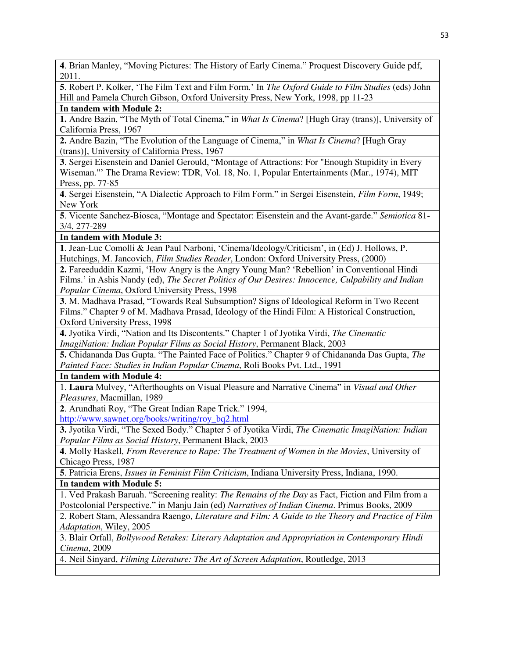**4**. Brian Manley, "Moving Pictures: The History of Early Cinema." Proquest Discovery Guide pdf, 2011.

**5**. Robert P. Kolker, 'The Film Text and Film Form.' In *The Oxford Guide to Film Studies* (eds) John Hill and Pamela Church Gibson, Oxford University Press, New York, 1998, pp 11-23

# **In tandem with Module 2:**

**1.** Andre Bazin, "The Myth of Total Cinema," in *What Is Cinema*? [Hugh Gray (trans)], University of California Press, 1967

**2.** Andre Bazin, "The Evolution of the Language of Cinema," in *What Is Cinema*? [Hugh Gray (trans)], University of California Press, 1967

**3**. Sergei Eisenstein and Daniel Gerould, "Montage of Attractions: For "Enough Stupidity in Every Wiseman."' The Drama Review: TDR, Vol. 18, No. 1, Popular Entertainments (Mar., 1974), MIT Press, pp. 77-85

**4**. Sergei Eisenstein, "A Dialectic Approach to Film Form." in Sergei Eisenstein, *Film Form*, 1949; New York

**5**. Vicente Sanchez-Biosca, "Montage and Spectator: Eisenstein and the Avant-garde." *Semiotica* 81- 3/4, 277-289

# **In tandem with Module 3:**

**1**. Jean-Luc Comolli & Jean Paul Narboni, 'Cinema/Ideology/Criticism', in (Ed) J. Hollows, P. Hutchings, M. Jancovich, *Film Studies Reader*, London: Oxford University Press, (2000)

**2.** Fareeduddin Kazmi, 'How Angry is the Angry Young Man? 'Rebellion' in Conventional Hindi Films.' in Ashis Nandy (ed), *The Secret Politics of Our Desires: Innocence, Culpability and Indian Popular Cinema*, Oxford University Press, 1998

**3**. M. Madhava Prasad, "Towards Real Subsumption? Signs of Ideological Reform in Two Recent Films." Chapter 9 of M. Madhava Prasad, Ideology of the Hindi Film: A Historical Construction, Oxford University Press, 1998

**4.** Jyotika Virdi, "Nation and Its Discontents." Chapter 1 of Jyotika Virdi, *The Cinematic ImagiNation: Indian Popular Films as Social History*, Permanent Black, 2003

**5.** Chidananda Das Gupta. "The Painted Face of Politics." Chapter 9 of Chidananda Das Gupta, *The Painted Face: Studies in Indian Popular Cinema*, Roli Books Pvt. Ltd., 1991

# **In tandem with Module 4:**

1. **Laura** Mulvey, "Afterthoughts on Visual Pleasure and Narrative Cinema" in *Visual and Other Pleasures*, Macmillan, 1989

**2**. Arundhati Roy, "The Great Indian Rape Trick." 1994, [http://www.sawnet.org/books/writing/roy\\_bq2.html](http://www.sawnet.org/books/writing/roy_bq2.html)

**3.** Jyotika Virdi, "The Sexed Body." Chapter 5 of Jyotika Virdi, *The Cinematic ImagiNation: Indian Popular Films as Social History*, Permanent Black, 2003

**4**. Molly Haskell, *From Reverence to Rape: The Treatment of Women in the Movies*, University of Chicago Press, 1987

**5**. Patricia Erens, *Issues in Feminist Film Criticism*, Indiana University Press, Indiana, 1990. **In tandem with Module 5:**

1. Ved Prakash Baruah. "Screening reality: *The Remains of the Day* as Fact, Fiction and Film from a Postcolonial Perspective." in Manju Jain (ed) *Narratives of Indian Cinema*. Primus Books, 2009

2. Robert Stam, Alessandra Raengo, *Literature and Film: A Guide to the Theory and Practice of Film Adaptation*, Wiley, 2005

3. Blair Orfall, *Bollywood Retakes: Literary Adaptation and Appropriation in Contemporary Hindi Cinema*, 2009

4. Neil Sinyard, *Filming Literature: The Art of Screen Adaptation*, Routledge, 2013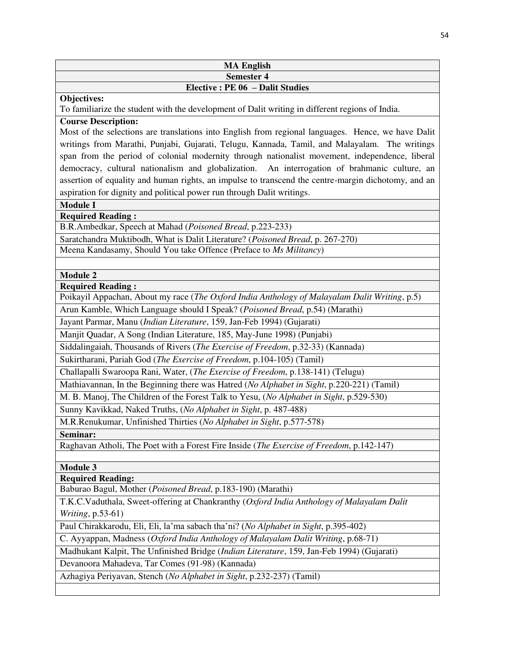| <b>MA English</b>                |
|----------------------------------|
| <b>Semester 4</b>                |
| Elective : PE 06 - Dalit Studies |

#### **Objectives:**

To familiarize the student with the development of Dalit writing in different regions of India.

**Course Description:** 

Most of the selections are translations into English from regional languages. Hence, we have Dalit writings from Marathi, Punjabi, Gujarati, Telugu, Kannada, Tamil, and Malayalam. The writings span from the period of colonial modernity through nationalist movement, independence, liberal democracy, cultural nationalism and globalization. An interrogation of brahmanic culture, an assertion of equality and human rights, an impulse to transcend the centre-margin dichotomy, and an aspiration for dignity and political power run through Dalit writings.

**Module I** 

**Required Reading :** 

B.R.Ambedkar, Speech at Mahad (*Poisoned Bread*, p.223-233)

Saratchandra Muktibodh, What is Dalit Literature? (*Poisoned Bread*, p. 267-270) Meena Kandasamy, Should You take Offence (Preface to *Ms Militancy*)

**Module 2** 

**Required Reading :** 

Poikayil Appachan, About my race (*The Oxford India Anthology of Malayalam Dalit Writing*, p.5)

Arun Kamble, Which Language should I Speak? (*Poisoned Bread*, p.54) (Marathi)

Jayant Parmar, Manu (*Indian Literature*, 159, Jan-Feb 1994) (Gujarati)

Manjit Quadar, A Song (Indian Literature, 185, May-June 1998) (Punjabi)

Siddalingaiah, Thousands of Rivers (*The Exercise of Freedom*, p.32-33) (Kannada)

Sukirtharani, Pariah God (*The Exercise of Freedom*, p.104-105) (Tamil)

Challapalli Swaroopa Rani, Water, (*The Exercise of Freedom*, p.138-141) (Telugu)

Mathiavannan, In the Beginning there was Hatred (*No Alphabet in Sight*, p.220-221) (Tamil)

M. B. Manoj, The Children of the Forest Talk to Yesu, (*No Alphabet in Sight*, p.529-530)

Sunny Kavikkad, Naked Truths, (*No Alphabet in Sight*, p. 487-488)

M.R.Renukumar, Unfinished Thirties (*No Alphabet in Sight*, p.577-578)

**Seminar:** 

Raghavan Atholi, The Poet with a Forest Fire Inside (*The Exercise of Freedom*, p.142-147)

**Module 3** 

**Required Reading:** 

Baburao Bagul, Mother (*Poisoned Bread*, p.183-190) (Marathi)

T.K.C.Vaduthala, Sweet-offering at Chankranthy (*Oxford India Anthology of Malayalam Dalit Writing*, p.53-61)

Paul Chirakkarodu, Eli, Eli, la'ma sabach tha'ni? (*No Alphabet in Sight*, p.395-402)

C. Ayyappan, Madness (*Oxford India Anthology of Malayalam Dalit Writing*, p.68-71)

Madhukant Kalpit, The Unfinished Bridge (*Indian Literature*, 159, Jan-Feb 1994) (Gujarati)

Devanoora Mahadeva, Tar Comes (91-98) (Kannada)

Azhagiya Periyavan, Stench (*No Alphabet in Sight*, p.232-237) (Tamil)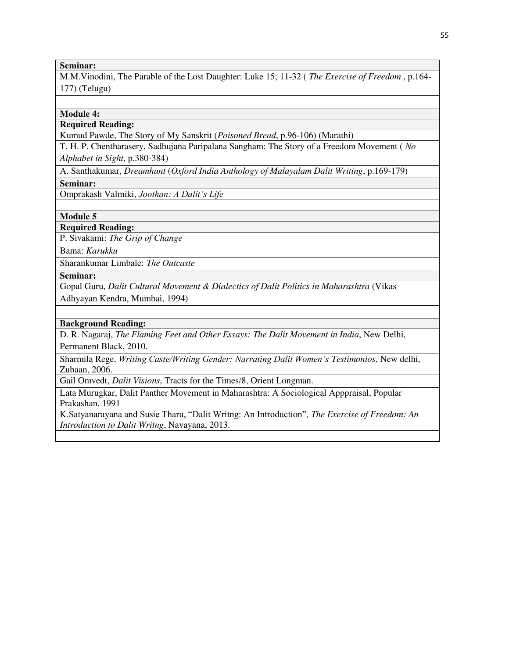#### **Seminar:**

M.M.Vinodini, The Parable of the Lost Daughter: Luke 15; 11-32 ( *The Exercise of Freedom* , p.164- 177) (Telugu)

#### **Module 4:**

# **Required Reading:**

Kumud Pawde, The Story of My Sanskrit (*Poisoned Bread*, p.96-106) (Marathi)

T. H. P. Chentharasery, Sadhujana Paripalana Sangham: The Story of a Freedom Movement ( *No Alphabet in Sight*, p.380-384)

A. Santhakumar, *Dreamhunt* (*Oxford India Anthology of Malayalam Dalit Writing*, p.169-179)

**Seminar:** 

Omprakash Valmiki, *Joothan: A Dalit's Life*

**Module 5** 

**Required Reading:** 

P. Sivakami: *The Grip of Change* 

Bama: *Karukku* 

Sharankumar Limbale: *The Outcaste*

#### **Seminar:**

Gopal Guru, *Dalit Cultural Movement & Dialectics of Dalit Politics in Maharashtra* (Vikas Adhyayan Kendra, Mumbai, 1994)

#### **Background Reading:**

D. R. Nagaraj, *The Flaming Feet and Other Essays: The Dalit Movement in India*, New Delhi, Permanent Black, 2010.

Sharmila Rege, *Writing Caste/Writing Gender: Narrating Dalit Women's Testimonios*, New delhi, Zubaan, 2006.

Gail Omvedt, *Dalit Visions*, Tracts for the Times/8, Orient Longman.

Lata Murugkar, Dalit Panther Movement in Maharashtra: A Sociological Apppraisal, Popular Prakashan, 1991

K.Satyanarayana and Susie Tharu, "Dalit Writng: An Introduction", *The Exercise of Freedom: An Introduction to Dalit Writng*, Navayana, 2013.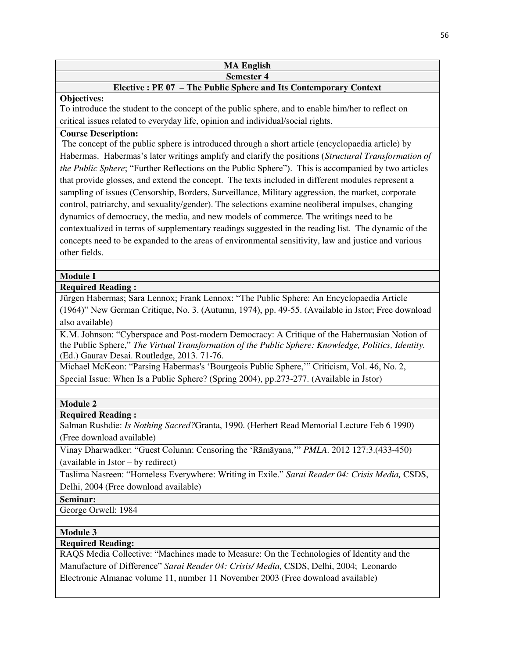#### **MA English Semester 4**

# **Elective : PE 07 – The Public Sphere and Its Contemporary Context**

# **Objectives:**

To introduce the student to the concept of the public sphere, and to enable him/her to reflect on critical issues related to everyday life, opinion and individual/social rights.

# **Course Description:**

 The concept of the public sphere is introduced through a short article (encyclopaedia article) by Habermas. Habermas's later writings amplify and clarify the positions (*Structural Transformation of the Public Sphere*; "Further Reflections on the Public Sphere"). This is accompanied by two articles that provide glosses, and extend the concept. The texts included in different modules represent a sampling of issues (Censorship, Borders, Surveillance, Military aggression, the market, corporate control, patriarchy, and sexuality/gender). The selections examine neoliberal impulses, changing dynamics of democracy, the media, and new models of commerce. The writings need to be contextualized in terms of supplementary readings suggested in the reading list. The dynamic of the concepts need to be expanded to the areas of environmental sensitivity, law and justice and various other fields.

# **Module I**

**Required Reading :** 

Jürgen Habermas; Sara Lennox; Frank Lennox: "The Public Sphere: An Encyclopaedia Article (1964)" New German Critique, No. 3. (Autumn, 1974), pp. 49-55. (Available in Jstor; Free download also available)

K.M. Johnson: "Cyberspace and Post-modern Democracy: A Critique of the Habermasian Notion of the Public Sphere," *The Virtual Transformation of the Public Sphere: Knowledge, Politics, Identity.* (Ed.) Gaurav Desai. Routledge, 2013. 71-76.

Michael McKeon: "Parsing Habermas's 'Bourgeois Public Sphere,'" Criticism, Vol. 46, No. 2, Special Issue: When Is a Public Sphere? (Spring 2004), pp.273-277. (Available in Jstor)

# **Module 2**

# **Required Reading :**

Salman Rushdie: *Is Nothing Sacred?*Granta, 1990. (Herbert Read Memorial Lecture Feb 6 1990) (Free download available)

Vinay Dharwadker: "Guest Column: Censoring the 'Rāmāyana,'" *PMLA*. 2012 127:3.(433-450) (available in Jstor – by redirect)

Taslima Nasreen: "Homeless Everywhere: Writing in Exile." *Sarai Reader 04: Crisis Media,* CSDS, Delhi, 2004 (Free download available)

# **Seminar:**

George Orwell: 1984

# **Module 3**

# **Required Reading:**

RAQS Media Collective: "Machines made to Measure: On the Technologies of Identity and the Manufacture of Difference" *Sarai Reader 04: Crisis/ Media,* CSDS, Delhi, 2004; Leonardo Electronic Almanac volume 11, number 11 November 2003 (Free download available)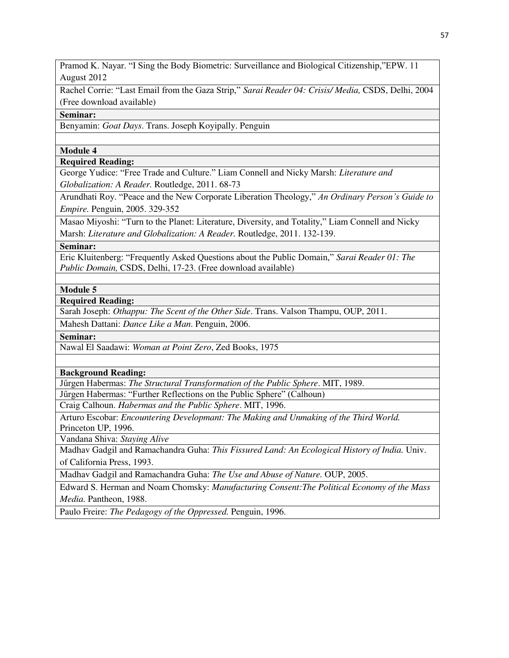Pramod K. Nayar. "I Sing the Body Biometric: Surveillance and Biological Citizenship,"EPW. 11 August 2012

Rachel Corrie: "Last Email from the Gaza Strip," *Sarai Reader 04: Crisis/ Media,* CSDS, Delhi, 2004 (Free download available)

**Seminar:** 

Benyamin: *Goat Days*. Trans. Joseph Koyipally. Penguin

**Module 4** 

**Required Reading:** 

George Yudice: "Free Trade and Culture." Liam Connell and Nicky Marsh: *Literature and Globalization: A Reader.* Routledge, 2011. 68-73

Arundhati Roy. "Peace and the New Corporate Liberation Theology," *An Ordinary Person's Guide to Empire.* Penguin, 2005. 329-352

Masao Miyoshi: "Turn to the Planet: Literature, Diversity, and Totality," Liam Connell and Nicky Marsh: *Literature and Globalization: A Reader.* Routledge, 2011. 132-139.

**Seminar:** 

Eric Kluitenberg: "Frequently Asked Questions about the Public Domain," *Sarai Reader 01: The Public Domain,* CSDS, Delhi, 17-23. (Free download available)

**Module 5** 

**Required Reading:** 

Sarah Joseph: *Othappu: The Scent of the Other Side*. Trans. Valson Thampu, OUP, 2011.

Mahesh Dattani: *Dance Like a Man*. Penguin, 2006.

**Seminar:** 

Nawal El Saadawi: *Woman at Point Zero*, Zed Books, 1975

**Background Reading:** 

Jűrgen Habermas: *The Structural Transformation of the Public Sphere*. MIT, 1989.

Jűrgen Habermas: "Further Reflections on the Public Sphere" (Calhoun)

Craig Calhoun. *Habermas and the Public Sphere*. MIT, 1996.

Arturo Escobar: *Encountering Developmant: The Making and Unmaking of the Third World.* Princeton UP, 1996.

Vandana Shiva: *Staying Alive* 

Madhav Gadgil and Ramachandra Guha: *This Fissured Land: An Ecological History of India.* Univ. of California Press, 1993.

Madhav Gadgil and Ramachandra Guha: *The Use and Abuse of Nature.* OUP, 2005.

Edward S. Herman and Noam Chomsky: *Manufacturing Consent:The Political Economy of the Mass Media.* Pantheon, 1988.

Paulo Freire: *The Pedagogy of the Oppressed.* Penguin, 1996.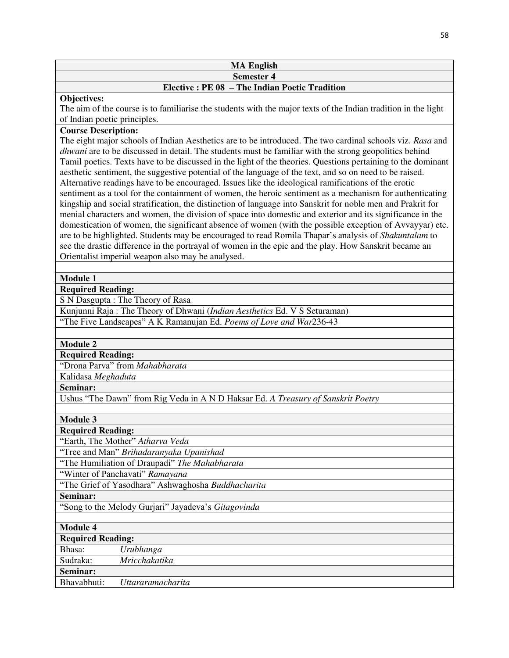# **MA English Semester 4**

# **Elective : PE 08 – The Indian Poetic Tradition**

#### **Objectives:**

The aim of the course is to familiarise the students with the major texts of the Indian tradition in the light of Indian poetic principles.

# **Course Description:**

The eight major schools of Indian Aesthetics are to be introduced. The two cardinal schools viz. *Rasa* and *dhwani* are to be discussed in detail. The students must be familiar with the strong geopolitics behind Tamil poetics. Texts have to be discussed in the light of the theories. Questions pertaining to the dominant aesthetic sentiment, the suggestive potential of the language of the text, and so on need to be raised. Alternative readings have to be encouraged. Issues like the ideological ramifications of the erotic sentiment as a tool for the containment of women, the heroic sentiment as a mechanism for authenticating kingship and social stratification, the distinction of language into Sanskrit for noble men and Prakrit for menial characters and women, the division of space into domestic and exterior and its significance in the domestication of women, the significant absence of women (with the possible exception of Avvayyar) etc. are to be highlighted. Students may be encouraged to read Romila Thapar's analysis of *Shakuntalam* to see the drastic difference in the portrayal of women in the epic and the play. How Sanskrit became an Orientalist imperial weapon also may be analysed.

# **Module 1**

**Required Reading:** 

S N Dasgupta : The Theory of Rasa

Kunjunni Raja : The Theory of Dhwani (*Indian Aesthetics* Ed. V S Seturaman)

"The Five Landscapes" A K Ramanujan Ed. *Poems of Love and War*236-43

# **Module 2**

**Required Reading:** 

"Drona Parva" from *Mahabharata*

Kalidasa *Meghaduta*

**Seminar:** 

Ushus "The Dawn" from Rig Veda in A N D Haksar Ed. *A Treasury of Sanskrit Poetry*

**Module 3** 

# **Required Reading:**

"Earth, The Mother" *Atharva Veda*

"Tree and Man" *Brihadaranyaka Upanishad*

"The Humiliation of Draupadi" *The Mahabharata*

"Winter of Panchavati" *Ramayana*

"The Grief of Yasodhara" Ashwaghosha *Buddhacharita*

#### **Seminar:**

"Song to the Melody Gurjari" Jayadeva's *Gitagovinda*

# **Module 4**

# **Required Reading:**

| Bhasa:      | Urubhanga                |
|-------------|--------------------------|
| Sudraka:    | <i>Mricchakatika</i>     |
| Seminar:    |                          |
| Bhavabhuti: | <i>Uttararamacharita</i> |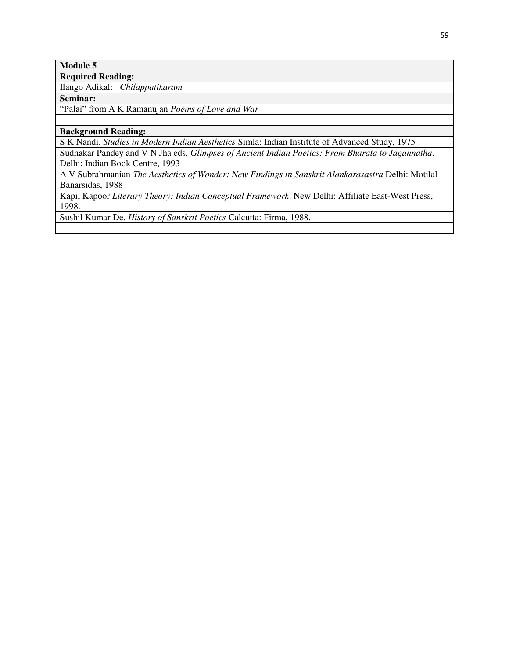# **Module 5**

**Required Reading:** 

Ilango Adikal: *Chilappatikaram*

**Seminar:** 

"Palai" from A K Ramanujan *Poems of Love and War*

#### **Background Reading:**

S K Nandi. *Studies in Modern Indian Aesthetics* Simla: Indian Institute of Advanced Study, 1975

Sudhakar Pandey and V N Jha eds. *Glimpses of Ancient Indian Poetics: From Bharata to Jagannatha*. Delhi: Indian Book Centre, 1993

A V Subrahmanian *The Aesthetics of Wonder: New Findings in Sanskrit Alankarasastra* Delhi: Motilal Banarsidas, 1988

Kapil Kapoor *Literary Theory: Indian Conceptual Framework*. New Delhi: Affiliate East-West Press, 1998.

Sushil Kumar De. *History of Sanskrit Poetics* Calcutta: Firma, 1988.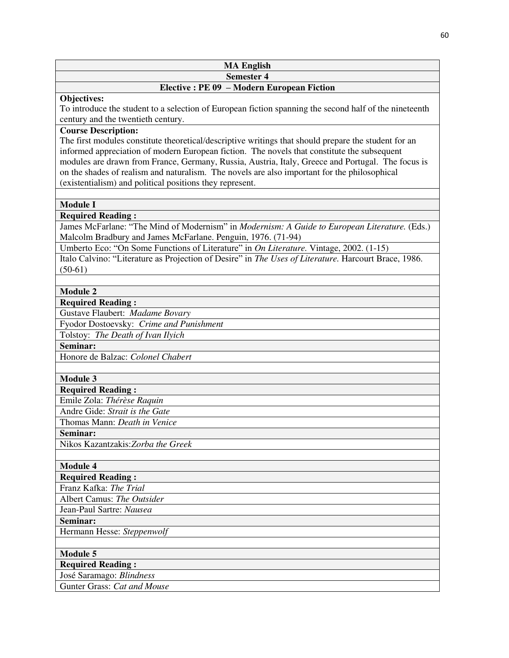| <b>MA English</b>                          |
|--------------------------------------------|
| <b>Semester 4</b>                          |
| Elective : PE 09 - Modern European Fiction |

#### **Objectives:**

To introduce the student to a selection of European fiction spanning the second half of the nineteenth century and the twentieth century.

# **Course Description:**

The first modules constitute theoretical/descriptive writings that should prepare the student for an informed appreciation of modern European fiction. The novels that constitute the subsequent modules are drawn from France, Germany, Russia, Austria, Italy, Greece and Portugal. The focus is on the shades of realism and naturalism. The novels are also important for the philosophical (existentialism) and political positions they represent.

#### **Module I**

**Required Reading :** 

James McFarlane: "The Mind of Modernism" in *Modernism: A Guide to European Literature.* (Eds.) Malcolm Bradbury and James McFarlane. Penguin, 1976. (71-94)

Umberto Eco: "On Some Functions of Literature" in *On Literature.* Vintage, 2002. (1-15) Italo Calvino: "Literature as Projection of Desire" in *The Uses of Literature.* Harcourt Brace, 1986. (50-61)

#### **Module 2**

**Required Reading :** 

Gustave Flaubert: *Madame Bovary*

Fyodor Dostoevsky: *Crime and Punishment*

Tolstoy: *The Death of Ivan Ilyich*

**Seminar:** 

Honore de Balzac: *Colonel Chabert*

#### **Module 3**

**Required Reading :** 

Emile Zola: *Thérèse Raquin*

Andre Gide: *Strait is the Gate*

Thomas Mann: *Death in Venice*

**Seminar:** 

Nikos Kazantzakis:*Zorba the Greek*

#### **Module 4**

**Required Reading :** 

Franz Kafka: *The Trial*

Albert Camus: *The Outsider*

Jean-Paul Sartre: *Nausea*

**Seminar:** 

Hermann Hesse: *Steppenwolf*

**Module 5** 

**Required Reading :** 

José Saramago: *Blindness*

Gunter Grass: *Cat and Mouse*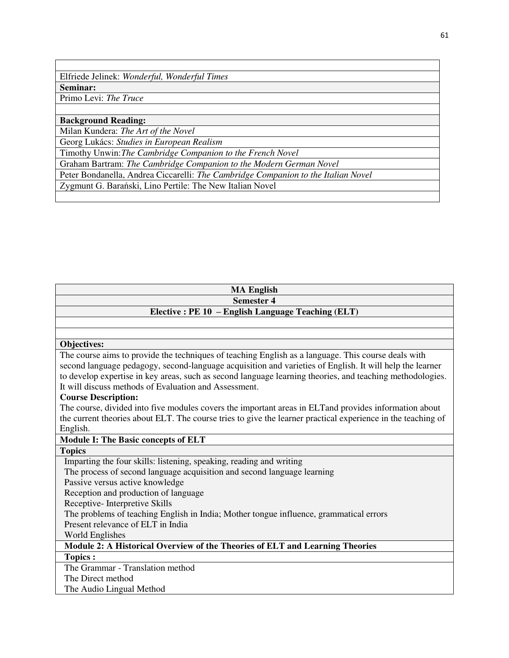Elfriede Jelinek: *Wonderful, Wonderful Times* **Seminar:** 

Primo Levi: *The Truce*

**Background Reading:** 

Milan Kundera: *The Art of the Novel*

Georg Lukács: *Studies in European Realism* 

Timothy Unwin:*The Cambridge Companion to the French Novel*

Graham Bartram: *The Cambridge Companion to the Modern German Novel*

Peter Bondanella, Andrea Ciccarelli: *The Cambridge Companion to the Italian Novel*

Zygmunt G. Barański, Lino Pertile: The New Italian Novel

| <b>MA English</b>                                                                                            |  |  |
|--------------------------------------------------------------------------------------------------------------|--|--|
| <b>Semester 4</b>                                                                                            |  |  |
| Elective: PE 10 - English Language Teaching (ELT)                                                            |  |  |
|                                                                                                              |  |  |
|                                                                                                              |  |  |
| Objectives:                                                                                                  |  |  |
| The course aims to provide the techniques of teaching English as a language. This course deals with          |  |  |
| second language pedagogy, second-language acquisition and varieties of English. It will help the learner     |  |  |
| to develop expertise in key areas, such as second language learning theories, and teaching methodologies.    |  |  |
| It will discuss methods of Evaluation and Assessment.                                                        |  |  |
| <b>Course Description:</b>                                                                                   |  |  |
| The course, divided into five modules covers the important areas in ELT and provides information about       |  |  |
| the current theories about ELT. The course tries to give the learner practical experience in the teaching of |  |  |
| English.                                                                                                     |  |  |
| <b>Module I: The Basic concepts of ELT</b>                                                                   |  |  |
| <b>Topics</b>                                                                                                |  |  |
| Imparting the four skills: listening, speaking, reading and writing                                          |  |  |
| The process of second language acquisition and second language learning                                      |  |  |
| Passive versus active knowledge                                                                              |  |  |
| Reception and production of language                                                                         |  |  |
| Receptive-Interpretive Skills                                                                                |  |  |
| The problems of teaching English in India; Mother tongue influence, grammatical errors                       |  |  |
| Present relevance of ELT in India                                                                            |  |  |
| World Englishes                                                                                              |  |  |
| Module 2: A Historical Overview of the Theories of ELT and Learning Theories                                 |  |  |
| <b>Topics:</b>                                                                                               |  |  |
| The Grammar - Translation method                                                                             |  |  |
| The Direct method                                                                                            |  |  |
| The Audio Lingual Method                                                                                     |  |  |
|                                                                                                              |  |  |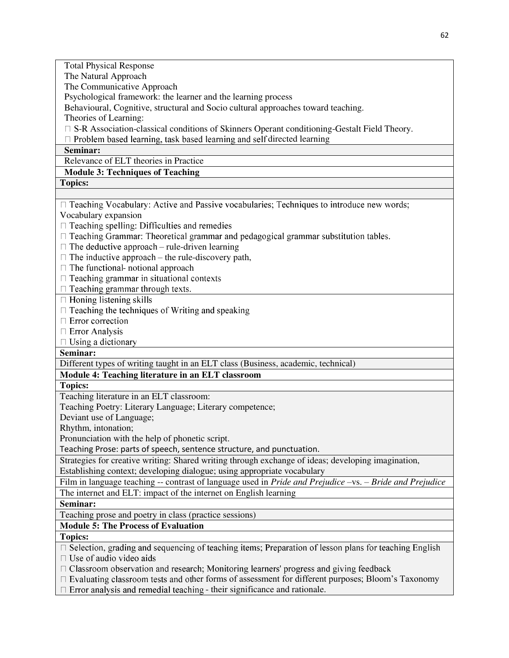| <b>Total Physical Response</b>                                                                               |
|--------------------------------------------------------------------------------------------------------------|
| The Natural Approach                                                                                         |
| The Communicative Approach                                                                                   |
| Psychological framework: the learner and the learning process                                                |
| Behavioural, Cognitive, structural and Socio cultural approaches toward teaching.                            |
| Theories of Learning:                                                                                        |
| □ S-R Association-classical conditions of Skinners Operant conditioning-Gestalt Field Theory.                |
| $\Box$ Problem based learning, task based learning and self directed learning                                |
| Seminar:                                                                                                     |
| Relevance of ELT theories in Practice                                                                        |
| <b>Module 3: Techniques of Teaching</b>                                                                      |
| <b>Topics:</b>                                                                                               |
|                                                                                                              |
| $\Box$ Teaching Vocabulary: Active and Passive vocabularies; Techniques to introduce new words;              |
| Vocabulary expansion                                                                                         |
| $\Box$ Teaching spelling: Difficulties and remedies                                                          |
| □ Teaching Grammar: Theoretical grammar and pedagogical grammar substitution tables.                         |
| $\Box$ The deductive approach – rule-driven learning                                                         |
| $\Box$ The inductive approach – the rule-discovery path,                                                     |
| □ The functional- notional approach                                                                          |
| $\Box$ Teaching grammar in situational contexts                                                              |
| $\Box$ Teaching grammar through texts.                                                                       |
| $\Box$ Honing listening skills                                                                               |
| $\Box$ Teaching the techniques of Writing and speaking                                                       |
| $\Box$ Error correction                                                                                      |
| □ Error Analysis                                                                                             |
| $\Box$ Using a dictionary                                                                                    |
| Seminar:                                                                                                     |
| Different types of writing taught in an ELT class (Business, academic, technical)                            |
| Module 4: Teaching literature in an ELT classroom                                                            |
| <b>Topics:</b>                                                                                               |
| Teaching literature in an ELT classroom:                                                                     |
| Teaching Poetry: Literary Language; Literary competence;                                                     |
| Deviant use of Language;                                                                                     |
| Rhythm, intonation;                                                                                          |
| Pronunciation with the help of phonetic script.                                                              |
| Teaching Prose: parts of speech, sentence structure, and punctuation.                                        |
| Strategies for creative writing: Shared writing through exchange of ideas; developing imagination,           |
| Establishing context; developing dialogue; using appropriate vocabulary                                      |
| Film in language teaching -- contrast of language used in Pride and Prejudice -vs. - Bride and Prejudice     |
| The internet and ELT: impact of the internet on English learning                                             |
| Seminar:                                                                                                     |
|                                                                                                              |
| Teaching prose and poetry in class (practice sessions)                                                       |
| <b>Module 5: The Process of Evaluation</b>                                                                   |
| <b>Topics:</b>                                                                                               |
| $\Box$ Selection, grading and sequencing of teaching items; Preparation of lesson plans for teaching English |
| $\Box$ Use of audio video aids                                                                               |
| $\Box$ Classroom observation and research; Monitoring learners' progress and giving feedback                 |
| □ Evaluating classroom tests and other forms of assessment for different purposes; Bloom's Taxonomy          |
| Error analysis and remedial teaching - their significance and rationale.                                     |
|                                                                                                              |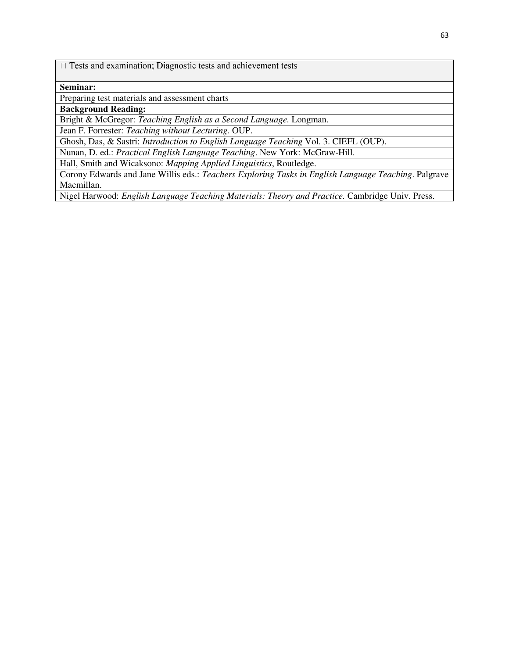$\Box$  Tests and examination; Diagnostic tests and achievement tests

#### **Seminar:**

Preparing test materials and assessment charts

**Background Reading:** 

Bright & McGregor: *Teaching English as a Second Language.* Longman.

Jean F. Forrester: *Teaching without Lecturing*. OUP.

Ghosh, Das, & Sastri: *Introduction to English Language Teaching* Vol. 3. CIEFL (OUP).

Nunan, D. ed.: *Practical English Language Teaching*. New York: McGraw-Hill.

Hall, Smith and Wicaksono: *Mapping Applied Linguistics*, Routledge.

Corony Edwards and Jane Willis eds.: *Teachers Exploring Tasks in English Language Teaching*. Palgrave Macmillan.

Nigel Harwood: *English Language Teaching Materials: Theory and Practice.* Cambridge Univ. Press.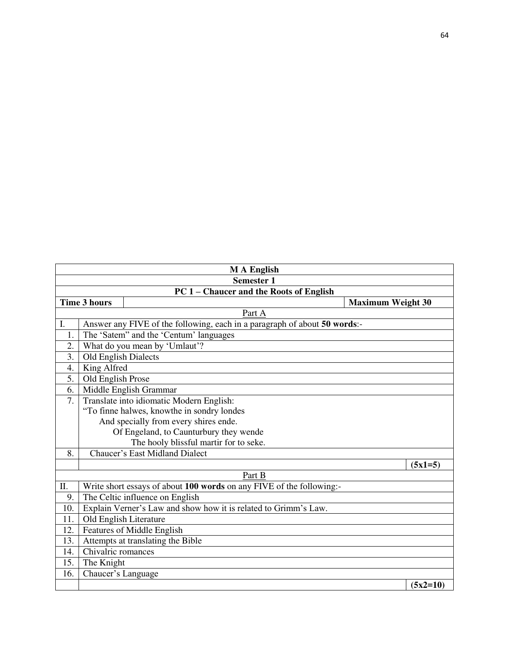|                  | <b>MA</b> English                                                         |                          |  |
|------------------|---------------------------------------------------------------------------|--------------------------|--|
|                  | <b>Semester 1</b>                                                         |                          |  |
|                  | PC 1 - Chaucer and the Roots of English                                   |                          |  |
|                  | <b>Time 3 hours</b>                                                       | <b>Maximum Weight 30</b> |  |
|                  | Part A                                                                    |                          |  |
| I.               | Answer any FIVE of the following, each in a paragraph of about 50 words:- |                          |  |
| 1.               | The 'Satem'' and the 'Centum' languages                                   |                          |  |
| 2.               | What do you mean by 'Umlaut'?                                             |                          |  |
| 3.               | Old English Dialects                                                      |                          |  |
| $\overline{4}$ . | King Alfred                                                               |                          |  |
| 5.               | Old English Prose                                                         |                          |  |
| 6.               | Middle English Grammar                                                    |                          |  |
| 7.               | Translate into idiomatic Modern English:                                  |                          |  |
|                  | "To finne halwes, knowthe in sondry londes                                |                          |  |
|                  | And specially from every shires ende.                                     |                          |  |
|                  | Of Engeland, to Caunturbury they wende                                    |                          |  |
|                  | The hooly blissful martir for to seke.                                    |                          |  |
| 8.               | <b>Chaucer's East Midland Dialect</b>                                     |                          |  |
|                  |                                                                           | $(5x1=5)$                |  |
|                  | Part B                                                                    |                          |  |
| Π.               | Write short essays of about 100 words on any FIVE of the following:-      |                          |  |
| 9.               | The Celtic influence on English                                           |                          |  |
| 10.              | Explain Verner's Law and show how it is related to Grimm's Law.           |                          |  |
| 11.              | Old English Literature                                                    |                          |  |
| 12.              | <b>Features of Middle English</b>                                         |                          |  |
| 13.              | Attempts at translating the Bible                                         |                          |  |
| 14.              | Chivalric romances                                                        |                          |  |
| 15.              | The Knight                                                                |                          |  |
| 16.              | Chaucer's Language                                                        |                          |  |
|                  |                                                                           | $(5x2=10)$               |  |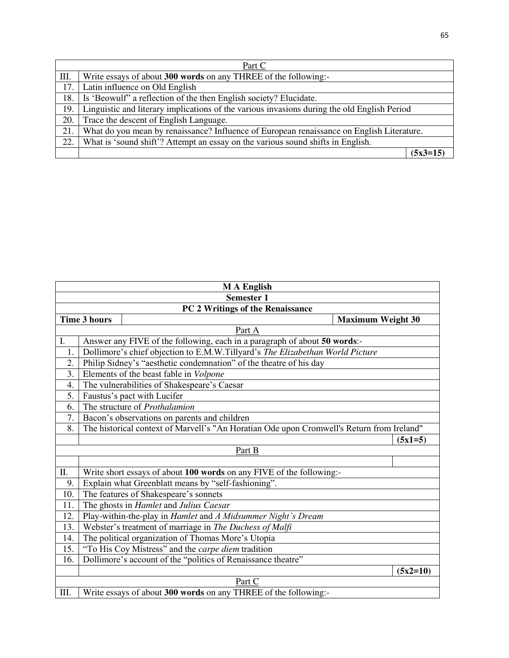| Part C |                                                                                             |            |
|--------|---------------------------------------------------------------------------------------------|------------|
| Ш.     | Write essays of about 300 words on any THREE of the following:-                             |            |
| 17.    | Latin influence on Old English                                                              |            |
| 18.    | Is 'Beowulf' a reflection of the then English society? Elucidate.                           |            |
| 19.    | Linguistic and literary implications of the various invasions during the old English Period |            |
| 20.    | Trace the descent of English Language.                                                      |            |
| 21.    | What do you mean by renaissance? Influence of European renaissance on English Literature.   |            |
| 22.    | What is 'sound shift'? Attempt an essay on the various sound shifts in English.             |            |
|        |                                                                                             | $(5x3=15)$ |

| <b>MA</b> English |                                                                                           |            |  |
|-------------------|-------------------------------------------------------------------------------------------|------------|--|
| <b>Semester 1</b> |                                                                                           |            |  |
|                   | PC 2 Writings of the Renaissance                                                          |            |  |
|                   | <b>Time 3 hours</b><br><b>Maximum Weight 30</b>                                           |            |  |
|                   | Part A                                                                                    |            |  |
| I.                | Answer any FIVE of the following, each in a paragraph of about 50 words:-                 |            |  |
| 1.                | Dollimore's chief objection to E.M.W.Tillyard's The Elizabethan World Picture             |            |  |
| 2.                | Philip Sidney's "aesthetic condemnation" of the theatre of his day                        |            |  |
| 3.                | Elements of the beast fable in Volpone                                                    |            |  |
| 4.                | The vulnerabilities of Shakespeare's Caesar                                               |            |  |
| 5.                | Faustus's pact with Lucifer                                                               |            |  |
| 6.                | The structure of <i>Prothalamion</i>                                                      |            |  |
| 7.                | Bacon's observations on parents and children                                              |            |  |
| 8.                | The historical context of Marvell's "An Horatian Ode upon Cromwell's Return from Ireland" |            |  |
|                   |                                                                                           | $(5x1=5)$  |  |
|                   | Part B                                                                                    |            |  |
|                   |                                                                                           |            |  |
| Π.                | Write short essays of about 100 words on any FIVE of the following:-                      |            |  |
| 9.                | Explain what Greenblatt means by "self-fashioning".                                       |            |  |
| 10.               | The features of Shakespeare's sonnets                                                     |            |  |
| 11.               | The ghosts in Hamlet and Julius Caesar                                                    |            |  |
| 12.               | Play-within-the-play in Hamlet and A Midsummer Night's Dream                              |            |  |
| 13.               | Webster's treatment of marriage in The Duchess of Malfi                                   |            |  |
| 14.               | The political organization of Thomas More's Utopia                                        |            |  |
| 15.               | "To His Coy Mistress" and the carpe diem tradition                                        |            |  |
| 16.               | Dollimore's account of the "politics of Renaissance theatre"                              |            |  |
|                   |                                                                                           | $(5x2=10)$ |  |
| Part C            |                                                                                           |            |  |
| Ш.                | Write essays of about 300 words on any THREE of the following:-                           |            |  |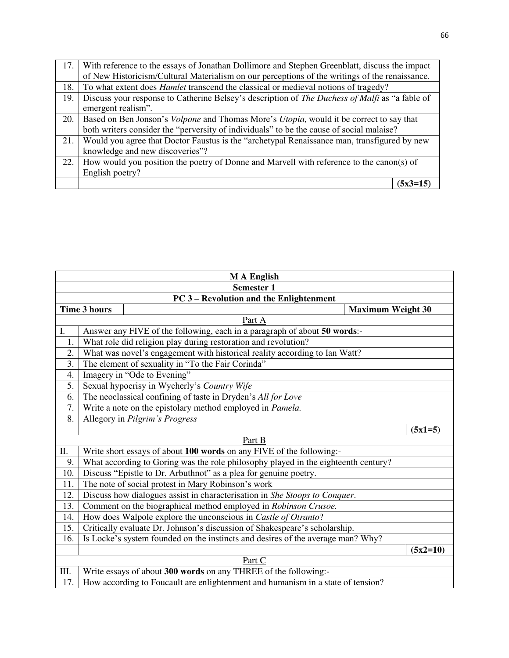| 17. | With reference to the essays of Jonathan Dollimore and Stephen Greenblatt, discuss the impact          |
|-----|--------------------------------------------------------------------------------------------------------|
|     | of New Historicism/Cultural Materialism on our perceptions of the writings of the renaissance.         |
| 18. | To what extent does <i>Hamlet</i> transcend the classical or medieval notions of tragedy?              |
| 19. | Discuss your response to Catherine Belsey's description of <i>The Duchess of Malfi</i> as "a fable of  |
|     | emergent realism".                                                                                     |
| 20. | Based on Ben Jonson's <i>Volpone</i> and Thomas More's <i>Utopia</i> , would it be correct to say that |
|     | both writers consider the "perversity of individuals" to be the cause of social malaise?               |
| 21. | Would you agree that Doctor Faustus is the "archetypal Renaissance man, transfigured by new            |
|     | knowledge and new discoveries"?                                                                        |
| 22. | How would you position the poetry of Donne and Marvell with reference to the canon(s) of               |
|     | English poetry?                                                                                        |
|     | 5x3=15                                                                                                 |

| <b>MA</b> English |                                                                                    |            |
|-------------------|------------------------------------------------------------------------------------|------------|
| <b>Semester 1</b> |                                                                                    |            |
|                   | PC 3 - Revolution and the Enlightenment                                            |            |
|                   | <b>Time 3 hours</b><br><b>Maximum Weight 30</b>                                    |            |
|                   | Part A                                                                             |            |
| I.                | Answer any FIVE of the following, each in a paragraph of about 50 words:-          |            |
| 1.                | What role did religion play during restoration and revolution?                     |            |
| 2.                | What was novel's engagement with historical reality according to Ian Watt?         |            |
| 3.                | The element of sexuality in "To the Fair Corinda"                                  |            |
| 4.                | Imagery in "Ode to Evening"                                                        |            |
| 5.                | Sexual hypocrisy in Wycherly's Country Wife                                        |            |
| 6.                | The neoclassical confining of taste in Dryden's All for Love                       |            |
| 7.                | Write a note on the epistolary method employed in Pamela.                          |            |
| 8.                | Allegory in Pilgrim's Progress                                                     |            |
|                   |                                                                                    | $(5x1=5)$  |
|                   | Part B                                                                             |            |
| П.                | Write short essays of about 100 words on any FIVE of the following:-               |            |
| 9.                | What according to Goring was the role philosophy played in the eighteenth century? |            |
| 10.               | Discuss "Epistle to Dr. Arbuthnot" as a plea for genuine poetry.                   |            |
| 11.               | The note of social protest in Mary Robinson's work                                 |            |
| 12.               | Discuss how dialogues assist in characterisation in She Stoops to Conquer.         |            |
| 13.               | Comment on the biographical method employed in Robinson Crusoe.                    |            |
| 14.               | How does Walpole explore the unconscious in Castle of Otranto?                     |            |
| 15.               | Critically evaluate Dr. Johnson's discussion of Shakespeare's scholarship.         |            |
| 16.               | Is Locke's system founded on the instincts and desires of the average man? Why?    |            |
|                   |                                                                                    | $(5x2=10)$ |
|                   | Part C                                                                             |            |
| Ш.                | Write essays of about 300 words on any THREE of the following:-                    |            |
| 17.               | How according to Foucault are enlightenment and humanism in a state of tension?    |            |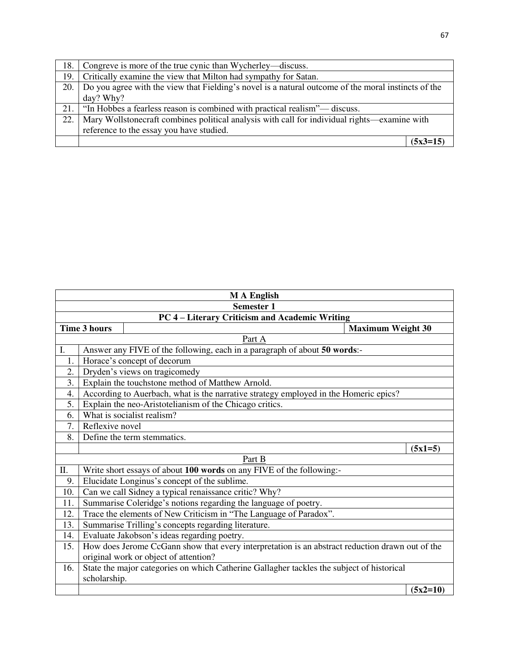Ŧ

|      | 18. Congreve is more of the true cynic than Wycherley—discuss.                                            |            |
|------|-----------------------------------------------------------------------------------------------------------|------------|
|      | 19. Critically examine the view that Milton had sympathy for Satan.                                       |            |
|      | 20.   Do you agree with the view that Fielding's novel is a natural outcome of the moral instincts of the |            |
|      | day? Why?                                                                                                 |            |
|      | 21.   "In Hobbes a fearless reason is combined with practical realism"— discuss.                          |            |
| 22.1 | Mary Wollstonecraft combines political analysis with call for individual rights—examine with              |            |
|      | reference to the essay you have studied.                                                                  |            |
|      |                                                                                                           | $(5x3=15)$ |

|                   | <b>MA</b> English                                                                               |            |  |
|-------------------|-------------------------------------------------------------------------------------------------|------------|--|
| <b>Semester 1</b> |                                                                                                 |            |  |
|                   | PC 4 – Literary Criticism and Academic Writing                                                  |            |  |
|                   | <b>Time 3 hours</b><br><b>Maximum Weight 30</b>                                                 |            |  |
|                   | Part A                                                                                          |            |  |
| I.                | Answer any FIVE of the following, each in a paragraph of about 50 words:-                       |            |  |
| 1.                | Horace's concept of decorum                                                                     |            |  |
| 2.                | Dryden's views on tragicomedy                                                                   |            |  |
| 3.                | Explain the touchstone method of Matthew Arnold.                                                |            |  |
| 4.                | According to Auerbach, what is the narrative strategy employed in the Homeric epics?            |            |  |
| 5.                | Explain the neo-Aristotelianism of the Chicago critics.                                         |            |  |
| 6.                | What is socialist realism?                                                                      |            |  |
| 7.                | Reflexive novel                                                                                 |            |  |
| 8.                | Define the term stemmatics.                                                                     |            |  |
|                   |                                                                                                 | $(5x1=5)$  |  |
|                   | Part B                                                                                          |            |  |
| Π.                | Write short essays of about 100 words on any FIVE of the following:-                            |            |  |
| 9.                | Elucidate Longinus's concept of the sublime.                                                    |            |  |
| 10.               | Can we call Sidney a typical renaissance critic? Why?                                           |            |  |
| 11.               | Summarise Coleridge's notions regarding the language of poetry.                                 |            |  |
| 12.               | Trace the elements of New Criticism in "The Language of Paradox".                               |            |  |
| 13.               | Summarise Trilling's concepts regarding literature.                                             |            |  |
| 14.               | Evaluate Jakobson's ideas regarding poetry.                                                     |            |  |
| 15.               | How does Jerome CcGann show that every interpretation is an abstract reduction drawn out of the |            |  |
|                   | original work or object of attention?                                                           |            |  |
| 16.               | State the major categories on which Catherine Gallagher tackles the subject of historical       |            |  |
|                   | scholarship.                                                                                    |            |  |
|                   |                                                                                                 | $(5x2=10)$ |  |

 $\mathbf{r}$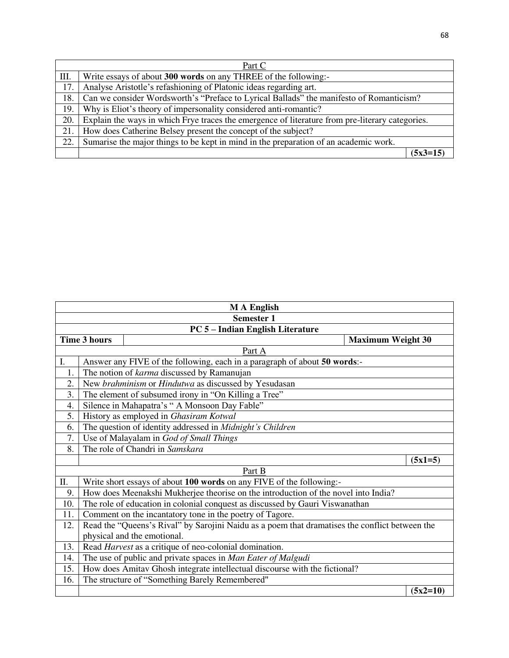| Part C |                                                                                                 |            |  |
|--------|-------------------------------------------------------------------------------------------------|------------|--|
| III.   | Write essays of about 300 words on any THREE of the following:-                                 |            |  |
| 17.    | Analyse Aristotle's refashioning of Platonic ideas regarding art.                               |            |  |
| 18.    | Can we consider Wordsworth's "Preface to Lyrical Ballads" the manifesto of Romanticism?         |            |  |
| 19.    | Why is Eliot's theory of impersonality considered anti-romantic?                                |            |  |
| 20.    | Explain the ways in which Frye traces the emergence of literature from pre-literary categories. |            |  |
| 21.    | How does Catherine Belsey present the concept of the subject?                                   |            |  |
| 22.    | Sumarise the major things to be kept in mind in the preparation of an academic work.            |            |  |
|        |                                                                                                 | $(5x3=15)$ |  |

| <b>MA</b> English |                                                                                    |                                                                                                |  |            |  |
|-------------------|------------------------------------------------------------------------------------|------------------------------------------------------------------------------------------------|--|------------|--|
| <b>Semester 1</b> |                                                                                    |                                                                                                |  |            |  |
|                   |                                                                                    | PC 5 - Indian English Literature                                                               |  |            |  |
|                   | <b>Time 3 hours</b><br><b>Maximum Weight 30</b>                                    |                                                                                                |  |            |  |
|                   |                                                                                    | Part A                                                                                         |  |            |  |
| I.                |                                                                                    | Answer any FIVE of the following, each in a paragraph of about 50 words:-                      |  |            |  |
| 1.                |                                                                                    | The notion of karma discussed by Ramanujan                                                     |  |            |  |
| 2.                |                                                                                    | New brahminism or Hindutwa as discussed by Yesudasan                                           |  |            |  |
| 3.                |                                                                                    | The element of subsumed irony in "On Killing a Tree"                                           |  |            |  |
| 4.                |                                                                                    | Silence in Mahapatra's "A Monsoon Day Fable"                                                   |  |            |  |
| 5.                |                                                                                    | History as employed in Ghasiram Kotwal                                                         |  |            |  |
| 6.                | The question of identity addressed in Midnight's Children                          |                                                                                                |  |            |  |
| 7.                | Use of Malayalam in God of Small Things                                            |                                                                                                |  |            |  |
| 8.                | The role of Chandri in Samskara                                                    |                                                                                                |  |            |  |
|                   |                                                                                    |                                                                                                |  | $(5x1=5)$  |  |
|                   |                                                                                    | Part B                                                                                         |  |            |  |
| Π.                |                                                                                    | Write short essays of about 100 words on any FIVE of the following:-                           |  |            |  |
| 9.                | How does Meenakshi Mukherjee theorise on the introduction of the novel into India? |                                                                                                |  |            |  |
| 10.               |                                                                                    | The role of education in colonial conquest as discussed by Gauri Viswanathan                   |  |            |  |
| 11.               |                                                                                    | Comment on the incantatory tone in the poetry of Tagore.                                       |  |            |  |
| 12.               |                                                                                    | Read the "Queens's Rival" by Sarojini Naidu as a poem that dramatises the conflict between the |  |            |  |
|                   | physical and the emotional.                                                        |                                                                                                |  |            |  |
| 13.               |                                                                                    | Read <i>Harvest</i> as a critique of neo-colonial domination.                                  |  |            |  |
| 14.               |                                                                                    | The use of public and private spaces in Man Eater of Malgudi                                   |  |            |  |
| 15.               | How does Amitav Ghosh integrate intellectual discourse with the fictional?         |                                                                                                |  |            |  |
| 16.               | The structure of "Something Barely Remembered"                                     |                                                                                                |  |            |  |
|                   |                                                                                    |                                                                                                |  | $(5x2=10)$ |  |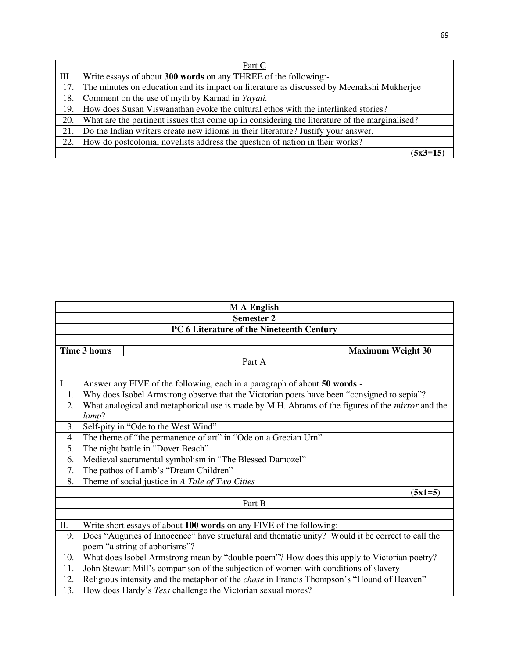|     | Part C                                                                                        |  |  |  |
|-----|-----------------------------------------------------------------------------------------------|--|--|--|
| Ш.  | Write essays of about 300 words on any THREE of the following:-                               |  |  |  |
| 17. | The minutes on education and its impact on literature as discussed by Meenakshi Mukherjee     |  |  |  |
| 18. | Comment on the use of myth by Karnad in Yayati.                                               |  |  |  |
| 19. | How does Susan Viswanathan evoke the cultural ethos with the interlinked stories?             |  |  |  |
| 20. | What are the pertinent issues that come up in considering the literature of the marginalised? |  |  |  |
| 21. | Do the Indian writers create new idioms in their literature? Justify your answer.             |  |  |  |
| 22. | How do postcolonial novelists address the question of nation in their works?                  |  |  |  |
|     | $(5x3=15)$                                                                                    |  |  |  |

| <b>MA</b> English |                                                                                                                  |                                                                                            |  |           |  |  |
|-------------------|------------------------------------------------------------------------------------------------------------------|--------------------------------------------------------------------------------------------|--|-----------|--|--|
| <b>Semester 2</b> |                                                                                                                  |                                                                                            |  |           |  |  |
|                   |                                                                                                                  | PC 6 Literature of the Nineteenth Century                                                  |  |           |  |  |
|                   |                                                                                                                  |                                                                                            |  |           |  |  |
|                   | <b>Time 3 hours</b><br><b>Maximum Weight 30</b>                                                                  |                                                                                            |  |           |  |  |
|                   |                                                                                                                  | Part A                                                                                     |  |           |  |  |
|                   |                                                                                                                  |                                                                                            |  |           |  |  |
| I.                |                                                                                                                  | Answer any FIVE of the following, each in a paragraph of about 50 words:-                  |  |           |  |  |
| 1.                |                                                                                                                  | Why does Isobel Armstrong observe that the Victorian poets have been "consigned to sepia"? |  |           |  |  |
| 2.                | What analogical and metaphorical use is made by M.H. Abrams of the figures of the <i>mirror</i> and the<br>lamp? |                                                                                            |  |           |  |  |
| 3.                |                                                                                                                  | Self-pity in "Ode to the West Wind"                                                        |  |           |  |  |
| $\overline{4}$ .  | The theme of "the permanence of art" in "Ode on a Grecian Urn"                                                   |                                                                                            |  |           |  |  |
| 5.                | The night battle in "Dover Beach"                                                                                |                                                                                            |  |           |  |  |
| 6.                |                                                                                                                  | Medieval sacramental symbolism in "The Blessed Damozel"                                    |  |           |  |  |
| 7.                |                                                                                                                  | The pathos of Lamb's "Dream Children"                                                      |  |           |  |  |
| 8.                |                                                                                                                  | Theme of social justice in A Tale of Two Cities                                            |  |           |  |  |
|                   |                                                                                                                  |                                                                                            |  | $(5x1=5)$ |  |  |
|                   |                                                                                                                  | Part B                                                                                     |  |           |  |  |
|                   |                                                                                                                  |                                                                                            |  |           |  |  |
| Π.                |                                                                                                                  | Write short essays of about 100 words on any FIVE of the following:-                       |  |           |  |  |
| 9.                | Does "Auguries of Innocence" have structural and thematic unity? Would it be correct to call the                 |                                                                                            |  |           |  |  |
|                   |                                                                                                                  | poem "a string of aphorisms"?                                                              |  |           |  |  |
| 10.               |                                                                                                                  | What does Isobel Armstrong mean by "double poem"? How does this apply to Victorian poetry? |  |           |  |  |
| 11.               |                                                                                                                  | John Stewart Mill's comparison of the subjection of women with conditions of slavery       |  |           |  |  |
| 12.               | Religious intensity and the metaphor of the <i>chase</i> in Francis Thompson's "Hound of Heaven"                 |                                                                                            |  |           |  |  |
| 13.               |                                                                                                                  | How does Hardy's Tess challenge the Victorian sexual mores?                                |  |           |  |  |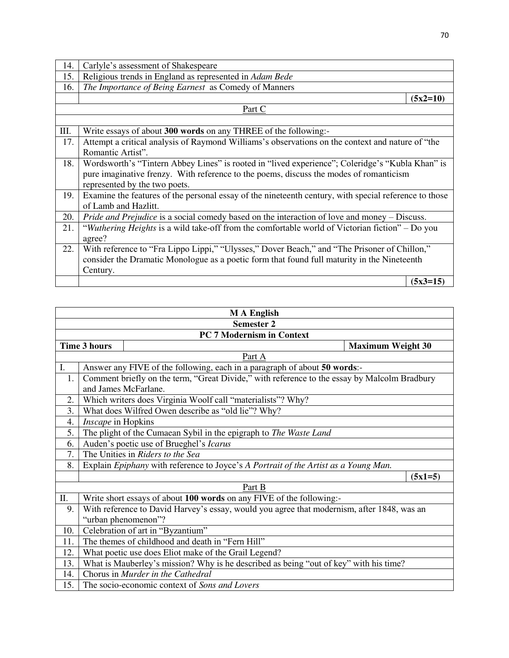| 14.  | Carlyle's assessment of Shakespeare                                                                   |  |  |
|------|-------------------------------------------------------------------------------------------------------|--|--|
| 15.  | Religious trends in England as represented in Adam Bede                                               |  |  |
| 16.  | The Importance of Being Earnest as Comedy of Manners                                                  |  |  |
|      | $(5x2=10)$                                                                                            |  |  |
|      | Part C                                                                                                |  |  |
|      |                                                                                                       |  |  |
| III. | Write essays of about 300 words on any THREE of the following:-                                       |  |  |
| 17.  | Attempt a critical analysis of Raymond Williams's observations on the context and nature of "the      |  |  |
|      | Romantic Artist".                                                                                     |  |  |
| 18.  | Wordsworth's "Tintern Abbey Lines" is rooted in "lived experience"; Coleridge's "Kubla Khan" is       |  |  |
|      | pure imaginative frenzy. With reference to the poems, discuss the modes of romanticism                |  |  |
|      | represented by the two poets.                                                                         |  |  |
| 19.  | Examine the features of the personal essay of the nineteenth century, with special reference to those |  |  |
|      | of Lamb and Hazlitt.                                                                                  |  |  |
| 20.  | <i>Pride and Prejudice</i> is a social comedy based on the interaction of love and money – Discuss.   |  |  |
| 21.  | "Wuthering Heights is a wild take-off from the comfortable world of Victorian fiction" - Do you       |  |  |
|      | agree?                                                                                                |  |  |
| 22.  | With reference to "Fra Lippo Lippi," "Ulysses," Dover Beach," and "The Prisoner of Chillon,"          |  |  |
|      | consider the Dramatic Monologue as a poetic form that found full maturity in the Nineteenth           |  |  |
|      | Century.                                                                                              |  |  |
|      | $(5x3=15)$                                                                                            |  |  |

|                   | <b>MA</b> English                                                                     |                                                                                              |                           |                          |  |
|-------------------|---------------------------------------------------------------------------------------|----------------------------------------------------------------------------------------------|---------------------------|--------------------------|--|
| <b>Semester 2</b> |                                                                                       |                                                                                              |                           |                          |  |
|                   |                                                                                       |                                                                                              | PC 7 Modernism in Context |                          |  |
|                   | <b>Time 3 hours</b>                                                                   |                                                                                              |                           | <b>Maximum Weight 30</b> |  |
|                   |                                                                                       |                                                                                              | Part A                    |                          |  |
| I.                |                                                                                       | Answer any FIVE of the following, each in a paragraph of about 50 words:-                    |                           |                          |  |
| 1.                |                                                                                       | Comment briefly on the term, "Great Divide," with reference to the essay by Malcolm Bradbury |                           |                          |  |
|                   |                                                                                       | and James McFarlane.                                                                         |                           |                          |  |
| 2.                |                                                                                       | Which writers does Virginia Woolf call "materialists"? Why?                                  |                           |                          |  |
| 3.                |                                                                                       | What does Wilfred Owen describe as "old lie"? Why?                                           |                           |                          |  |
| 4.                | Inscape in Hopkins                                                                    |                                                                                              |                           |                          |  |
| 5.                |                                                                                       | The plight of the Cumaean Sybil in the epigraph to The Waste Land                            |                           |                          |  |
| 6.                | Auden's poetic use of Brueghel's Icarus                                               |                                                                                              |                           |                          |  |
| 7.                | The Unities in Riders to the Sea                                                      |                                                                                              |                           |                          |  |
| 8.                |                                                                                       | Explain Epiphany with reference to Joyce's A Portrait of the Artist as a Young Man.          |                           |                          |  |
|                   | $(5x1=5)$                                                                             |                                                                                              |                           |                          |  |
|                   |                                                                                       |                                                                                              | Part B                    |                          |  |
| Π.                |                                                                                       | Write short essays of about 100 words on any FIVE of the following:-                         |                           |                          |  |
| 9.                |                                                                                       | With reference to David Harvey's essay, would you agree that modernism, after 1848, was an   |                           |                          |  |
|                   |                                                                                       | "urban phenomenon"?                                                                          |                           |                          |  |
| 10.               |                                                                                       | Celebration of art in "Byzantium"                                                            |                           |                          |  |
| 11.               |                                                                                       | The themes of childhood and death in "Fern Hill"                                             |                           |                          |  |
| 12.               |                                                                                       | What poetic use does Eliot make of the Grail Legend?                                         |                           |                          |  |
| 13.               | What is Mauberley's mission? Why is he described as being "out of key" with his time? |                                                                                              |                           |                          |  |
| 14.               | Chorus in Murder in the Cathedral                                                     |                                                                                              |                           |                          |  |
| 15.               |                                                                                       | The socio-economic context of Sons and Lovers                                                |                           |                          |  |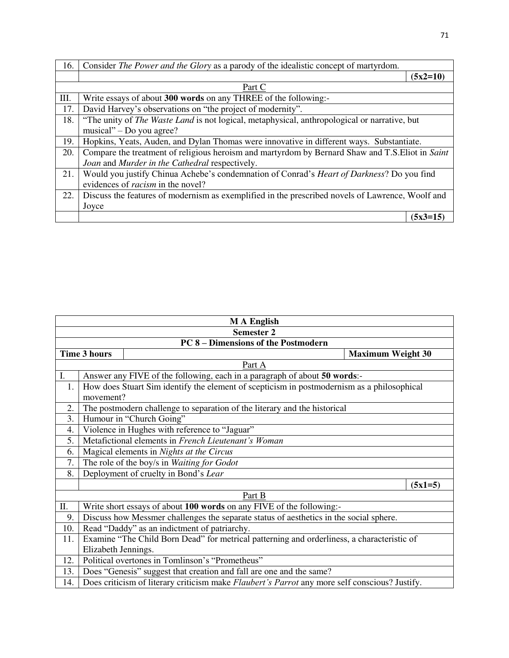| 16.  | Consider The Power and the Glory as a parody of the idealistic concept of martyrdom.                |            |
|------|-----------------------------------------------------------------------------------------------------|------------|
|      |                                                                                                     | $(5x2=10)$ |
|      | Part C                                                                                              |            |
| III. | Write essays of about 300 words on any THREE of the following:-                                     |            |
| 17.  | David Harvey's observations on "the project of modernity".                                          |            |
| 18.  | "The unity of <i>The Waste Land</i> is not logical, metaphysical, anthropological or narrative, but |            |
|      | musical" – Do you agree?                                                                            |            |
| 19.  | Hopkins, Yeats, Auden, and Dylan Thomas were innovative in different ways. Substantiate.            |            |
| 20.  | Compare the treatment of religious heroism and martyrdom by Bernard Shaw and T.S. Eliot in Saint    |            |
|      | Joan and Murder in the Cathedral respectively.                                                      |            |
| 21.  | Would you justify Chinua Achebe's condemnation of Conrad's <i>Heart of Darkness</i> ? Do you find   |            |
|      | evidences of <i>racism</i> in the novel?                                                            |            |
| 22.  | Discuss the features of modernism as exemplified in the prescribed novels of Lawrence, Woolf and    |            |
|      | Joyce                                                                                               |            |
|      |                                                                                                     | $(5x3=15)$ |

| <b>MA</b> English |                                                     |                                                                                                      |                          |           |  |
|-------------------|-----------------------------------------------------|------------------------------------------------------------------------------------------------------|--------------------------|-----------|--|
|                   | <b>Semester 2</b>                                   |                                                                                                      |                          |           |  |
|                   |                                                     | <b>PC 8 - Dimensions of the Postmodern</b>                                                           |                          |           |  |
|                   | <b>Time 3 hours</b>                                 |                                                                                                      | <b>Maximum Weight 30</b> |           |  |
|                   |                                                     | Part A                                                                                               |                          |           |  |
| I.                |                                                     | Answer any FIVE of the following, each in a paragraph of about 50 words:-                            |                          |           |  |
| 1.                |                                                     | How does Stuart Sim identify the element of scepticism in postmodernism as a philosophical           |                          |           |  |
|                   | movement?                                           |                                                                                                      |                          |           |  |
| 2.                |                                                     | The postmodern challenge to separation of the literary and the historical                            |                          |           |  |
| 3.                |                                                     | Humour in "Church Going"                                                                             |                          |           |  |
| 4.                | Violence in Hughes with reference to "Jaguar"       |                                                                                                      |                          |           |  |
| 5.                | Metafictional elements in French Lieutenant's Woman |                                                                                                      |                          |           |  |
| 6.                | Magical elements in <i>Nights at the Circus</i>     |                                                                                                      |                          |           |  |
| 7.                | The role of the boy/s in Waiting for Godot          |                                                                                                      |                          |           |  |
| 8.                |                                                     | Deployment of cruelty in Bond's Lear                                                                 |                          |           |  |
|                   |                                                     |                                                                                                      |                          | $(5x1=5)$ |  |
|                   |                                                     | Part B                                                                                               |                          |           |  |
| П.                |                                                     | Write short essays of about 100 words on any FIVE of the following:-                                 |                          |           |  |
| 9.                |                                                     | Discuss how Messmer challenges the separate status of aesthetics in the social sphere.               |                          |           |  |
| 10.               |                                                     | Read "Daddy" as an indictment of patriarchy.                                                         |                          |           |  |
| 11.               |                                                     | Examine "The Child Born Dead" for metrical patterning and orderliness, a characteristic of           |                          |           |  |
|                   | Elizabeth Jennings.                                 |                                                                                                      |                          |           |  |
| 12.               |                                                     | Political overtones in Tomlinson's "Prometheus"                                                      |                          |           |  |
| 13.               |                                                     | Does "Genesis" suggest that creation and fall are one and the same?                                  |                          |           |  |
| 14.               |                                                     | Does criticism of literary criticism make <i>Flaubert's Parrot</i> any more self conscious? Justify. |                          |           |  |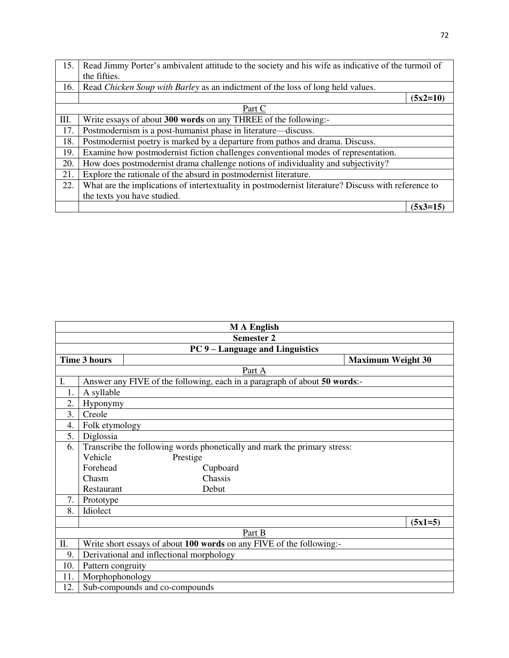| 15. | Read Jimmy Porter's ambivalent attitude to the society and his wife as indicative of the turmoil of |            |
|-----|-----------------------------------------------------------------------------------------------------|------------|
|     | the fifties.                                                                                        |            |
| 16. | Read Chicken Soup with Barley as an indictment of the loss of long held values.                     |            |
|     |                                                                                                     | $(5x2=10)$ |
|     | Part C                                                                                              |            |
| Ш.  | Write essays of about 300 words on any THREE of the following:-                                     |            |
| 17. | Postmodernism is a post-humanist phase in literature—discuss.                                       |            |
| 18. | Postmodernist poetry is marked by a departure from pathos and drama. Discuss.                       |            |
| 19. | Examine how postmodernist fiction challenges conventional modes of representation.                  |            |
| 20. | How does postmodernist drama challenge notions of individuality and subjectivity?                   |            |
| 21. | Explore the rationale of the absurd in postmodernist literature.                                    |            |
| 22. | What are the implications of intertextuality in postmodernist literature? Discuss with reference to |            |
|     | the texts you have studied.                                                                         |            |
|     |                                                                                                     | $(5x3=15)$ |

| <b>MA</b> English |                                                                          |                                                                           |           |  |  |
|-------------------|--------------------------------------------------------------------------|---------------------------------------------------------------------------|-----------|--|--|
|                   | <b>Semester 2</b>                                                        |                                                                           |           |  |  |
|                   | PC 9 – Language and Linguistics                                          |                                                                           |           |  |  |
|                   | <b>Time 3 hours</b><br><b>Maximum Weight 30</b>                          |                                                                           |           |  |  |
|                   |                                                                          | Part A                                                                    |           |  |  |
| I.                |                                                                          | Answer any FIVE of the following, each in a paragraph of about 50 words:- |           |  |  |
| 1.                | A syllable                                                               |                                                                           |           |  |  |
| 2.                | Hyponymy                                                                 |                                                                           |           |  |  |
| 3.                | Creole                                                                   |                                                                           |           |  |  |
| 4.                | Folk etymology                                                           |                                                                           |           |  |  |
| 5.                | Diglossia                                                                |                                                                           |           |  |  |
| 6.                | Transcribe the following words phonetically and mark the primary stress: |                                                                           |           |  |  |
|                   | Vehicle                                                                  | Prestige                                                                  |           |  |  |
|                   | Forehead                                                                 | Cupboard                                                                  |           |  |  |
|                   | Chasm                                                                    | Chassis                                                                   |           |  |  |
|                   | Restaurant                                                               | Debut                                                                     |           |  |  |
| 7.                | Prototype                                                                |                                                                           |           |  |  |
| 8.                | Idiolect                                                                 |                                                                           |           |  |  |
|                   |                                                                          |                                                                           | $(5x1=5)$ |  |  |
|                   |                                                                          | Part B                                                                    |           |  |  |
| Π.                |                                                                          | Write short essays of about 100 words on any FIVE of the following:-      |           |  |  |
| 9.                |                                                                          | Derivational and inflectional morphology                                  |           |  |  |
| 10.               | Pattern congruity                                                        |                                                                           |           |  |  |
| 11.               | Morphophonology                                                          |                                                                           |           |  |  |
| 12.               |                                                                          | Sub-compounds and co-compounds                                            |           |  |  |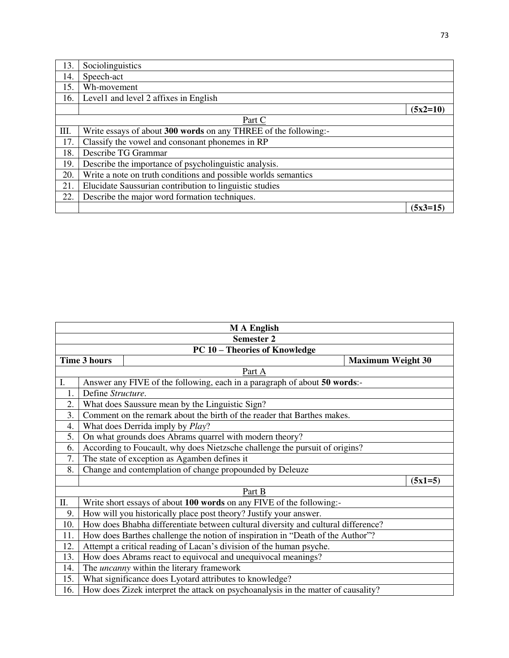| 13.  | Sociolinguistics                                                |            |
|------|-----------------------------------------------------------------|------------|
| 14.  | Speech-act                                                      |            |
| 15.  | Wh-movement                                                     |            |
| 16.  | Level1 and level 2 affixes in English                           |            |
|      |                                                                 | $(5x2=10)$ |
|      | Part C                                                          |            |
| III. | Write essays of about 300 words on any THREE of the following:- |            |
| 17.  | Classify the vowel and consonant phonemes in RP                 |            |
| 18.  | Describe TG Grammar                                             |            |
| 19.  | Describe the importance of psycholinguistic analysis.           |            |
| 20.  | Write a note on truth conditions and possible worlds semantics  |            |
| 21.  | Elucidate Saussurian contribution to linguistic studies         |            |
| 22.  | Describe the major word formation techniques.                   |            |
|      |                                                                 | $(5x3=15)$ |

| <b>MA</b> English |                                                                             |                                                                                   |  |           |  |  |
|-------------------|-----------------------------------------------------------------------------|-----------------------------------------------------------------------------------|--|-----------|--|--|
|                   | <b>Semester 2</b>                                                           |                                                                                   |  |           |  |  |
|                   |                                                                             | <b>PC 10 - Theories of Knowledge</b>                                              |  |           |  |  |
|                   | <b>Time 3 hours</b><br><b>Maximum Weight 30</b>                             |                                                                                   |  |           |  |  |
|                   |                                                                             | Part A                                                                            |  |           |  |  |
| I.                |                                                                             | Answer any FIVE of the following, each in a paragraph of about 50 words:-         |  |           |  |  |
| 1.                | Define Structure.                                                           |                                                                                   |  |           |  |  |
| 2.                |                                                                             | What does Saussure mean by the Linguistic Sign?                                   |  |           |  |  |
| 3.                |                                                                             | Comment on the remark about the birth of the reader that Barthes makes.           |  |           |  |  |
| 4.                |                                                                             | What does Derrida imply by <i>Play</i> ?                                          |  |           |  |  |
| 5.                |                                                                             | On what grounds does Abrams quarrel with modern theory?                           |  |           |  |  |
| 6.                | According to Foucault, why does Nietzsche challenge the pursuit of origins? |                                                                                   |  |           |  |  |
| 7.                | The state of exception as Agamben defines it                                |                                                                                   |  |           |  |  |
| 8.                |                                                                             | Change and contemplation of change propounded by Deleuze                          |  |           |  |  |
|                   |                                                                             |                                                                                   |  | $(5x1=5)$ |  |  |
|                   |                                                                             | Part B                                                                            |  |           |  |  |
| Π.                |                                                                             | Write short essays of about 100 words on any FIVE of the following:-              |  |           |  |  |
| 9.                |                                                                             | How will you historically place post theory? Justify your answer.                 |  |           |  |  |
| 10.               |                                                                             | How does Bhabha differentiate between cultural diversity and cultural difference? |  |           |  |  |
| 11.               |                                                                             | How does Barthes challenge the notion of inspiration in "Death of the Author"?    |  |           |  |  |
| 12.               |                                                                             | Attempt a critical reading of Lacan's division of the human psyche.               |  |           |  |  |
| 13.               |                                                                             | How does Abrams react to equivocal and unequivocal meanings?                      |  |           |  |  |
| 14.               |                                                                             | The <i>uncanny</i> within the literary framework                                  |  |           |  |  |
| 15.               |                                                                             | What significance does Lyotard attributes to knowledge?                           |  |           |  |  |
| 16.               |                                                                             | How does Zizek interpret the attack on psychoanalysis in the matter of causality? |  |           |  |  |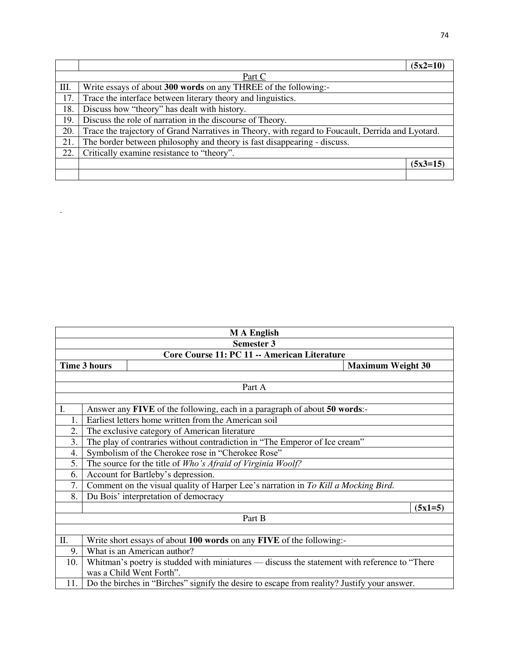|     |                                                                                                   | $(5x2=10)$ |
|-----|---------------------------------------------------------------------------------------------------|------------|
|     | Part C                                                                                            |            |
| Ш.  | Write essays of about 300 words on any THREE of the following:-                                   |            |
| 17. | Trace the interface between literary theory and linguistics.                                      |            |
| 18. | Discuss how "theory" has dealt with history.                                                      |            |
| 19. | Discuss the role of narration in the discourse of Theory.                                         |            |
| 20. | Trace the trajectory of Grand Narratives in Theory, with regard to Foucault, Derrida and Lyotard. |            |
| 21. | The border between philosophy and theory is fast disappearing - discuss.                          |            |
| 22. | Critically examine resistance to "theory".                                                        |            |
|     |                                                                                                   | $(5x3=15)$ |
|     |                                                                                                   |            |

.

|     | <b>MA</b> English                                                                            |                                                                                             |           |  |  |
|-----|----------------------------------------------------------------------------------------------|---------------------------------------------------------------------------------------------|-----------|--|--|
|     | <b>Semester 3</b>                                                                            |                                                                                             |           |  |  |
|     |                                                                                              | Core Course 11: PC 11 -- American Literature                                                |           |  |  |
|     | <b>Time 3 hours</b><br><b>Maximum Weight 30</b>                                              |                                                                                             |           |  |  |
|     |                                                                                              |                                                                                             |           |  |  |
|     |                                                                                              | Part A                                                                                      |           |  |  |
|     |                                                                                              |                                                                                             |           |  |  |
| I.  |                                                                                              | Answer any FIVE of the following, each in a paragraph of about 50 words:-                   |           |  |  |
| 1.  |                                                                                              | Earliest letters home written from the American soil                                        |           |  |  |
| 2.  | The exclusive category of American literature                                                |                                                                                             |           |  |  |
| 3.  | The play of contraries without contradiction in "The Emperor of Ice cream"                   |                                                                                             |           |  |  |
| 4.  | Symbolism of the Cherokee rose in "Cherokee Rose"                                            |                                                                                             |           |  |  |
| 5.  | The source for the title of <i>Who's Afraid of Virginia Woolf</i> ?                          |                                                                                             |           |  |  |
| 6.  |                                                                                              | Account for Bartleby's depression.                                                          |           |  |  |
| 7.  |                                                                                              | Comment on the visual quality of Harper Lee's narration in To Kill a Mocking Bird.          |           |  |  |
| 8.  |                                                                                              | Du Bois' interpretation of democracy                                                        |           |  |  |
|     |                                                                                              |                                                                                             | $(5x1=5)$ |  |  |
|     |                                                                                              | Part B                                                                                      |           |  |  |
|     |                                                                                              |                                                                                             |           |  |  |
| Π.  |                                                                                              | Write short essays of about 100 words on any FIVE of the following:-                        |           |  |  |
| 9.  |                                                                                              | What is an American author?                                                                 |           |  |  |
| 10. | Whitman's poetry is studded with miniatures - discuss the statement with reference to "There |                                                                                             |           |  |  |
|     |                                                                                              | was a Child Went Forth".                                                                    |           |  |  |
| 11. |                                                                                              | Do the birches in "Birches" signify the desire to escape from reality? Justify your answer. |           |  |  |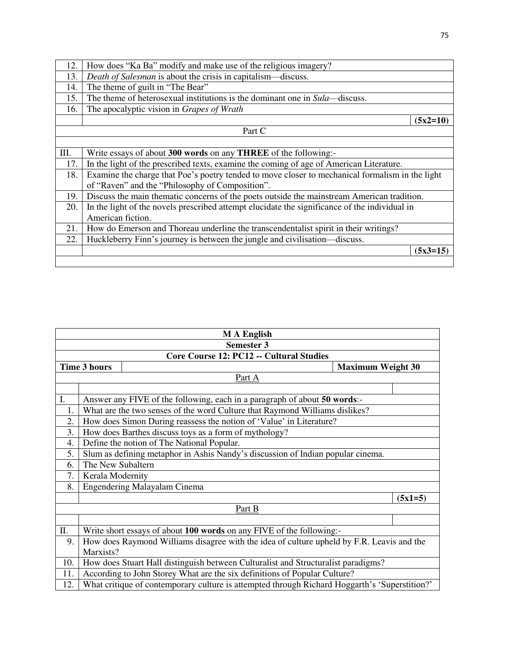| 12. | How does "Ka Ba" modify and make use of the religious imagery?                                  |
|-----|-------------------------------------------------------------------------------------------------|
| 13. | Death of Salesman is about the crisis in capitalism—discuss.                                    |
| 14. | The theme of guilt in "The Bear"                                                                |
| 15. | The theme of heterosexual institutions is the dominant one in Sula—discuss.                     |
| 16. | The apocalyptic vision in Grapes of Wrath                                                       |
|     | $(5x2=10)$                                                                                      |
|     | Part C                                                                                          |
|     |                                                                                                 |
| Ш.  | Write essays of about 300 words on any THREE of the following:-                                 |
| 17. | In the light of the prescribed texts, examine the coming of age of American Literature.         |
| 18. | Examine the charge that Poe's poetry tended to move closer to mechanical formalism in the light |
|     | of "Raven" and the "Philosophy of Composition".                                                 |
| 19. | Discuss the main thematic concerns of the poets outside the mainstream American tradition.      |
| 20. | In the light of the novels prescribed attempt elucidate the significance of the individual in   |
|     | American fiction.                                                                               |
| 21. | How do Emerson and Thoreau underline the transcendentalist spirit in their writings?            |
| 22. | Huckleberry Finn's journey is between the jungle and civilisation—discuss.                      |
|     | $(5x3=15)$                                                                                      |
|     |                                                                                                 |

|     | <b>MA</b> English                                                                             |                                                                                           |           |  |  |
|-----|-----------------------------------------------------------------------------------------------|-------------------------------------------------------------------------------------------|-----------|--|--|
|     | <b>Semester 3</b>                                                                             |                                                                                           |           |  |  |
|     |                                                                                               | Core Course 12: PC12 -- Cultural Studies                                                  |           |  |  |
|     | <b>Time 3 hours</b>                                                                           | <b>Maximum Weight 30</b>                                                                  |           |  |  |
|     |                                                                                               | Part A                                                                                    |           |  |  |
|     |                                                                                               |                                                                                           |           |  |  |
| I.  |                                                                                               | Answer any FIVE of the following, each in a paragraph of about 50 words:-                 |           |  |  |
| 1.  |                                                                                               | What are the two senses of the word Culture that Raymond Williams dislikes?               |           |  |  |
| 2.  |                                                                                               | How does Simon During reassess the notion of 'Value' in Literature?                       |           |  |  |
| 3.  | How does Barthes discuss toys as a form of mythology?                                         |                                                                                           |           |  |  |
| 4.  |                                                                                               | Define the notion of The National Popular.                                                |           |  |  |
| 5.  | Slum as defining metaphor in Ashis Nandy's discussion of Indian popular cinema.               |                                                                                           |           |  |  |
| 6.  | The New Subaltern                                                                             |                                                                                           |           |  |  |
| 7.  | Kerala Modernity                                                                              |                                                                                           |           |  |  |
| 8.  |                                                                                               | <b>Engendering Malayalam Cinema</b>                                                       |           |  |  |
|     |                                                                                               |                                                                                           | $(5x1=5)$ |  |  |
|     |                                                                                               | Part B                                                                                    |           |  |  |
|     |                                                                                               |                                                                                           |           |  |  |
| Π.  |                                                                                               | Write short essays of about 100 words on any FIVE of the following:-                      |           |  |  |
| 9.  |                                                                                               | How does Raymond Williams disagree with the idea of culture upheld by F.R. Leavis and the |           |  |  |
|     | Marxists?                                                                                     |                                                                                           |           |  |  |
| 10. |                                                                                               | How does Stuart Hall distinguish between Culturalist and Structuralist paradigms?         |           |  |  |
| 11. | According to John Storey What are the six definitions of Popular Culture?                     |                                                                                           |           |  |  |
| 12. | What critique of contemporary culture is attempted through Richard Hoggarth's 'Superstition?' |                                                                                           |           |  |  |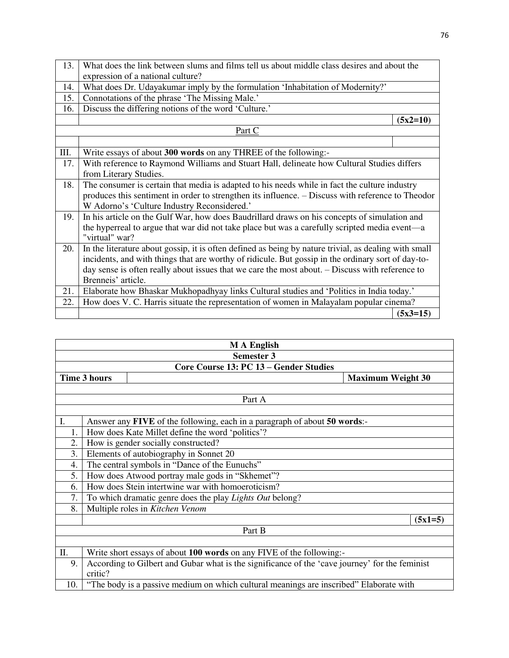| 13.  | What does the link between slums and films tell us about middle class desires and about the           |            |  |
|------|-------------------------------------------------------------------------------------------------------|------------|--|
|      | expression of a national culture?                                                                     |            |  |
| 14.  | What does Dr. Udayakumar imply by the formulation 'Inhabitation of Modernity?'                        |            |  |
| 15.  | Connotations of the phrase 'The Missing Male.'                                                        |            |  |
| 16.  | Discuss the differing notions of the word 'Culture.'                                                  |            |  |
|      |                                                                                                       | $(5x2=10)$ |  |
|      | <u>Part C</u>                                                                                         |            |  |
|      |                                                                                                       |            |  |
| III. | Write essays of about 300 words on any THREE of the following:-                                       |            |  |
| 17.  | With reference to Raymond Williams and Stuart Hall, delineate how Cultural Studies differs            |            |  |
|      | from Literary Studies.                                                                                |            |  |
| 18.  | The consumer is certain that media is adapted to his needs while in fact the culture industry         |            |  |
|      | produces this sentiment in order to strengthen its influence. – Discuss with reference to Theodor     |            |  |
|      | W Adorno's 'Culture Industry Reconsidered.'                                                           |            |  |
| 19.  | In his article on the Gulf War, how does Baudrillard draws on his concepts of simulation and          |            |  |
|      | the hyperreal to argue that war did not take place but was a carefully scripted media event—a         |            |  |
|      | "virtual" war?                                                                                        |            |  |
| 20.  | In the literature about gossip, it is often defined as being by nature trivial, as dealing with small |            |  |
|      | incidents, and with things that are worthy of ridicule. But gossip in the ordinary sort of day-to-    |            |  |
|      | day sense is often really about issues that we care the most about. – Discuss with reference to       |            |  |
|      | Brenneis' article.                                                                                    |            |  |
| 21.  | Elaborate how Bhaskar Mukhopadhyay links Cultural studies and 'Politics in India today.'              |            |  |
| 22.  | How does V. C. Harris situate the representation of women in Malayalam popular cinema?                |            |  |
|      |                                                                                                       | $(5x3=15)$ |  |

| <b>MA</b> English |                                                                                        |                                                                                                |           |  |  |
|-------------------|----------------------------------------------------------------------------------------|------------------------------------------------------------------------------------------------|-----------|--|--|
|                   | <b>Semester 3</b>                                                                      |                                                                                                |           |  |  |
|                   |                                                                                        | Core Course 13: PC 13 – Gender Studies                                                         |           |  |  |
|                   | <b>Time 3 hours</b><br><b>Maximum Weight 30</b>                                        |                                                                                                |           |  |  |
|                   |                                                                                        |                                                                                                |           |  |  |
|                   |                                                                                        | Part A                                                                                         |           |  |  |
|                   |                                                                                        |                                                                                                |           |  |  |
| I.                |                                                                                        | Answer any FIVE of the following, each in a paragraph of about 50 words:-                      |           |  |  |
| 1.                |                                                                                        | How does Kate Millet define the word 'politics'?                                               |           |  |  |
| 2.                |                                                                                        | How is gender socially constructed?                                                            |           |  |  |
| 3.                |                                                                                        | Elements of autobiography in Sonnet 20                                                         |           |  |  |
| 4.                |                                                                                        | The central symbols in "Dance of the Eunuchs"                                                  |           |  |  |
| 5.                |                                                                                        | How does Atwood portray male gods in "Skhemet"?                                                |           |  |  |
| 6.                |                                                                                        | How does Stein intertwine war with homoeroticism?                                              |           |  |  |
| 7.                |                                                                                        | To which dramatic genre does the play <i>Lights Out</i> belong?                                |           |  |  |
| 8.                |                                                                                        | Multiple roles in Kitchen Venom                                                                |           |  |  |
|                   |                                                                                        |                                                                                                | $(5x1=5)$ |  |  |
|                   |                                                                                        | Part B                                                                                         |           |  |  |
|                   |                                                                                        |                                                                                                |           |  |  |
| П.                | Write short essays of about 100 words on any FIVE of the following:-                   |                                                                                                |           |  |  |
| 9.                |                                                                                        | According to Gilbert and Gubar what is the significance of the 'cave journey' for the feminist |           |  |  |
|                   | critic?                                                                                |                                                                                                |           |  |  |
| 10.               | "The body is a passive medium on which cultural meanings are inscribed" Elaborate with |                                                                                                |           |  |  |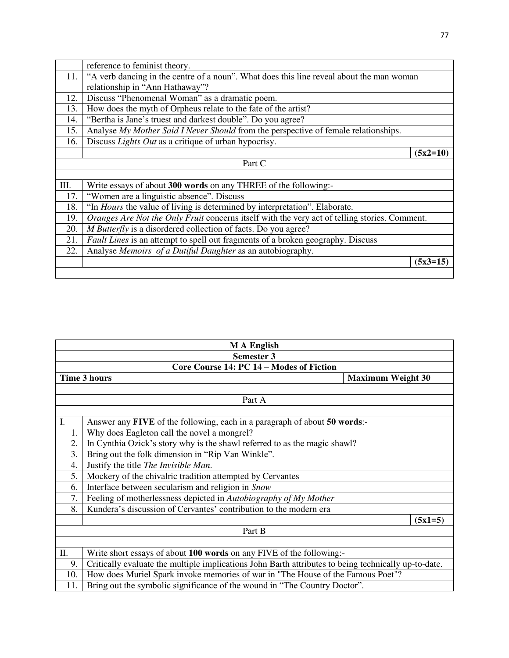|     | reference to feminist theory.                                                                 |  |  |  |
|-----|-----------------------------------------------------------------------------------------------|--|--|--|
| 11. | "A verb dancing in the centre of a noun". What does this line reveal about the man woman      |  |  |  |
|     | relationship in "Ann Hathaway"?                                                               |  |  |  |
| 12. | Discuss "Phenomenal Woman" as a dramatic poem.                                                |  |  |  |
| 13. | How does the myth of Orpheus relate to the fate of the artist?                                |  |  |  |
| 14. | "Bertha is Jane's truest and darkest double". Do you agree?                                   |  |  |  |
| 15. | Analyse My Mother Said I Never Should from the perspective of female relationships.           |  |  |  |
| 16. | Discuss Lights Out as a critique of urban hypocrisy.                                          |  |  |  |
|     | $(5x2=10)$                                                                                    |  |  |  |
|     | Part C                                                                                        |  |  |  |
|     |                                                                                               |  |  |  |
| Ш.  | Write essays of about 300 words on any THREE of the following:-                               |  |  |  |
| 17. | "Women are a linguistic absence". Discuss                                                     |  |  |  |
| 18. | "In Hours the value of living is determined by interpretation". Elaborate.                    |  |  |  |
| 19. | Oranges Are Not the Only Fruit concerns itself with the very act of telling stories. Comment. |  |  |  |
| 20. | M Butterfly is a disordered collection of facts. Do you agree?                                |  |  |  |
| 21. | <i>Fault Lines</i> is an attempt to spell out fragments of a broken geography. Discuss        |  |  |  |
| 22. | Analyse Memoirs of a Dutiful Daughter as an autobiography.                                    |  |  |  |
|     | $(5x3=15)$                                                                                    |  |  |  |
|     |                                                                                               |  |  |  |

| <b>MA</b> English |                                                                                                      |                                                                           |           |  |  |
|-------------------|------------------------------------------------------------------------------------------------------|---------------------------------------------------------------------------|-----------|--|--|
|                   | <b>Semester 3</b>                                                                                    |                                                                           |           |  |  |
|                   |                                                                                                      | Core Course 14: PC 14 – Modes of Fiction                                  |           |  |  |
|                   | <b>Time 3 hours</b><br><b>Maximum Weight 30</b>                                                      |                                                                           |           |  |  |
|                   |                                                                                                      |                                                                           |           |  |  |
|                   |                                                                                                      | Part A                                                                    |           |  |  |
|                   |                                                                                                      |                                                                           |           |  |  |
| I.                |                                                                                                      | Answer any FIVE of the following, each in a paragraph of about 50 words:- |           |  |  |
| 1.                |                                                                                                      | Why does Eagleton call the novel a mongrel?                               |           |  |  |
| 2.                | In Cynthia Ozick's story why is the shawl referred to as the magic shawl?                            |                                                                           |           |  |  |
| 3.                | Bring out the folk dimension in "Rip Van Winkle".                                                    |                                                                           |           |  |  |
| 4.                |                                                                                                      | Justify the title The Invisible Man.                                      |           |  |  |
| 5.                |                                                                                                      | Mockery of the chivalric tradition attempted by Cervantes                 |           |  |  |
| 6.                |                                                                                                      | Interface between secularism and religion in Snow                         |           |  |  |
| 7.                |                                                                                                      | Feeling of motherlessness depicted in Autobiography of My Mother          |           |  |  |
| 8.                |                                                                                                      | Kundera's discussion of Cervantes' contribution to the modern era         |           |  |  |
|                   |                                                                                                      |                                                                           | $(5x1=5)$ |  |  |
|                   |                                                                                                      | Part B                                                                    |           |  |  |
|                   |                                                                                                      |                                                                           |           |  |  |
| Π.                | Write short essays of about 100 words on any FIVE of the following:-                                 |                                                                           |           |  |  |
| 9.                | Critically evaluate the multiple implications John Barth attributes to being technically up-to-date. |                                                                           |           |  |  |
| 10.               | How does Muriel Spark invoke memories of war in "The House of the Famous Poet"?                      |                                                                           |           |  |  |
| 11.               |                                                                                                      | Bring out the symbolic significance of the wound in "The Country Doctor". |           |  |  |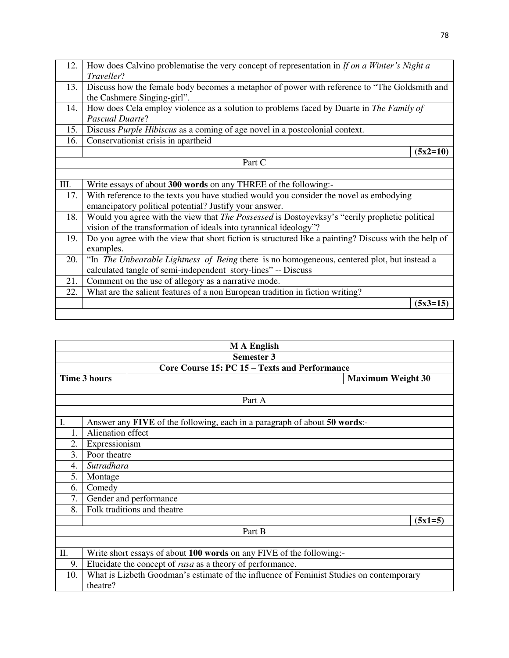| 12.  | How does Calvino problematise the very concept of representation in If on a Winter's Night a          |            |  |
|------|-------------------------------------------------------------------------------------------------------|------------|--|
|      | Traveller?                                                                                            |            |  |
| 13.  | Discuss how the female body becomes a metaphor of power with reference to "The Goldsmith and          |            |  |
|      | the Cashmere Singing-girl".                                                                           |            |  |
| 14.  | How does Cela employ violence as a solution to problems faced by Duarte in The Family of              |            |  |
|      | <b>Pascual Duarte?</b>                                                                                |            |  |
| 15.  | Discuss Purple Hibiscus as a coming of age novel in a postcolonial context.                           |            |  |
| 16.  | Conservationist crisis in apartheid                                                                   |            |  |
|      |                                                                                                       | $(5x2=10)$ |  |
|      | Part C                                                                                                |            |  |
|      |                                                                                                       |            |  |
| III. | Write essays of about 300 words on any THREE of the following:-                                       |            |  |
| 17.  | With reference to the texts you have studied would you consider the novel as embodying                |            |  |
|      | emancipatory political potential? Justify your answer.                                                |            |  |
| 18.  | Would you agree with the view that <i>The Possessed</i> is Dostoyevksy's "eerily prophetic political  |            |  |
|      | vision of the transformation of ideals into tyrannical ideology"?                                     |            |  |
| 19.  | Do you agree with the view that short fiction is structured like a painting? Discuss with the help of |            |  |
|      | examples.                                                                                             |            |  |
| 20.  | "In <i>The Unbearable Lightness of Being</i> there is no homogeneous, centered plot, but instead a    |            |  |
|      | calculated tangle of semi-independent story-lines" -- Discuss                                         |            |  |
| 21.  | Comment on the use of allegory as a narrative mode.                                                   |            |  |
| 22.  | What are the salient features of a non European tradition in fiction writing?                         |            |  |
|      | $(5x3=15)$                                                                                            |            |  |
|      |                                                                                                       |            |  |

|     | <b>MA</b> English                                                                       |                          |  |  |
|-----|-----------------------------------------------------------------------------------------|--------------------------|--|--|
|     | Semester 3                                                                              |                          |  |  |
|     | Core Course 15: PC 15 – Texts and Performance                                           |                          |  |  |
|     | <b>Time 3 hours</b>                                                                     | <b>Maximum Weight 30</b> |  |  |
|     |                                                                                         |                          |  |  |
|     | Part A                                                                                  |                          |  |  |
|     |                                                                                         |                          |  |  |
| Ι.  | Answer any FIVE of the following, each in a paragraph of about 50 words:-               |                          |  |  |
|     | Alienation effect                                                                       |                          |  |  |
| 2.  | Expressionism                                                                           |                          |  |  |
| 3.  | Poor theatre                                                                            |                          |  |  |
| 4.  | Sutradhara                                                                              |                          |  |  |
| 5.  | Montage                                                                                 |                          |  |  |
| 6.  | Comedy                                                                                  |                          |  |  |
| 7.  | Gender and performance                                                                  |                          |  |  |
| 8.  | Folk traditions and theatre                                                             |                          |  |  |
|     |                                                                                         | $(5x1=5)$                |  |  |
|     | Part B                                                                                  |                          |  |  |
|     |                                                                                         |                          |  |  |
| Π.  | Write short essays of about 100 words on any FIVE of the following:-                    |                          |  |  |
| 9.  | Elucidate the concept of <i>rasa</i> as a theory of performance.                        |                          |  |  |
| 10. | What is Lizbeth Goodman's estimate of the influence of Feminist Studies on contemporary |                          |  |  |
|     | theatre?                                                                                |                          |  |  |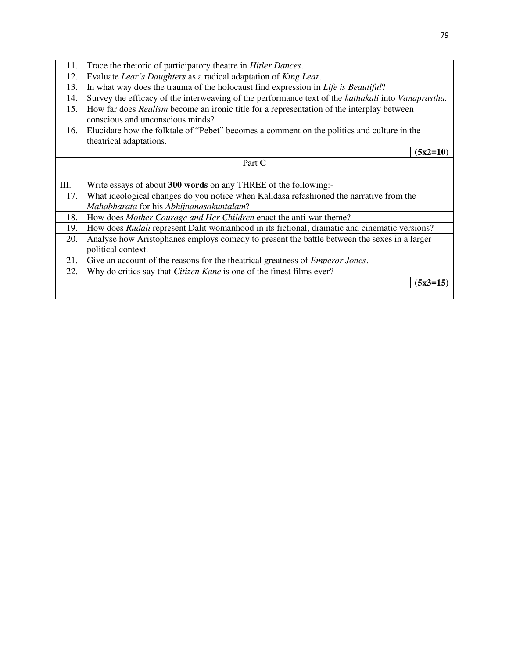| 11.    | Trace the rhetoric of participatory theatre in Hitler Dances.                                       |            |
|--------|-----------------------------------------------------------------------------------------------------|------------|
| 12.    | Evaluate Lear's Daughters as a radical adaptation of King Lear.                                     |            |
| 13.    | In what way does the trauma of the holocaust find expression in Life is Beautiful?                  |            |
| 14.    | Survey the efficacy of the interweaving of the performance text of the kathakali into Vanaprastha.  |            |
| 15.    | How far does <i>Realism</i> become an ironic title for a representation of the interplay between    |            |
|        | conscious and unconscious minds?                                                                    |            |
| 16.    | Elucidate how the folktale of "Pebet" becomes a comment on the politics and culture in the          |            |
|        | theatrical adaptations.                                                                             |            |
|        |                                                                                                     | $(5x2=10)$ |
| Part C |                                                                                                     |            |
|        |                                                                                                     |            |
| Ш.     | Write essays of about 300 words on any THREE of the following:-                                     |            |
| 17.    | What ideological changes do you notice when Kalidasa refashioned the narrative from the             |            |
|        | Mahabharata for his Abhijnanasakuntalam?                                                            |            |
| 18.    | How does Mother Courage and Her Children enact the anti-war theme?                                  |            |
| 19.    | How does <i>Rudali</i> represent Dalit womanhood in its fictional, dramatic and cinematic versions? |            |
| 20.    | Analyse how Aristophanes employs comedy to present the battle between the sexes in a larger         |            |
|        | political context.                                                                                  |            |
| 21.    | Give an account of the reasons for the theatrical greatness of <i>Emperor Jones</i> .               |            |
| 22.    | Why do critics say that <i>Citizen Kane</i> is one of the finest films ever?                        |            |
|        |                                                                                                     |            |
|        |                                                                                                     | $(5x3=15)$ |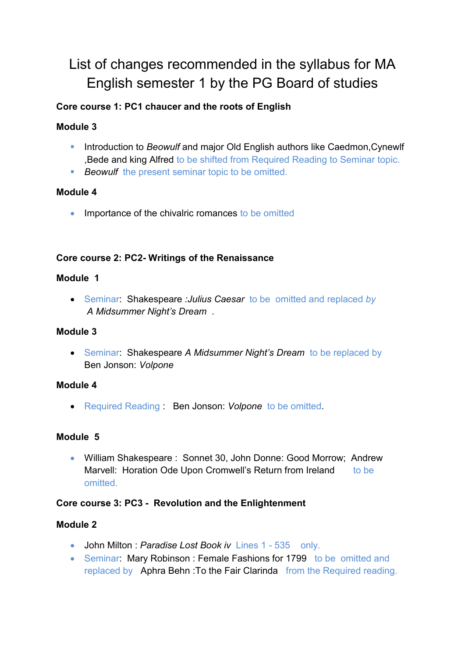# List of changes recommended in the syllabus for MA English semester 1 by the PG Board of studies

# **Core course 1: PC1 chaucer and the roots of English**

# **Module 3**

- **Introduction to** *Beowulf* and major Old English authors like Caedmon, Cynewlf ,Bede and king Alfred to be shifted from Required Reading to Seminar topic.
- **Beowulf** the present seminar topic to be omitted.

# **Module 4**

• Importance of the chivalric romances to be omitted

## **Core course 2: PC2- Writings of the Renaissance**

## **Module 1**

 Seminar: Shakespeare *:Julius Caesar* to be omitted and replaced *by A Midsummer Night's Dream .* 

## **Module 3**

 Seminar: Shakespeare *A Midsummer Night's Dream* to be replaced by Ben Jonson: *Volpone*

# **Module 4**

Required Reading : Ben Jonson: *Volpone* to be omitted.

# **Module 5**

 William Shakespeare : Sonnet 30, John Donne: Good Morrow; Andrew Marvell: Horation Ode Upon Cromwell's Return from Ireland to be omitted.

# **Core course 3: PC3 - Revolution and the Enlightenment**

# **Module 2**

- John Milton : *Paradise Lost Book iv* Lines 1 535 only.
- Seminar: Mary Robinson: Female Fashions for 1799 to be omitted and replaced by Aphra Behn :To the Fair Clarinda from the Required reading.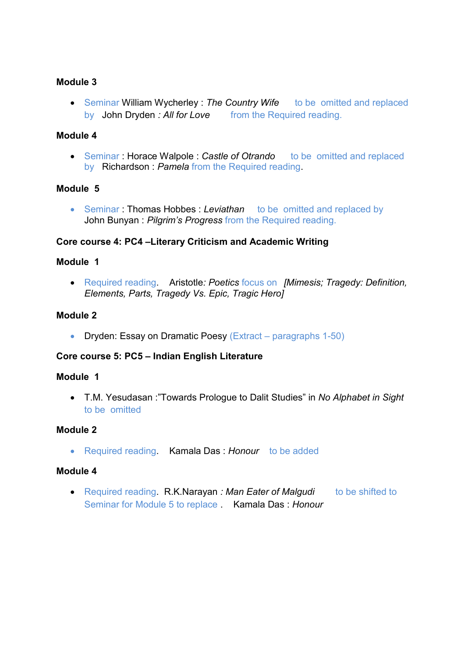## **Module 3**

• Seminar William Wycherley : The Country Wife to be omitted and replaced by John Dryden : All for Love from the Required reading.

#### **Module 4**

• Seminar : **Horace Walpole :** *Castle of Otrando* to be omitted and replaced by Richardson : *Pamela* from the Required reading.

#### **Module 5**

 Seminar : Thomas Hobbes : *Leviathan* to be omitted and replaced by John Bunyan : *Pilgrim's Progress* from the Required reading.

## **Core course 4: PC4 –Literary Criticism and Academic Writing**

## **Module 1**

 Required reading. Aristotle*: Poetics* focus on *[Mimesis; Tragedy: Definition, Elements, Parts, Tragedy Vs. Epic, Tragic Hero]* 

## **Module 2**

• Dryden: Essay on Dramatic Poesy (Extract – paragraphs 1-50)

#### **Core course 5: PC5 – Indian English Literature**

#### **Module 1**

 T.M. Yesudasan :"Towards Prologue to Dalit Studies" in *No Alphabet in Sight* to be omitted

#### **Module 2**

Required reading. Kamala Das : *Honour* to be added

#### **Module 4**

• Required reading R.K.Narayan *: Man Eater of Malgudi* to be shifted to Seminar for Module 5 to replace . Kamala Das : *Honour*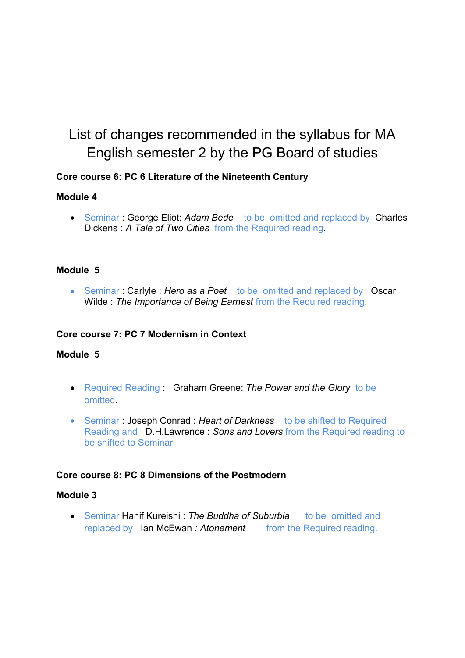# List of changes recommended in the syllabus for MA English semester 2 by the PG Board of studies

## **Core course 6: PC 6 Literature of the Nineteenth Century**

## **Module 4**

 Seminar : George Eliot: *Adam Bede* to be omitted and replaced by Charles Dickens : *A Tale of Two Cities* from the Required reading.

## **Module 5**

 Seminar : Carlyle : *Hero as a Poet* to be omitted and replaced by Oscar Wilde : *The Importance of Being Earnest* from the Required reading.

## **Core course 7: PC 7 Modernism in Context**

#### **Module 5**

- Required Reading : Graham Greene: *The Power and the Glory* to be omitted.
- Seminar : Joseph Conrad : *Heart of Darkness* to be shifted to Required Reading and D.H.Lawrence : *Sons and Lovers* from the Required reading to be shifted to Seminar

#### **Core course 8: PC 8 Dimensions of the Postmodern**

#### **Module 3**

 Seminar Hanif Kureishi : *The Buddha of Suburbia* to be omitted and replaced by Ian McEwan : Atonement from the Required reading.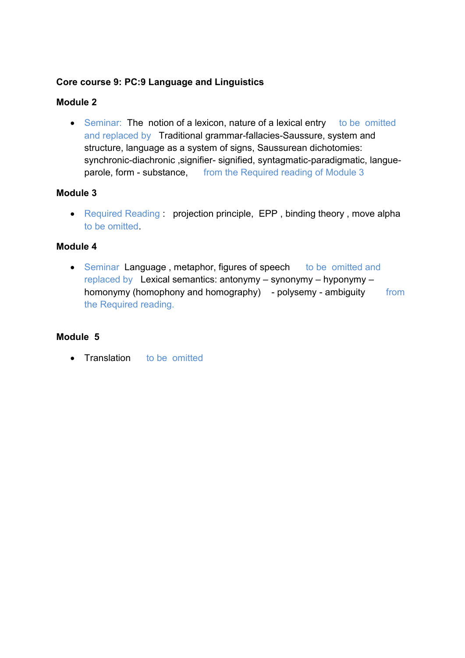## **Core course 9: PC:9 Language and Linguistics**

## **Module 2**

• Seminar: The notion of a lexicon, nature of a lexical entry to be omitted and replaced by Traditional grammar-fallacies-Saussure, system and structure, language as a system of signs, Saussurean dichotomies: synchronic-diachronic ,signifier- signified, syntagmatic-paradigmatic, langueparole, form - substance, from the Required reading of Module 3

## **Module 3**

• Required Reading : projection principle, EPP, binding theory, move alpha to be omitted.

## **Module 4**

• Seminar Language, metaphor, figures of speech to be omitted and replaced by Lexical semantics: antonymy – synonymy – hyponymy – homonymy (homophony and homography) - polysemy - ambiguity from the Required reading.

## **Module 5**

• Translation to be omitted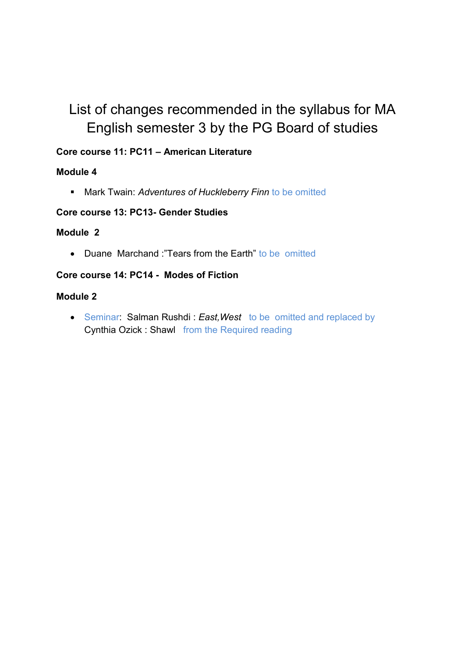# List of changes recommended in the syllabus for MA English semester 3 by the PG Board of studies

# **Core course 11: PC11 – American Literature**

# **Module 4**

Mark Twain: *Adventures of Huckleberry Finn* to be omitted

# **Core course 13: PC13- Gender Studies**

## **Module 2**

• Duane Marchand "Tears from the Farth" to be omitted

## **Core course 14: PC14 - Modes of Fiction**

## **Module 2**

 Seminar: Salman Rushdi : *East,West* to be omitted and replaced by Cynthia Ozick : Shawl from the Required reading